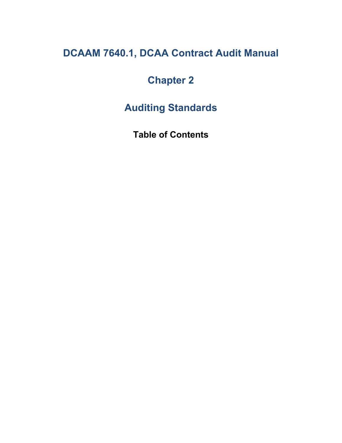# **DCAAM 7640.1, DCAA Contract Audit Manual**

# **Chapter 2**

**Auditing Standards**

**Table of Contents**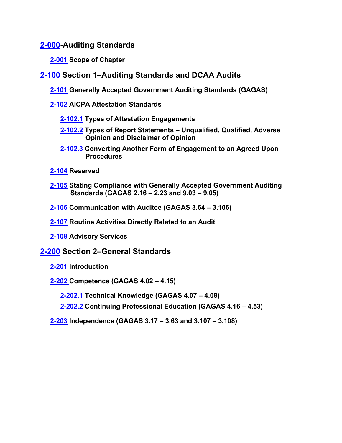**[2-000-](#page-6-0)Auditing Standards**

- <span id="page-1-6"></span><span id="page-1-5"></span><span id="page-1-4"></span><span id="page-1-3"></span><span id="page-1-2"></span><span id="page-1-1"></span><span id="page-1-0"></span>**[2-001](#page-6-1) Scope of Chapter**
- <span id="page-1-7"></span>**[2-100](#page-7-0) Section 1–Auditing Standards and DCAA Audits**
	- **[2-101](#page-7-1) Generally Accepted Government Auditing Standards (GAGAS)**
	- **[2-102](#page-8-0) AICPA Attestation Standards**
		- **[2-102.1](#page-8-1) Types of Attestation Engagements**
		- **[2-102.2](#page-9-0) Types of Report Statements – Unqualified, Qualified, Adverse Opinion and Disclaimer of Opinion**
		- **[2-102.3](#page-10-0) Converting Another Form of Engagement to an Agreed Upon Procedures**
	- **[2-104](#page-10-1) Reserved**
	- **[2-105](#page-10-2) Stating Compliance with Generally Accepted Government Auditing Standards (GAGAS 2.16 – 2.23 and 9.03 – 9.05)**
	- **[2-106](#page-11-0) Communication with Auditee (GAGAS 3.64 – 3.106)**
	- **[2-107](#page-12-0) Routine Activities Directly Related to an Audit**
	- **2-108 Advisory Services**

## <span id="page-1-9"></span>**[2-200](#page-13-0) Section 2–General Standards**

- <span id="page-1-12"></span><span id="page-1-11"></span><span id="page-1-10"></span><span id="page-1-8"></span>**[2-201](#page-13-1) Introduction**
- <span id="page-1-14"></span><span id="page-1-13"></span>**[2-202](#page-13-2) Competence (GAGAS 4.02 – 4.15)**
	- **[2-202.1](#page-13-3) Technical Knowledge (GAGAS 4.07 – 4.08)**
	- **[2-202.2](#page-14-0) Continuing Professional Education (GAGAS 4.16 – 4.53)**
- <span id="page-1-16"></span><span id="page-1-15"></span>**[2-203](#page-14-1) Independence (GAGAS 3.17 – 3.63 and 3.107 – 3.108)**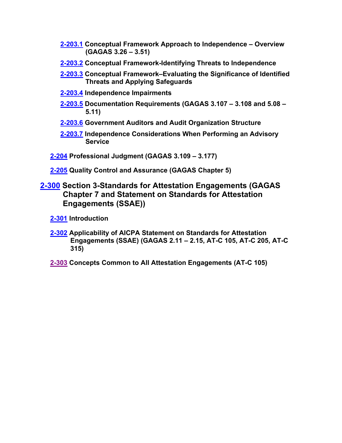- <span id="page-2-0"></span>**[2-203.1](#page-15-0) Conceptual Framework Approach to Independence – Overview (GAGAS 3.26 – 3.51)**
- <span id="page-2-1"></span>**[2-203.2](#page-16-0) Conceptual Framework-Identifying Threats to Independence**
- <span id="page-2-2"></span>**[2-203.3](#page-17-0) Conceptual Framework–Evaluating the Significance of Identified Threats and Applying Safeguards**
- <span id="page-2-3"></span>**[2-203.4](#page-18-0) Independence Impairments**
- <span id="page-2-4"></span>**[2-203.5](#page-18-1) Documentation Requirements (GAGAS 3.107 – 3.108 and 5.08 – 5.11)**
- <span id="page-2-5"></span>**[2-203.6](#page-19-0) Government Auditors and Audit Organization Structure**
- <span id="page-2-8"></span><span id="page-2-7"></span><span id="page-2-6"></span>**[2-203.7](#page-19-1) Independence Considerations When Performing an Advisory Service**
- **[2-204](#page-20-0) Professional Judgment (GAGAS 3.109 – 3.177)**
- <span id="page-2-10"></span><span id="page-2-9"></span>**[2-205](#page-22-0) Quality Control and Assurance (GAGAS Chapter 5)**
- **[2-300](#page-23-0) Section 3-Standards for Attestation Engagements (GAGAS Chapter 7 and Statement on Standards for Attestation Engagements (SSAE))**
	- **[2-301](#page-23-1) Introduction**
	- **[2-302](#page-23-2) Applicability of AICPA Statement on Standards for Attestation Engagements (SSAE) (GAGAS 2.11 – 2.15, AT-C 105, AT-C 205, AT-C 315)**
	- **[2-303](#page-23-3) Concepts Common to All Attestation Engagements (AT-C 105)**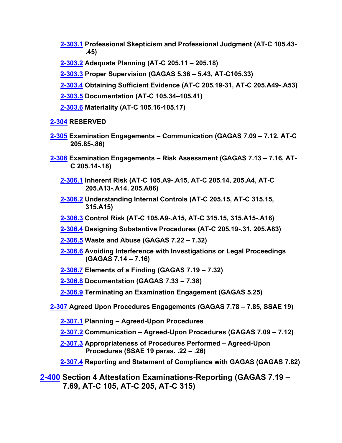- <span id="page-3-0"></span>**[2-303.1](#page-24-0) Professional Skepticism and Professional Judgment (AT-C 105.43- .45)**
- <span id="page-3-1"></span>**[2-303.2](#page-24-1) Adequate Planning (AT-C 205.11 – 205.18)**
- **[2-303.3](#page-25-0) Proper Supervision (GAGAS 5.36 – 5.43, AT-C105.33)**
- **[2-303.4](#page-28-0) Obtaining Sufficient Evidence (AT-C 205.19-31, AT-C 205.A49-.A53)**
- <span id="page-3-3"></span><span id="page-3-2"></span>**[2-303.5](#page-28-1) Documentation (AT-C 105.34–105.41)**
- <span id="page-3-6"></span><span id="page-3-5"></span><span id="page-3-4"></span>**[2-303.6](#page-29-0) Materiality (AT-C 105.16-105.17)**

#### **[2-304](#page-29-1) RESERVED**

- **[2-305](#page-29-2) Examination Engagements – Communication (GAGAS 7.09 – 7.12, AT-C 205.85-.86)**
- <span id="page-3-10"></span><span id="page-3-9"></span><span id="page-3-8"></span><span id="page-3-7"></span>**[2-306](#page-30-0) Examination Engagements – Risk Assessment (GAGAS 7.13 – 7.16, AT-C 205.14-.18)**
	- **[2-306.1](#page-31-0) Inherent Risk (AT-C 105.A9-.A15, AT-C 205.14, 205.A4, AT-C 205.A13-.A14. 205.A86)**
	- **2-306.2 Understanding Internal Controls (AT-C 205.15, AT-C 315.15, 315.A15)**
	- **[2-306.3](#page-33-0) Control Risk (AT-C 105.A9-.A15, AT-C 315.15, 315.A15-.A16)**
	- **[2-306.4](#page-34-0) Designing Substantive Procedures (AT-C 205.19-.31, 205.A83)**
	- **[2-306.5](#page-35-0) Waste and Abuse (GAGAS 7.22 – 7.32)**
	- **[2-306.6](#page-36-0) Avoiding Interference with Investigations or Legal Proceedings (GAGAS 7.14 – 7.16)**
	- **[2-306.7](#page-36-1) Elements of a Finding (GAGAS 7.19 – 7.32)**
	- **[2-306.8](#page-37-0) Documentation (GAGAS 7.33 – 7.38)**
	- **[2-306.9](#page-38-0) Terminating an Examination Engagement (GAGAS 5.25)**
- **[2-307](#page-38-1) Agreed Upon Procedures Engagements (GAGAS 7.78 – 7.85, SSAE 19)**
	- **[2-307.1](#page-39-0) Planning – Agreed-Upon Procedures**
	- **[2-307.2](#page-39-1) Communication – Agreed-Upon Procedures (GAGAS 7.09 – 7.12)**
	- **[2-307.3](#page-40-0) Appropriateness of Procedures Performed – Agreed-Upon Procedures (SSAE 19 paras. .22 – .26)**
	- **[2-307.4](#page-41-0) Reporting and Statement of Compliance with GAGAS (GAGAS 7.82)**
- **[2-400](#page-42-0) Section 4 Attestation Examinations-Reporting (GAGAS 7.19 – 7.69, AT-C 105, AT-C 205, AT-C 315)**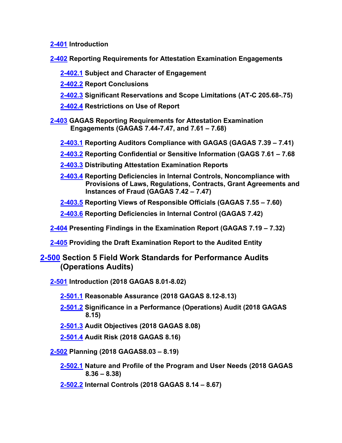**[2-401](#page-42-1) Introduction**

**[2-402](#page-42-2) Reporting Requirements for Attestation Examination Engagements**

- **[2-402.1](#page-43-0) Subject and Character of Engagement**
- **[2-402.2](#page-43-1) Report Conclusions**
- **[2-402.3](#page-43-2) Significant Reservations and Scope Limitations (AT-C 205.68-.75)**
- **[2-402.4](#page-44-0) Restrictions on Use of Report**
- **[2-403](#page-44-1) GAGAS Reporting Requirements for Attestation Examination Engagements (GAGAS 7.44-7.47, and 7.61 – 7.68)**
	- **[2-403.1](#page-45-0) Reporting Auditors Compliance with GAGAS (GAGAS 7.39 – 7.41)**
	- **[2-403.2](#page-45-1) Reporting Confidential or Sensitive Information (GAGS 7.61 – 7.68**
	- **[2-403.3](#page-45-2) Distributing Attestation Examination Reports**
	- **[2-403.4](#page-46-0) Reporting Deficiencies in Internal Controls, Noncompliance with Provisions of Laws, Regulations, Contracts, Grant Agreements and Instances of Fraud (GAGAS 7.42 – 7.47)**
	- **[2-403.5](#page-46-1) Reporting Views of Responsible Officials (GAGAS 7.55 – 7.60)**
	- **[2-403.6](#page-47-0) Reporting Deficiencies in Internal Control (GAGAS 7.42)**
- **[2-404](#page-48-0) Presenting Findings in the Examination Report (GAGAS 7.19 – 7.32)**
- **[2-405](#page-49-0) Providing the Draft Examination Report to the Audited Entity**

## **2-500 Section 5 Field Work Standards for Performance Audits (Operations Audits)**

- **[2-501](#page-49-1) Introduction (2018 GAGAS 8.01-8.02)**
	- **[2-501.1](#page-49-2) Reasonable Assurance (2018 GAGAS 8.12-8.13)**
	- **[2-501.2](#page-50-0) Significance in a Performance (Operations) Audit (2018 GAGAS 8.15)**
	- **[2-501.3](#page-50-1) Audit Objectives (2018 GAGAS 8.08)**
	- **[2-501.4](#page-50-2) Audit Risk (2018 GAGAS 8.16)**
- **[2-502](#page-51-0) Planning (2018 GAGAS8.03 – 8.19)**
	- **[2-502.1](#page-52-0) Nature and Profile of the Program and User Needs (2018 GAGAS 8.36 – 8.38)**
	- **[2-502.2](#page-53-0) Internal Controls (2018 GAGAS 8.14 – 8.67)**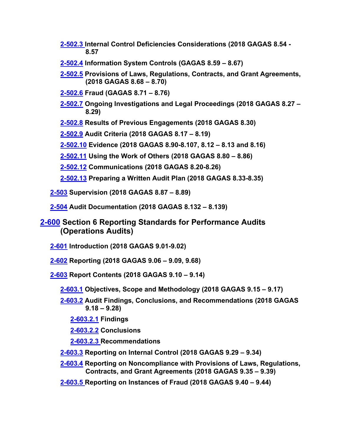- **[2-502.3](#page-55-0) Internal Control Deficiencies Considerations (2018 GAGAS 8.54 - 8.57**
- **[2-502.4](#page-56-0) Information System Controls (GAGAS 8.59 – 8.67)**
- **[2-502.5](#page-57-0) Provisions of Laws, Regulations, Contracts, and Grant Agreements, (2018 GAGAS 8.68 – 8.70)**
- **[2-502.6](#page-58-0) Fraud (GAGAS 8.71 – 8.76)**
- **[2-502.7](#page-59-0) Ongoing Investigations and Legal Proceedings (2018 GAGAS 8.27 – 8.29)**
- **[2-502.8](#page-60-0) Results of Previous Engagements (2018 GAGAS 8.30)**

**[2-502.9](#page-60-1) Audit Criteria (2018 GAGAS 8.17 – 8.19)**

- **[2-502.10](#page-60-2) Evidence (2018 GAGAS 8.90-8.107, 8.12 – 8.13 and 8.16)**
- **[2-502.11](#page-64-0) Using the Work of Others (2018 GAGAS 8.80 – 8.86)**
- **[2-502.12](#page-65-0) Communications (2018 GAGAS 8.20-8.26)**
- **[2-502.13](#page-65-1) Preparing a Written Audit Plan (2018 GAGAS 8.33-8.35)**
- **[2-503](#page-66-0) Supervision (2018 GAGAS 8.87 – 8.89)**
- **[2-504](#page-67-0) Audit Documentation (2018 GAGAS 8.132 – 8.139)**
- **[2-600](#page-68-0) Section 6 Reporting Standards for Performance Audits (Operations Audits)**
	- **[2-601](#page-68-1) Introduction (2018 GAGAS 9.01-9.02)**
	- **[2-602](#page-68-2) Reporting (2018 GAGAS 9.06 – 9.09, 9.68)**
	- **[2-603](#page-69-0) Report Contents (2018 GAGAS 9.10 – 9.14)**
		- **[2-603.1](#page-69-1) Objectives, Scope and Methodology (2018 GAGAS 9.15 – 9.17)**
		- **[2-603.2](#page-70-0) Audit Findings, Conclusions, and Recommendations (2018 GAGAS 9.18 – 9.28)**
			- **[2-603.2.1](#page-70-1) Findings**
			- **[2-603.2.2](#page-71-0) Conclusions**
			- **[2-603.2.3](#page-71-1) Recommendations**
		- **[2-603.3](#page-72-0) Reporting on Internal Control (2018 GAGAS 9.29 – 9.34)**
		- **[2-603.4](#page-72-1) Reporting on Noncompliance with Provisions of Laws, Regulations, Contracts, and Grant Agreements (2018 GAGAS 9.35 – 9.39)**
		- **[2-603.5](#page-73-0) Reporting on Instances of Fraud (2018 GAGAS 9.40 – 9.44)**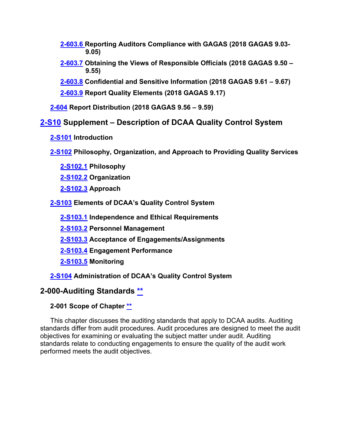**[2-603.6](#page-74-0) Reporting Auditors Compliance with GAGAS (2018 GAGAS 9.03- 9.05)**

- **[2-603.7](#page-74-1) Obtaining the Views of Responsible Officials (2018 GAGAS 9.50 – 9.55)**
- **[2-603.8](#page-75-0) Confidential and Sensitive Information (2018 GAGAS 9.61 – 9.67)**
- **[2-603.9](#page-76-0) Report Quality Elements (2018 GAGAS 9.17)**

**[2-604](#page-77-0) Report Distribution (2018 GAGAS 9.56 – 9.59)**

# **[2-S10](#page-77-1) Supplement – Description of DCAA Quality Control System**

**[2-S101](#page-77-2) Introduction**

**[2-S102](#page-78-0) Philosophy, Organization, and Approach to Providing Quality Services**

**[2-S102.1](#page-78-1) Philosophy**

**[2-S102.2](#page-78-2) Organization**

**[2-S102.3](#page-81-0) Approach**

**[2-S103](#page-82-0) Elements of DCAA's Quality Control System**

**[2-S103.1](#page-82-1) Independence and Ethical Requirements**

**[2-S103.2](#page-87-0) Personnel Management**

**[2-S103.3](#page-92-0) Acceptance of Engagements/Assignments**

**[2-S103.4](#page-93-0) Engagement Performance**

**[2-S103.5](#page-96-0) Monitoring**

## **[2-S104](#page-98-0) Administration of DCAA's Quality Control System**

## <span id="page-6-0"></span>**2-000-Auditing Standards [\\*\\*](#page-1-0)**

## <span id="page-6-1"></span>**2-001 Scope of Chapter [\\*\\*](#page-1-1)**

This chapter discusses the auditing standards that apply to DCAA audits. Auditing standards differ from audit procedures. Audit procedures are designed to meet the audit objectives for examining or evaluating the subject matter under audit. Auditing standards relate to conducting engagements to ensure the quality of the audit work performed meets the audit objectives.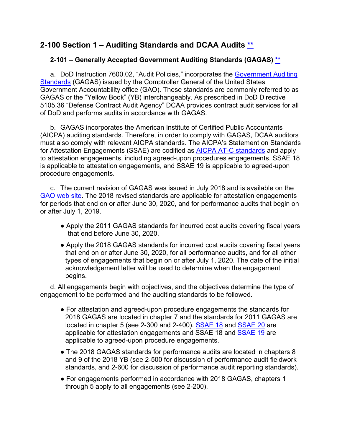# <span id="page-7-0"></span>**2-100 Section 1 – Auditing Standards and DCAA Audits [\\*\\*](#page-1-2)**

## <span id="page-7-1"></span>**2-101 – Generally Accepted Government Auditing Standards (GAGAS) [\\*\\*](#page-1-3)**

a. DoD Instruction 7600.02, "Audit Policies," incorporates the [Government Auditing](http://www.gao.gov/products/GAO-12-331G)  [Standards](http://www.gao.gov/products/GAO-12-331G) (GAGAS) issued by the Comptroller General of the United States Government Accountability office (GAO). These standards are commonly referred to as GAGAS or the "Yellow Book" (YB) interchangeably. As prescribed in DoD Directive 5105.36 "Defense Contract Audit Agency" DCAA provides contract audit services for all of DoD and performs audits in accordance with GAGAS.

b. GAGAS incorporates the American Institute of Certified Public Accountants (AICPA) auditing standards. Therefore, in order to comply with GAGAS, DCAA auditors must also comply with relevant AICPA standards. The AICPA's Statement on Standards for Attestation Engagements (SSAE) are codified as [AICPA AT-C standards](https://www.aicpa.org/research/standards/auditattest/ssae.html) and apply to attestation engagements, including agreed-upon procedures engagements. SSAE 18 is applicable to attestation engagements, and SSAE 19 is applicable to agreed-upon procedure engagements.

c. The current revision of GAGAS was issued in July 2018 and is available on the [GAO web site.](http://www.gao.gov/yellowbook/overview) The 2018 revised standards are applicable for attestation engagements for periods that end on or after June 30, 2020, and for performance audits that begin on or after July 1, 2019.

- Apply the 2011 GAGAS standards for incurred cost audits covering fiscal years that end before June 30, 2020.
- Apply the 2018 GAGAS standards for incurred cost audits covering fiscal years that end on or after June 30, 2020, for all performance audits, and for all other types of engagements that begin on or after July 1, 2020. The date of the initial acknowledgement letter will be used to determine when the engagement begins.

d. All engagements begin with objectives, and the objectives determine the type of engagement to be performed and the auditing standards to be followed.

- For attestation and agreed-upon procedure engagements the standards for 2018 GAGAS are located in chapter 7 and the standards for 2011 GAGAS are located in chapter 5 (see 2-300 and 2-400). **SSAE 18 and [SSAE 20](https://www.aicpa.org/content/dam/aicpa/research/standards/auditattest/downloadabledocuments/ssae-20.pdf) are** applicable for attestation engagements and SSAE 18 and [SSAE 19](https://www.aicpa.org/content/dam/aicpa/research/standards/auditattest/downloadabledocuments/ssae-19.pdf) are applicable to agreed-upon procedure engagements.
- The 2018 GAGAS standards for performance audits are located in chapters 8 and 9 of the 2018 YB (see 2-500 for discussion of performance audit fieldwork standards, and 2-600 for discussion of performance audit reporting standards).
- For engagements performed in accordance with 2018 GAGAS, chapters 1 through 5 apply to all engagements (see 2-200).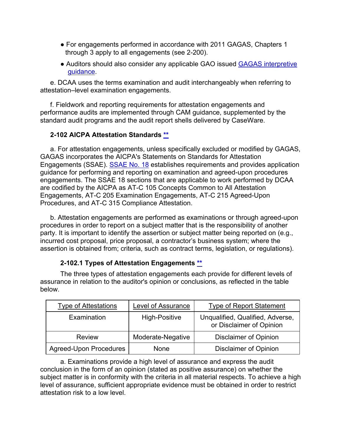- For engagements performed in accordance with 2011 GAGAS, Chapters 1 through 3 apply to all engagements (see 2-200).
- Auditors should also consider any applicable GAO issued **GAGAS** interpretive [guidance.](https://www.gao.gov/yellowbook/overview#gagas_amend)

e. DCAA uses the terms examination and audit interchangeably when referring to attestation–level examination engagements.

f. Fieldwork and reporting requirements for attestation engagements and performance audits are implemented through CAM guidance, supplemented by the standard audit programs and the audit report shells delivered by CaseWare.

## <span id="page-8-0"></span>**2-102 AICPA Attestation Standards [\\*\\*](#page-1-4)**

a. For attestation engagements, unless specifically excluded or modified by GAGAS, GAGAS incorporates the AICPA's Statements on Standards for Attestation Engagements (SSAE). [SSAE No. 18](https://www.aicpa.org/research/standards/auditattest/ssae.html) establishes requirements and provides application guidance for performing and reporting on examination and agreed-upon procedures engagements. The SSAE 18 sections that are applicable to work performed by DCAA are codified by the AICPA as AT-C 105 Concepts Common to All Attestation Engagements, AT-C 205 Examination Engagements, AT-C 215 Agreed-Upon Procedures, and AT-C 315 Compliance Attestation.

b. Attestation engagements are performed as examinations or through agreed-upon procedures in order to report on a subject matter that is the responsibility of another party. It is important to identify the assertion or subject matter being reported on (e.g., incurred cost proposal, price proposal, a contractor's business system; where the assertion is obtained from; criteria, such as contract terms, legislation, or regulations).

## **2-102.1 Types of Attestation Engagements [\\*\\*](#page-1-5)**

<span id="page-8-1"></span>The three types of attestation engagements each provide for different levels of assurance in relation to the auditor's opinion or conclusions, as reflected in the table below.

| <b>Type of Attestations</b>   | Level of Assurance   | <b>Type of Report Statement</b>                              |
|-------------------------------|----------------------|--------------------------------------------------------------|
| Examination                   | <b>High-Positive</b> | Unqualified, Qualified, Adverse,<br>or Disclaimer of Opinion |
| <b>Review</b>                 | Moderate-Negative    | <b>Disclaimer of Opinion</b>                                 |
| <b>Agreed-Upon Procedures</b> | None                 | <b>Disclaimer of Opinion</b>                                 |

a. Examinations provide a high level of assurance and express the audit conclusion in the form of an opinion (stated as positive assurance) on whether the subject matter is in conformity with the criteria in all material respects. To achieve a high level of assurance, sufficient appropriate evidence must be obtained in order to restrict attestation risk to a low level.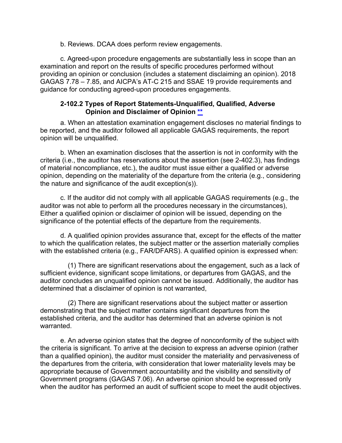b. Reviews. DCAA does perform review engagements.

c. Agreed-upon procedure engagements are substantially less in scope than an examination and report on the results of specific procedures performed without providing an opinion or conclusion (includes a statement disclaiming an opinion). 2018 GAGAS 7.78 – 7.85, and AICPA's AT-C 215 and SSAE 19 provide requirements and guidance for conducting agreed-upon procedures engagements.

#### **2-102.2 Types of Report Statements-Unqualified, Qualified, Adverse Opinion and Disclaimer of Opinion [\\*\\*](#page-1-6)**

<span id="page-9-0"></span>a. When an attestation examination engagement discloses no material findings to be reported, and the auditor followed all applicable GAGAS requirements, the report opinion will be unqualified.

b. When an examination discloses that the assertion is not in conformity with the criteria (i.e., the auditor has reservations about the assertion (see 2-402.3), has findings of material noncompliance, etc.), the auditor must issue either a qualified or adverse opinion, depending on the materiality of the departure from the criteria (e.g., considering the nature and significance of the audit exception(s)).

c. If the auditor did not comply with all applicable GAGAS requirements (e.g., the auditor was not able to perform all the procedures necessary in the circumstances), Either a qualified opinion or disclaimer of opinion will be issued, depending on the significance of the potential effects of the departure from the requirements.

d. A qualified opinion provides assurance that, except for the effects of the matter to which the qualification relates, the subject matter or the assertion materially complies with the established criteria (e.g., FAR/DFARS). A qualified opinion is expressed when:

(1) There are significant reservations about the engagement, such as a lack of sufficient evidence, significant scope limitations, or departures from GAGAS, and the auditor concludes an unqualified opinion cannot be issued. Additionally, the auditor has determined that a disclaimer of opinion is not warranted,

(2) There are significant reservations about the subject matter or assertion demonstrating that the subject matter contains significant departures from the established criteria, and the auditor has determined that an adverse opinion is not warranted.

e. An adverse opinion states that the degree of nonconformity of the subject with the criteria is significant. To arrive at the decision to express an adverse opinion (rather than a qualified opinion), the auditor must consider the materiality and pervasiveness of the departures from the criteria, with consideration that lower materiality levels may be appropriate because of Government accountability and the visibility and sensitivity of Government programs (GAGAS 7.06). An adverse opinion should be expressed only when the auditor has performed an audit of sufficient scope to meet the audit objectives.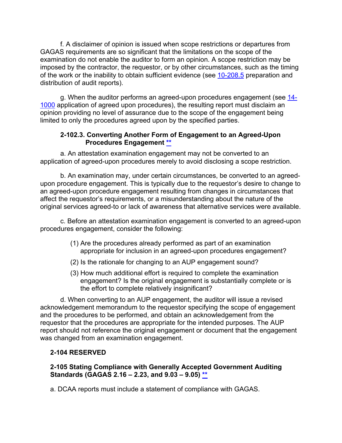f. A disclaimer of opinion is issued when scope restrictions or departures from GAGAS requirements are so significant that the limitations on the scope of the examination do not enable the auditor to form an opinion. A scope restriction may be imposed by the contractor, the requestor, or by other circumstances, such as the timing of the work or the inability to obtain sufficient evidence (see [10-208.5](https://viper.dcaa.mil/guidance/cam/3147/preparation-and-distribution-of-audit-reports#Sec102085) preparation and distribution of audit reports).

g. When the auditor performs an agreed-upon procedures engagement (see [14-](https://viper.dcaa.mil/guidance/cam/3158/other-contract-audit-assignments#Sec141000) [1000](https://viper.dcaa.mil/guidance/cam/3158/other-contract-audit-assignments#Sec141000) application of agreed upon procedures), the resulting report must disclaim an opinion providing no level of assurance due to the scope of the engagement being limited to only the procedures agreed upon by the specified parties.

#### **2-102.3. Converting Another Form of Engagement to an Agreed-Upon Procedures Engagement [\\*\\*](#page-1-7)**

<span id="page-10-0"></span>a. An attestation examination engagement may not be converted to an application of agreed-upon procedures merely to avoid disclosing a scope restriction.

b. An examination may, under certain circumstances, be converted to an agreedupon procedure engagement. This is typically due to the requestor's desire to change to an agreed-upon procedure engagement resulting from changes in circumstances that affect the requestor's requirements, or a misunderstanding about the nature of the original services agreed-to or lack of awareness that alternative services were available.

c. Before an attestation examination engagement is converted to an agreed-upon procedures engagement, consider the following:

- (1) Are the procedures already performed as part of an examination appropriate for inclusion in an agreed-upon procedures engagement?
- (2) Is the rationale for changing to an AUP engagement sound?
- (3) How much additional effort is required to complete the examination engagement? Is the original engagement is substantially complete or is the effort to complete relatively insignificant?

d. When converting to an AUP engagement, the auditor will issue a revised acknowledgement memorandum to the requestor specifying the scope of engagement and the procedures to be performed, and obtain an acknowledgement from the requestor that the procedures are appropriate for the intended purposes. The AUP report should not reference the original engagement or document that the engagement was changed from an examination engagement.

## <span id="page-10-1"></span>**2-104 RESERVED**

#### <span id="page-10-2"></span>**2-105 Stating Compliance with Generally Accepted Government Auditing Standards (GAGAS 2.16 – 2.23, and 9.03 – 9.05) [\\*\\*](#page-1-8)**

a. DCAA reports must include a statement of compliance with GAGAS.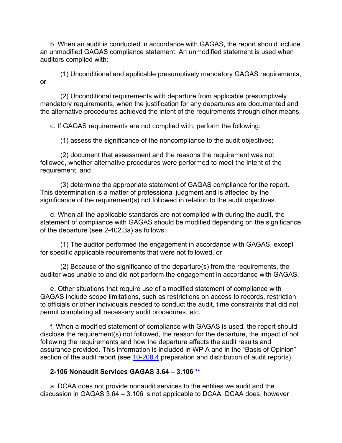b. When an audit is conducted in accordance with GAGAS, the report should include an unmodified GAGAS compliance statement. An unmodified statement is used when auditors complied with:

(1) Unconditional and applicable presumptively mandatory GAGAS requirements, or

(2) Unconditional requirements with departure from applicable presumptively mandatory requirements, when the justification for any departures are documented and the alternative procedures achieved the intent of the requirements through other means.

c. If GAGAS requirements are not complied with, perform the following:

(1) assess the significance of the noncompliance to the audit objectives;

(2) document that assessment and the reasons the requirement was not followed, whether alternative procedures were performed to meet the intent of the requirement, and

(3) determine the appropriate statement of GAGAS compliance for the report. This determination is a matter of professional judgment and is affected by the significance of the requirement(s) not followed in relation to the audit objectives.

d. When all the applicable standards are not complied with during the audit, the statement of compliance with GAGAS should be modified depending on the significance of the departure (see 2-402.3a) as follows:

(1) The auditor performed the engagement in accordance with GAGAS, except for specific applicable requirements that were not followed, or

(2) Because of the significance of the departure(s) from the requirements, the auditor was unable to and did not perform the engagement in accordance with GAGAS.

e. Other situations that require use of a modified statement of compliance with GAGAS include scope limitations, such as restrictions on access to records, restriction to officials or other individuals needed to conduct the audit, time constraints that did not permit completing all necessary audit procedures, etc.

f. When a modified statement of compliance with GAGAS is used, the report should disclose the requirement(s) not followed, the reason for the departure, the impact of not following the requirements and how the departure affects the audit results and assurance provided. This information is included in WP A and in the "Basis of Opinion" section of the audit report (see [10-208.4](https://viper.dcaa.mil/guidance/cam/3147/preparation-and-distribution-of-audit-reports#Sec102084) preparation and distribution of audit reports).

#### <span id="page-11-0"></span>**2-106 Nonaudit Services GAGAS 3.64 – 3.106 [\\*\\*](#page-1-9)**

a. DCAA does not provide nonaudit services to the entities we audit and the discussion in GAGAS 3.64 – 3.106 is not applicable to DCAA. DCAA does, however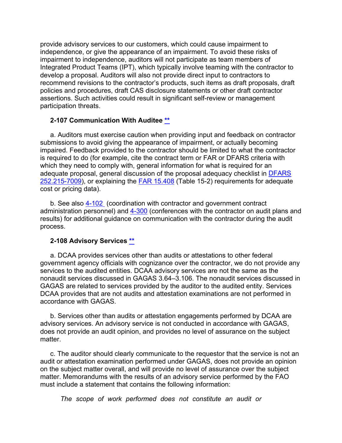provide advisory services to our customers, which could cause impairment to independence, or give the appearance of an impairment. To avoid these risks of impairment to independence, auditors will not participate as team members of Integrated Product Teams (IPT), which typically involve teaming with the contractor to develop a proposal. Auditors will also not provide direct input to contractors to recommend revisions to the contractor's products, such items as draft proposals, draft policies and procedures, draft CAS disclosure statements or other draft contractor assertions. Such activities could result in significant self-review or management participation threats.

#### <span id="page-12-0"></span>**2-107 Communication With Auditee [\\*\\*](#page-1-8)**

a. Auditors must exercise caution when providing input and feedback on contractor submissions to avoid giving the appearance of impairment, or actually becoming impaired. Feedback provided to the contractor should be limited to what the contractor is required to do (for example, cite the contract term or FAR or DFARS criteria with which they need to comply with, general information for what is required for an adequate proposal, general discussion of the proposal adequacy checklist in [DFARS](http://www.ecfr.gov/cgi-bin/text-idx?SID=268c9477037914a656db84c6ec7466fd&mc=true&node=se48.3.252_1215_67009&rgn=div8)  [252.215-7009\)](http://www.ecfr.gov/cgi-bin/text-idx?SID=268c9477037914a656db84c6ec7466fd&mc=true&node=se48.3.252_1215_67009&rgn=div8), or explaining the [FAR 15.408](http://www.ecfr.gov/cgi-bin/text-idx?SID=f763e90d35ad1473c6f8c539a3465b1f&mc=true&node=se48.1.15_1408&rgn=div8) (Table 15-2) requirements for adequate cost or pricing data).

b. See also [4-102](https://viper.dcaa.mil/guidance/cam/3130/general-audit-requirements/#Sec4102) (coordination with contractor and government contract administration personnel) and [4-300](https://viper.dcaa.mil/guidance/cam/3130/general-audit-requirements#Sec4300https://viper.dcaa.mil/guidance/cam/3130/general-audit-requirements) (conferences with the contractor on audit plans and results) for additional guidance on communication with the contractor during the audit process.

#### **2-108 Advisory Services [\\*\\*](#page-1-10)**

a. DCAA provides services other than audits or attestations to other federal government agency officials with cognizance over the contractor, we do not provide any services to the audited entities. DCAA advisory services are not the same as the nonaudit services discussed in GAGAS 3.64–3.106. The nonaudit services discussed in GAGAS are related to services provided by the auditor to the audited entity. Services DCAA provides that are not audits and attestation examinations are not performed in accordance with GAGAS.

b. Services other than audits or attestation engagements performed by DCAA are advisory services. An advisory service is not conducted in accordance with GAGAS, does not provide an audit opinion, and provides no level of assurance on the subject matter.

c. The auditor should clearly communicate to the requestor that the service is not an audit or attestation examination performed under GAGAS, does not provide an opinion on the subject matter overall, and will provide no level of assurance over the subject matter. Memorandums with the results of an advisory service performed by the FAO must include a statement that contains the following information:

*The scope of work performed does not constitute an audit or*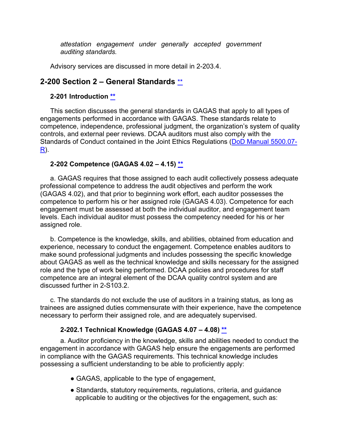*attestation engagement under generally accepted government auditing standards.*

Advisory services are discussed in more detail in 2-203.4.

# <span id="page-13-0"></span>**2-200 Section 2 – General Standards** [\\*\\*](#page-1-11)

## <span id="page-13-1"></span>**2-201 Introduction [\\*\\*](#page-1-12)**

This section discusses the general standards in GAGAS that apply to all types of engagements performed in accordance with GAGAS. These standards relate to competence, independence, professional judgment, the organization's system of quality controls, and external peer reviews. DCAA auditors must also comply with the Standards of Conduct contained in the Joint Ethics Regulations [\(DoD Manual 5500.07-](https://www.esd.whs.mil/Portals/54/Documents/DD/issuances/dodm/550007r.pdf?ver=2019-04-03-110847-370) [R\)](https://www.esd.whs.mil/Portals/54/Documents/DD/issuances/dodm/550007r.pdf?ver=2019-04-03-110847-370).

## <span id="page-13-2"></span>**2-202 Competence (GAGAS 4.02 – 4.15) [\\*\\*](#page-1-13)**

a. GAGAS requires that those assigned to each audit collectively possess adequate professional competence to address the audit objectives and perform the work (GAGAS 4.02), and that prior to beginning work effort, each auditor possesses the competence to perform his or her assigned role (GAGAS 4.03). Competence for each engagement must be assessed at both the individual auditor, and engagement team levels. Each individual auditor must possess the competency needed for his or her assigned role.

b. Competence is the knowledge, skills, and abilities, obtained from education and experience, necessary to conduct the engagement. Competence enables auditors to make sound professional judgments and includes possessing the specific knowledge about GAGAS as well as the technical knowledge and skills necessary for the assigned role and the type of work being performed. DCAA policies and procedures for staff competence are an integral element of the DCAA quality control system and are discussed further in 2-S103.2.

c. The standards do not exclude the use of auditors in a training status, as long as trainees are assigned duties commensurate with their experience, have the competence necessary to perform their assigned role, and are adequately supervised.

#### **2-202.1 Technical Knowledge (GAGAS 4.07 – 4.08) [\\*\\*](#page-1-14)**

<span id="page-13-3"></span>a. Auditor proficiency in the knowledge, skills and abilities needed to conduct the engagement in accordance with GAGAS help ensure the engagements are performed in compliance with the GAGAS requirements. This technical knowledge includes possessing a sufficient understanding to be able to proficiently apply:

- GAGAS, applicable to the type of engagement,
- Standards, statutory requirements, regulations, criteria, and guidance applicable to auditing or the objectives for the engagement, such as: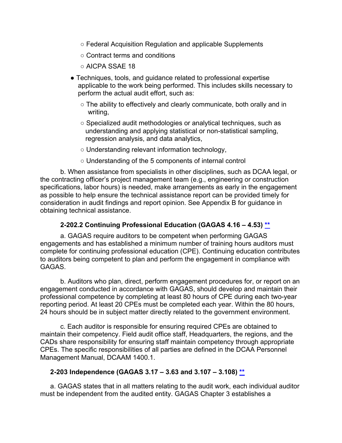- Federal Acquisition Regulation and applicable Supplements
- Contract terms and conditions
- AICPA SSAE 18
- Techniques, tools, and guidance related to professional expertise applicable to the work being performed. This includes skills necessary to perform the actual audit effort, such as:
	- The ability to effectively and clearly communicate, both orally and in writing,
	- Specialized audit methodologies or analytical techniques, such as understanding and applying statistical or non-statistical sampling, regression analysis, and data analytics,
	- Understanding relevant information technology,
	- Understanding of the 5 components of internal control

b. When assistance from specialists in other disciplines, such as DCAA legal, or the contracting officer's project management team (e.g., engineering or construction specifications, labor hours) is needed, make arrangements as early in the engagement as possible to help ensure the technical assistance report can be provided timely for consideration in audit findings and report opinion. See Appendix B for guidance in obtaining technical assistance.

#### **2-202.2 Continuing Professional Education (GAGAS 4.16 – 4.53) [\\*\\*](#page-1-15)**

<span id="page-14-0"></span>a. GAGAS require auditors to be competent when performing GAGAS engagements and has established a minimum number of training hours auditors must complete for continuing professional education (CPE). Continuing education contributes to auditors being competent to plan and perform the engagement in compliance with GAGAS.

b. Auditors who plan, direct, perform engagement procedures for, or report on an engagement conducted in accordance with GAGAS, should develop and maintain their professional competence by completing at least 80 hours of CPE during each two-year reporting period. At least 20 CPEs must be completed each year. Within the 80 hours, 24 hours should be in subject matter directly related to the government environment.

c. Each auditor is responsible for ensuring required CPEs are obtained to maintain their competency. Field audit office staff, Headquarters, the regions, and the CADs share responsibility for ensuring staff maintain competency through appropriate CPEs. The specific responsibilities of all parties are defined in the DCAA Personnel Management Manual, DCAAM 1400.1.

#### <span id="page-14-1"></span>**2-203 Independence (GAGAS 3.17 – 3.63 and 3.107 – 3.108) [\\*\\*](#page-1-16)**

a. GAGAS states that in all matters relating to the audit work, each individual auditor must be independent from the audited entity. GAGAS Chapter 3 establishes a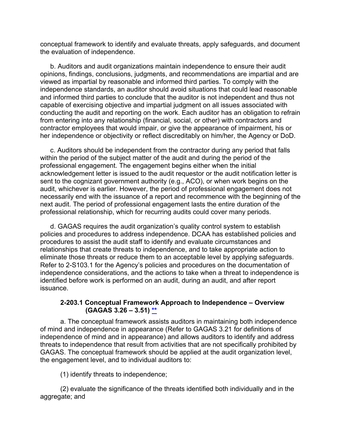conceptual framework to identify and evaluate threats, apply safeguards, and document the evaluation of independence.

b. Auditors and audit organizations maintain independence to ensure their audit opinions, findings, conclusions, judgments, and recommendations are impartial and are viewed as impartial by reasonable and informed third parties. To comply with the independence standards, an auditor should avoid situations that could lead reasonable and informed third parties to conclude that the auditor is not independent and thus not capable of exercising objective and impartial judgment on all issues associated with conducting the audit and reporting on the work. Each auditor has an obligation to refrain from entering into any relationship (financial, social, or other) with contractors and contractor employees that would impair, or give the appearance of impairment, his or her independence or objectivity or reflect discreditably on him/her, the Agency or DoD.

c. Auditors should be independent from the contractor during any period that falls within the period of the subject matter of the audit and during the period of the professional engagement. The engagement begins either when the initial acknowledgement letter is issued to the audit requestor or the audit notification letter is sent to the cognizant government authority (e.g., ACO), or when work begins on the audit, whichever is earlier. However, the period of professional engagement does not necessarily end with the issuance of a report and recommence with the beginning of the next audit. The period of professional engagement lasts the entire duration of the professional relationship, which for recurring audits could cover many periods.

d. GAGAS requires the audit organization's quality control system to establish policies and procedures to address independence. DCAA has established policies and procedures to assist the audit staff to identify and evaluate circumstances and relationships that create threats to independence, and to take appropriate action to eliminate those threats or reduce them to an acceptable level by applying safeguards. Refer to 2-S103.1 for the Agency's policies and procedures on the documentation of independence considerations, and the actions to take when a threat to independence is identified before work is performed on an audit, during an audit, and after report issuance.

#### **2-203.1 Conceptual Framework Approach to Independence – Overview (GAGAS 3.26 – 3.51) [\\*\\*](#page-2-0)**

<span id="page-15-0"></span>a. The conceptual framework assists auditors in maintaining both independence of mind and independence in appearance (Refer to GAGAS 3.21 for definitions of independence of mind and in appearance) and allows auditors to identify and address threats to independence that result from activities that are not specifically prohibited by GAGAS. The conceptual framework should be applied at the audit organization level, the engagement level, and to individual auditors to:

(1) identify threats to independence;

(2) evaluate the significance of the threats identified both individually and in the aggregate; and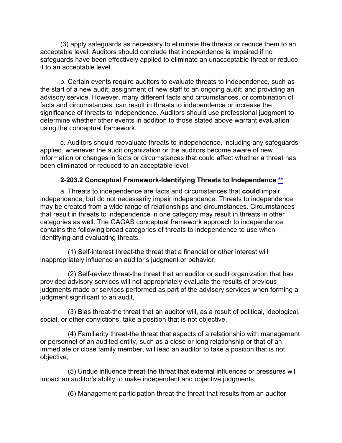(3) apply safeguards as necessary to eliminate the threats or reduce them to an acceptable level. Auditors should conclude that independence is impaired if no safeguards have been effectively applied to eliminate an unacceptable threat or reduce it to an acceptable level.

b. Certain events require auditors to evaluate threats to independence, such as the start of a new audit; assignment of new staff to an ongoing audit; and providing an advisory service. However, many different facts and circumstances, or combination of facts and circumstances, can result in threats to independence or increase the significance of threats to independence. Auditors should use professional judgment to determine whether other events in addition to those stated above warrant evaluation using the conceptual framework.

c. Auditors should reevaluate threats to independence, including any safeguards applied, whenever the audit organization or the auditors become aware of new information or changes in facts or circumstances that could affect whether a threat has been eliminated or reduced to an acceptable level.

#### **2-203.2 Conceptual Framework-Identifying Threats to Independence [\\*\\*](#page-2-1)**

<span id="page-16-0"></span>a. Threats to independence are facts and circumstances that **could** impair independence, but do not necessarily impair independence. Threats to independence may be created from a wide range of relationships and circumstances. Circumstances that result in threats to independence in one category may result in threats in other categories as well. The GAGAS conceptual framework approach to independence contains the following broad categories of threats to independence to use when identifying and evaluating threats.

(1) Self-interest threat-the threat that a financial or other interest will inappropriately influence an auditor's judgment or behavior,

(2) Self-review threat-the threat that an auditor or audit organization that has provided advisory services will not appropriately evaluate the results of previous judgments made or services performed as part of the advisory services when forming a judgment significant to an audit,

(3) Bias threat-the threat that an auditor will, as a result of political, ideological, social, or other convictions, take a position that is not objective,

(4) Familiarity threat-the threat that aspects of a relationship with management or personnel of an audited entity, such as a close or long relationship or that of an immediate or close family member, will lead an auditor to take a position that is not objective,

(5) Undue influence threat-the threat that external influences or pressures will impact an auditor's ability to make independent and objective judgments,

(6) Management participation threat-the threat that results from an auditor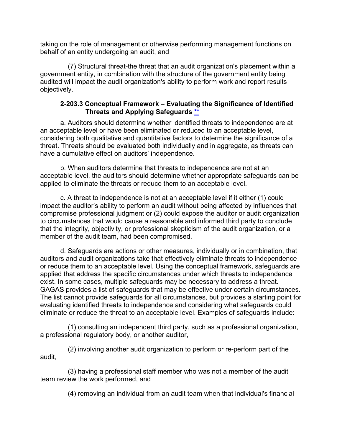taking on the role of management or otherwise performing management functions on behalf of an entity undergoing an audit, and

(7) Structural threat-the threat that an audit organization's placement within a government entity, in combination with the structure of the government entity being audited will impact the audit organization's ability to perform work and report results objectively.

#### **2-203.3 Conceptual Framework – Evaluating the Significance of Identified Threats and Applying Safeguards [\\*\\*](#page-2-2)**

<span id="page-17-0"></span>a. Auditors should determine whether identified threats to independence are at an acceptable level or have been eliminated or reduced to an acceptable level, considering both qualitative and quantitative factors to determine the significance of a threat. Threats should be evaluated both individually and in aggregate, as threats can have a cumulative effect on auditors' independence.

b. When auditors determine that threats to independence are not at an acceptable level, the auditors should determine whether appropriate safeguards can be applied to eliminate the threats or reduce them to an acceptable level.

c. A threat to independence is not at an acceptable level if it either (1) could impact the auditor's ability to perform an audit without being affected by influences that compromise professional judgment or (2) could expose the auditor or audit organization to circumstances that would cause a reasonable and informed third party to conclude that the integrity, objectivity, or professional skepticism of the audit organization, or a member of the audit team, had been compromised.

d. Safeguards are actions or other measures, individually or in combination, that auditors and audit organizations take that effectively eliminate threats to independence or reduce them to an acceptable level. Using the conceptual framework, safeguards are applied that address the specific circumstances under which threats to independence exist. In some cases, multiple safeguards may be necessary to address a threat. GAGAS provides a list of safeguards that may be effective under certain circumstances. The list cannot provide safeguards for all circumstances, but provides a starting point for evaluating identified threats to independence and considering what safeguards could eliminate or reduce the threat to an acceptable level. Examples of safeguards include:

(1) consulting an independent third party, such as a professional organization, a professional regulatory body, or another auditor,

(2) involving another audit organization to perform or re-perform part of the audit,

(3) having a professional staff member who was not a member of the audit team review the work performed, and

(4) removing an individual from an audit team when that individual's financial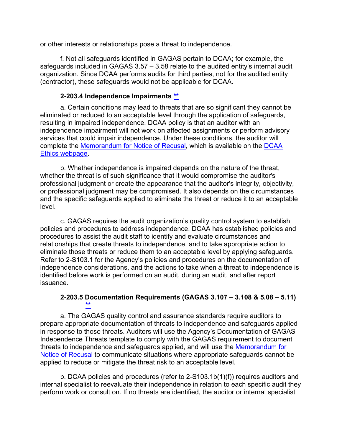or other interests or relationships pose a threat to independence.

f. Not all safeguards identified in GAGAS pertain to DCAA; for example, the safeguards included in GAGAS  $3.57 - 3.58$  relate to the audited entity's internal audit organization. Since DCAA performs audits for third parties, not for the audited entity (contractor), these safeguards would not be applicable for DCAA.

#### **2-203.4 Independence Impairments [\\*\\*](#page-2-3)**

<span id="page-18-0"></span>a. Certain conditions may lead to threats that are so significant they cannot be eliminated or reduced to an acceptable level through the application of safeguards, resulting in impaired independence. DCAA policy is that an auditor with an independence impairment will not work on affected assignments or perform advisory services that could impair independence. Under these conditions, the auditor will complete the [Memorandum for Notice of Recusal,](https://sharepoint.dcaaintra.mil/headquarters/resources/cpp/OGC/ethics/conflictsofinterest/Documents/Disqualification%20Form%20for%20Conflict%20of%20Interest%20or%20Threat%20to%20Independence.pdf) which is available on the [DCAA](https://sharepoint.dcaaintra.mil/headquarters/resources/cpp/OGC/ethics/eni/SitePages/Home.aspx)  [Ethics webpage.](https://sharepoint.dcaaintra.mil/headquarters/resources/cpp/OGC/ethics/eni/SitePages/Home.aspx)

b. Whether independence is impaired depends on the nature of the threat, whether the threat is of such significance that it would compromise the auditor's professional judgment or create the appearance that the auditor's integrity, objectivity, or professional judgment may be compromised. It also depends on the circumstances and the specific safeguards applied to eliminate the threat or reduce it to an acceptable level.

c. GAGAS requires the audit organization's quality control system to establish policies and procedures to address independence. DCAA has established policies and procedures to assist the audit staff to identify and evaluate circumstances and relationships that create threats to independence, and to take appropriate action to eliminate those threats or reduce them to an acceptable level by applying safeguards. Refer to 2-S103.1 for the Agency's policies and procedures on the documentation of independence considerations, and the actions to take when a threat to independence is identified before work is performed on an audit, during an audit, and after report issuance.

#### **2-203.5 Documentation Requirements (GAGAS 3.107 – 3.108 & 5.08 – 5.11) [\\*\\*](#page-2-4)**

<span id="page-18-1"></span>a. The GAGAS quality control and assurance standards require auditors to prepare appropriate documentation of threats to independence and safeguards applied in response to those threats. Auditors will use the Agency's [Documentation of GAGAS](https://sharepoint.dcaaintra.mil/headquarters/resources/cpp/OGC/ethics/eni/SitePages/Home.aspx)  [Independence Threats](https://sharepoint.dcaaintra.mil/headquarters/resources/cpp/OGC/ethics/eni/SitePages/Home.aspx) template to comply with the GAGAS requirement to document threats to independence and safeguards applied, and will use the [Memorandum for](https://sharepoint.dcaaintra.mil/headquarters/resources/cpp/OGC/ethics/conflictsofinterest/Documents/Disqualification%20Form%20for%20Conflict%20of%20Interest%20or%20Threat%20to%20Independence.pdf)  [Notice of Recusal](https://sharepoint.dcaaintra.mil/headquarters/resources/cpp/OGC/ethics/conflictsofinterest/Documents/Disqualification%20Form%20for%20Conflict%20of%20Interest%20or%20Threat%20to%20Independence.pdf) to communicate situations where appropriate safeguards cannot be applied to reduce or mitigate the threat risk to an acceptable level.

b. DCAA policies and procedures (refer to 2-S103.1b(1)(f)) requires auditors and internal specialist to reevaluate their independence in relation to each specific audit they perform work or consult on. If no threats are identified, the auditor or internal specialist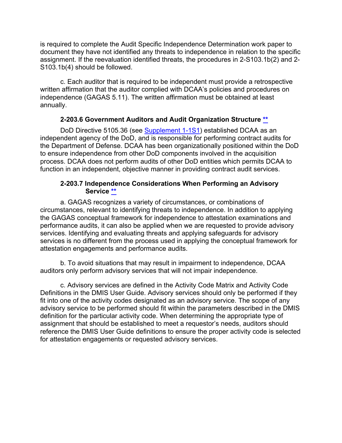is required to complete the Audit Specific Independence Determination work paper to document they have not identified any threats to independence in relation to the specific assignment. If the reevaluation identified threats, the procedures in 2-S103.1b(2) and 2- S103.1b(4) should be followed.

c. Each auditor that is required to be independent must provide a retrospective written affirmation that the auditor complied with DCAA's policies and procedures on independence (GAGAS 5.11). The written affirmation must be obtained at least annually.

#### **2-203.6 Government Auditors and Audit Organization Structure [\\*\\*](#page-2-5)**

<span id="page-19-0"></span>DoD Directive 5105.36 (see [Supplement 1-1S1\)](https://viper.dcaa.mil/guidance/cam/3127/introduction-to-contract-audit#Supplement11S11) established DCAA as an independent agency of the DoD, and is responsible for performing contract audits for the Department of Defense. DCAA has been organizationally positioned within the DoD to ensure independence from other DoD components involved in the acquisition process. DCAA does not perform audits of other DoD entities which permits DCAA to function in an independent, objective manner in providing contract audit services.

#### **2-203.7 Independence Considerations When Performing an Advisory Service [\\*\\*](#page-2-6)**

<span id="page-19-1"></span>a. GAGAS recognizes a variety of circumstances, or combinations of circumstances, relevant to identifying threats to independence. In addition to applying the GAGAS conceptual framework for independence to attestation examinations and performance audits, it can also be applied when we are requested to provide advisory services. Identifying and evaluating threats and applying safeguards for advisory services is no different from the process used in applying the conceptual framework for attestation engagements and performance audits.

b. To avoid situations that may result in impairment to independence, DCAA auditors only perform advisory services that will not impair independence.

c. Advisory services are defined in the Activity Code Matrix and Activity Code Definitions in the DMIS User Guide. Advisory services should only be performed if they fit into one of the activity codes designated as an advisory service. The scope of any advisory service to be performed should fit within the parameters described in the DMIS definition for the particular activity code. When determining the appropriate type of assignment that should be established to meet a requestor's needs, auditors should reference the DMIS User Guide definitions to ensure the proper activity code is selected for attestation engagements or requested advisory services.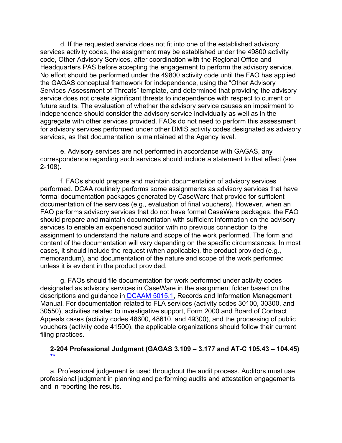d. If the requested service does not fit into one of the established advisory services activity codes, the assignment may be established under the 49800 activity code, Other Advisory Services, after coordination with the Regional Office and Headquarters PAS before accepting the engagement to perform the advisory service. No effort should be performed under the 49800 activity code until the FAO has applied the GAGAS conceptual framework for independence, using the "Other Advisory Services-Assessment of Threats" template, and determined that providing the advisory service does not create significant threats to independence with respect to current or future audits. The evaluation of whether the advisory service causes an impairment to independence should consider the advisory service individually as well as in the aggregate with other services provided. FAOs do not need to perform this assessment for advisory services performed under other DMIS activity codes designated as advisory services, as that documentation is maintained at the Agency level.

e. Advisory services are not performed in accordance with GAGAS, any correspondence regarding such services should include a statement to that effect (see 2-108).

f. FAOs should prepare and maintain documentation of advisory services performed. DCAA routinely performs some assignments as advisory services that have formal documentation packages generated by CaseWare that provide for sufficient documentation of the services (e.g., evaluation of final vouchers). However, when an FAO performs advisory services that do not have formal CaseWare packages, the FAO should prepare and maintain documentation with sufficient information on the advisory services to enable an experienced auditor with no previous connection to the assignment to understand the nature and scope of the work performed. The form and content of the documentation will vary depending on the specific circumstances. In most cases, it should include the request (when applicable), the product provided (e.g., memorandum), and documentation of the nature and scope of the work performed unless it is evident in the product provided.

g. FAOs should file documentation for work performed under activity codes designated as advisory services in CaseWare in the assignment folder based on the descriptions and guidance in [DCAAM 5015.1,](https://sharepoint.dcaaintra.mil/headquarters/resources/CM/CMC/Publications/Publications/DCAAM%205015.1.pdf) Records and Information Management Manual. For documentation related to FLA services (activity codes 30100, 30300, and 30550), activities related to investigative support, Form 2000 and Board of Contract Appeals cases (activity codes 48600, 48610, and 49300), and the processing of public vouchers (activity code 41500), the applicable organizations should follow their current filing practices.

#### <span id="page-20-0"></span>**2-204 Professional Judgment (GAGAS 3.109 – 3.177 and AT-C 105.43 – 104.45) [\\*\\*](#page-2-7)**

a. Professional judgement is used throughout the audit process. Auditors must use professional judgment in planning and performing audits and attestation engagements and in reporting the results.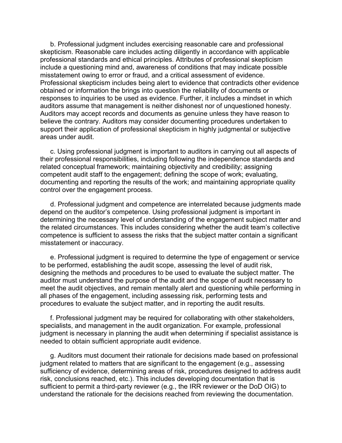b. Professional judgment includes exercising reasonable care and professional skepticism. Reasonable care includes acting diligently in accordance with applicable professional standards and ethical principles. Attributes of professional skepticism include a questioning mind and, awareness of conditions that may indicate possible misstatement owing to error or fraud, and a critical assessment of evidence. Professional skepticism includes being alert to evidence that contradicts other evidence obtained or information the brings into question the reliability of documents or responses to inquiries to be used as evidence. Further, it includes a mindset in which auditors assume that management is neither dishonest nor of unquestioned honesty. Auditors may accept records and documents as genuine unless they have reason to believe the contrary. Auditors may consider documenting procedures undertaken to support their application of professional skepticism in highly judgmental or subjective areas under audit.

c. Using professional judgment is important to auditors in carrying out all aspects of their professional responsibilities, including following the independence standards and related conceptual framework; maintaining objectivity and credibility; assigning competent audit staff to the engagement; defining the scope of work; evaluating, documenting and reporting the results of the work; and maintaining appropriate quality control over the engagement process.

d. Professional judgment and competence are interrelated because judgments made depend on the auditor's competence. Using professional judgment is important in determining the necessary level of understanding of the engagement subject matter and the related circumstances. This includes considering whether the audit team's collective competence is sufficient to assess the risks that the subject matter contain a significant misstatement or inaccuracy.

e. Professional judgment is required to determine the type of engagement or service to be performed, establishing the audit scope, assessing the level of audit risk, designing the methods and procedures to be used to evaluate the subject matter. The auditor must understand the purpose of the audit and the scope of audit necessary to meet the audit objectives, and remain mentally alert and questioning while performing in all phases of the engagement, including assessing risk, performing tests and procedures to evaluate the subject matter, and in reporting the audit results.

f. Professional judgment may be required for collaborating with other stakeholders, specialists, and management in the audit organization. For example, professional judgment is necessary in planning the audit when determining if specialist assistance is needed to obtain sufficient appropriate audit evidence.

g. Auditors must document their rationale for decisions made based on professional judgment related to matters that are significant to the engagement (e.g., assessing sufficiency of evidence, determining areas of risk, procedures designed to address audit risk, conclusions reached, etc.). This includes developing documentation that is sufficient to permit a third-party reviewer (e.g., the IRR reviewer or the DoD OIG) to understand the rationale for the decisions reached from reviewing the documentation.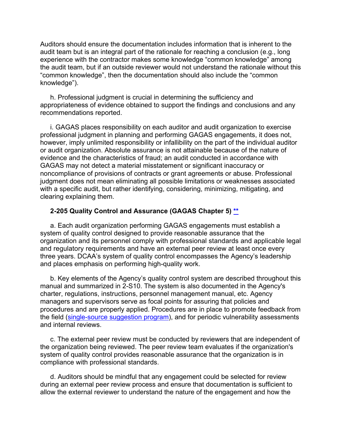Auditors should ensure the documentation includes information that is inherent to the audit team but is an integral part of the rationale for reaching a conclusion (e.g., long experience with the contractor makes some knowledge "common knowledge" among the audit team, but if an outside reviewer would not understand the rationale without this "common knowledge", then the documentation should also include the "common knowledge").

h. Professional judgment is crucial in determining the sufficiency and appropriateness of evidence obtained to support the findings and conclusions and any recommendations reported.

i. GAGAS places responsibility on each auditor and audit organization to exercise professional judgment in planning and performing GAGAS engagements, it does not, however, imply unlimited responsibility or infallibility on the part of the individual auditor or audit organization. Absolute assurance is not attainable because of the nature of evidence and the characteristics of fraud; an audit conducted in accordance with GAGAS may not detect a material misstatement or significant inaccuracy or noncompliance of provisions of contracts or grant agreements or abuse. Professional judgment does not mean eliminating all possible limitations or weaknesses associated with a specific audit, but rather identifying, considering, minimizing, mitigating, and clearing explaining them.

#### <span id="page-22-0"></span>**2-205 Quality Control and Assurance (GAGAS Chapter 5) [\\*\\*](#page-2-8)**

a. Each audit organization performing GAGAS engagements must establish a system of quality control designed to provide reasonable assurance that the organization and its personnel comply with professional standards and applicable legal and regulatory requirements and have an external peer review at least once every three years. DCAA's system of quality control encompasses the Agency's leadership and places emphasis on performing high-quality work.

b. Key elements of the Agency's quality control system are described throughout this manual and summarized in 2-S10. The system is also documented in the Agency's charter, regulations, instructions, personnel management manual, etc. Agency managers and supervisors serve as focal points for assuring that policies and procedures and are properly applied. Procedures are in place to promote feedback from the field [\(single-source suggestion program\)](https://asp.dcaa.mil/), and for periodic vulnerability assessments and internal reviews.

c. The external peer review must be conducted by reviewers that are independent of the organization being reviewed. The peer review team evaluates if the organization's system of quality control provides reasonable assurance that the organization is in compliance with professional standards.

d. Auditors should be mindful that any engagement could be selected for review during an external peer review process and ensure that documentation is sufficient to allow the external reviewer to understand the nature of the engagement and how the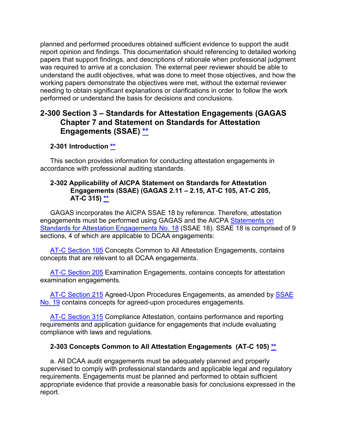planned and performed procedures obtained sufficient evidence to support the audit report opinion and findings. This documentation should referencing to detailed working papers that support findings, and descriptions of rationale when professional judgment was required to arrive at a conclusion. The external peer reviewer should be able to understand the audit objectives, what was done to meet those objectives, and how the working papers demonstrate the objectives were met, without the external reviewer needing to obtain significant explanations or clarifications in order to follow the work performed or understand the basis for decisions and conclusions.

## <span id="page-23-0"></span>**2-300 Section 3 – Standards for Attestation Engagements (GAGAS Chapter 7 and Statement on Standards for Attestation Engagements (SSAE) \*\***

## <span id="page-23-1"></span>**2-301 Introduction [\\*\\*](#page-2-9)**

This section provides information for conducting attestation engagements in accordance with professional auditing standards.

#### <span id="page-23-2"></span>**2-302 Applicability of AICPA Statement on Standards for Attestation Engagements (SSAE) (GAGAS 2.11 – 2.15, AT-C 105, AT-C 205, AT-C 315) \*\***

GAGAS incorporates the AICPA SSAE 18 by reference. Therefore, attestation engagements must be performed using GAGAS and the AICPA [Statements on](http://www.aicpa.org/Research/Standards/AuditAttest/Pages/SSAE.aspx)  [Standards for Attestation Engagements No. 18](http://www.aicpa.org/Research/Standards/AuditAttest/Pages/SSAE.aspx) (SSAE 18). SSAE 18 is comprised of 9 sections, 4 of which are applicable to DCAA engagements:

[AT-C Section 105](https://www.aicpa.org/content/dam/aicpa/research/standards/auditattest/downloadabledocuments/at-c-00105.pdf) Concepts Common to All Attestation Engagements, contains concepts that are relevant to all DCAA engagements.

[AT-C Section 205](https://www.aicpa.org/content/dam/aicpa/research/standards/auditattest/downloadabledocuments/at-c-00205.pdf) Examination Engagements, contains concepts for attestation examination engagements.

[AT-C Section 215](https://www.aicpa.org/content/dam/aicpa/research/standards/auditattest/downloadabledocuments/at-c-00215.pdf) Agreed-Upon Procedures Engagements, as amended by SSAE [No. 19](https://www.aicpa.org/content/dam/aicpa/research/standards/auditattest/downloadabledocuments/ssae-19.pdf) contains concepts for agreed-upon procedures engagements.

[AT-C Section 315](https://www.aicpa.org/content/dam/aicpa/research/standards/auditattest/downloadabledocuments/at-c-00315.pdf) Compliance Attestation, contains performance and reporting requirements and application guidance for engagements that include evaluating compliance with laws and regulations.

#### <span id="page-23-3"></span>**2-303 Concepts Common to All Attestation Engagements (AT-C 105) [\\*\\*](#page-2-10)**

a. All DCAA audit engagements must be adequately planned and properly supervised to comply with professional standards and applicable legal and regulatory requirements. Engagements must be planned and performed to obtain sufficient appropriate evidence that provide a reasonable basis for conclusions expressed in the report.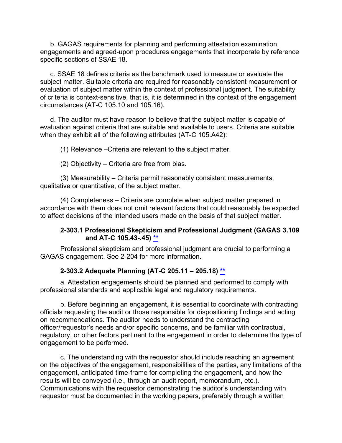b. GAGAS requirements for planning and performing attestation examination engagements and agreed-upon procedures engagements that incorporate by reference specific sections of SSAE 18.

c. SSAE 18 defines criteria as the benchmark used to measure or evaluate the subject matter. Suitable criteria are required for reasonably consistent measurement or evaluation of subject matter within the context of professional judgment. The suitability of criteria is context-sensitive, that is, it is determined in the context of the engagement circumstances (AT-C 105.10 and 105.16).

d. The auditor must have reason to believe that the subject matter is capable of evaluation against criteria that are suitable and available to users. Criteria are suitable when they exhibit all of the following attributes (AT-C 105.A42):

(1) Relevance –Criteria are relevant to the subject matter.

(2) Objectivity – Criteria are free from bias.

(3) Measurability – Criteria permit reasonably consistent measurements, qualitative or quantitative, of the subject matter.

(4) Completeness – Criteria are complete when subject matter prepared in accordance with them does not omit relevant factors that could reasonably be expected to affect decisions of the intended users made on the basis of that subject matter.

#### **2-303.1 Professional Skepticism and Professional Judgment (GAGAS 3.109 and AT-C 105.43-.45) [\\*\\*](#page-3-0)**

<span id="page-24-0"></span>Professional skepticism and professional judgment are crucial to performing a GAGAS engagement. See 2-204 for more information.

#### <span id="page-24-1"></span>**2-303.2 Adequate Planning (AT-C 205.11 – 205.18) [\\*\\*](#page-3-1)**

a. Attestation engagements should be planned and performed to comply with professional standards and applicable legal and regulatory requirements.

b. Before beginning an engagement, it is essential to coordinate with contracting officials requesting the audit or those responsible for dispositioning findings and acting on recommendations. The auditor needs to understand the contracting officer/requestor's needs and/or specific concerns, and be familiar with contractual, regulatory, or other factors pertinent to the engagement in order to determine the type of engagement to be performed.

c. The understanding with the requestor should include reaching an agreement on the objectives of the engagement, responsibilities of the parties, any limitations of the engagement, anticipated time-frame for completing the engagement, and how the results will be conveyed (i.e., through an audit report, memorandum, etc.). Communications with the requestor demonstrating the auditor's understanding with requestor must be documented in the working papers, preferably through a written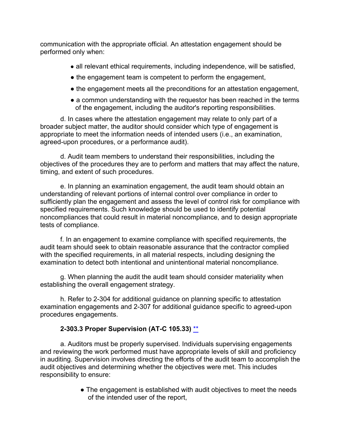communication with the appropriate official. An attestation engagement should be performed only when:

- all relevant ethical requirements, including independence, will be satisfied,
- the engagement team is competent to perform the engagement,
- the engagement meets all the preconditions for an attestation engagement,
- a common understanding with the requestor has been reached in the terms of the engagement, including the auditor's reporting responsibilities.

d. In cases where the attestation engagement may relate to only part of a broader subject matter, the auditor should consider which type of engagement is appropriate to meet the information needs of intended users (i.e., an examination, agreed-upon procedures, or a performance audit).

d. Audit team members to understand their responsibilities, including the objectives of the procedures they are to perform and matters that may affect the nature, timing, and extent of such procedures.

e. In planning an examination engagement, the audit team should obtain an understanding of relevant portions of internal control over compliance in order to sufficiently plan the engagement and assess the level of control risk for compliance with specified requirements. Such knowledge should be used to identify potential noncompliances that could result in material noncompliance, and to design appropriate tests of compliance.

f. In an engagement to examine compliance with specified requirements, the audit team should seek to obtain reasonable assurance that the contractor complied with the specified requirements, in all material respects, including designing the examination to detect both intentional and unintentional material noncompliance.

g. When planning the audit the audit team should consider materiality when establishing the overall engagement strategy.

h. Refer to 2-304 for additional guidance on planning specific to attestation examination engagements and 2-307 for additional guidance specific to agreed-upon procedures engagements.

## **2-303.3 Proper Supervision (AT-C 105.33)** \*\*

<span id="page-25-0"></span>a. Auditors must be properly supervised. Individuals supervising engagements and reviewing the work performed must have appropriate levels of skill and proficiency in auditing. Supervision involves directing the efforts of the audit team to accomplish the audit objectives and determining whether the objectives were met. This includes responsibility to ensure:

> • The engagement is established with audit objectives to meet the needs of the intended user of the report,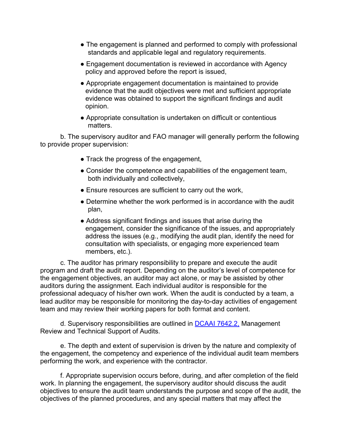- The engagement is planned and performed to comply with professional standards and applicable legal and regulatory requirements.
- Engagement documentation is reviewed in accordance with Agency policy and approved before the report is issued,
- Appropriate engagement documentation is maintained to provide evidence that the audit objectives were met and sufficient appropriate evidence was obtained to support the significant findings and audit opinion.
- Appropriate consultation is undertaken on difficult or contentious matters.

b. The supervisory auditor and FAO manager will generally perform the following to provide proper supervision:

- Track the progress of the engagement,
- Consider the competence and capabilities of the engagement team, both individually and collectively,
- Ensure resources are sufficient to carry out the work,
- Determine whether the work performed is in accordance with the audit plan,
- Address significant findings and issues that arise during the engagement, consider the significance of the issues, and appropriately address the issues (e.g., modifying the audit plan, identify the need for consultation with specialists, or engaging more experienced team members, etc.).

c. The auditor has primary responsibility to prepare and execute the audit program and draft the audit report. Depending on the auditor's level of competence for the engagement objectives, an auditor may act alone, or may be assisted by other auditors during the assignment. Each individual auditor is responsible for the professional adequacy of his/her own work. When the audit is conducted by a team, a lead auditor may be responsible for monitoring the day-to-day activities of engagement team and may review their working papers for both format and content.

d. Supervisory responsibilities are outlined in [DCAAI 7642.2,](https://sharepoint.dcaaintra.mil/headquarters/resources/CM/CMC/Publications/Publications/DCAAI%207642.2.pdf) Management Review and Technical Support of Audits.

e. The depth and extent of supervision is driven by the nature and complexity of the engagement, the competency and experience of the individual audit team members performing the work, and experience with the contractor.

f. Appropriate supervision occurs before, during, and after completion of the field work. In planning the engagement, the supervisory auditor should discuss the audit objectives to ensure the audit team understands the purpose and scope of the audit, the objectives of the planned procedures, and any special matters that may affect the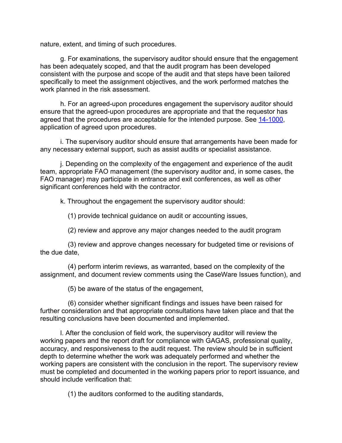nature, extent, and timing of such procedures.

g. For examinations, the supervisory auditor should ensure that the engagement has been adequately scoped, and that the audit program has been developed consistent with the purpose and scope of the audit and that steps have been tailored specifically to meet the assignment objectives, and the work performed matches the work planned in the risk assessment.

h. For an agreed-upon procedures engagement the supervisory auditor should ensure that the agreed-upon procedures are appropriate and that the requestor has agreed that the procedures are acceptable for the intended purpose. See [14-1000,](https://viper.dcaa.mil/guidance/cam/3158/other-contract-audit-assignments#Sec141000) application of agreed upon procedures.

i. The supervisory auditor should ensure that arrangements have been made for any necessary external support, such as assist audits or specialist assistance.

j. Depending on the complexity of the engagement and experience of the audit team, appropriate FAO management (the supervisory auditor and, in some cases, the FAO manager) may participate in entrance and exit conferences, as well as other significant conferences held with the contractor.

k. Throughout the engagement the supervisory auditor should:

(1) provide technical guidance on audit or accounting issues,

(2) review and approve any major changes needed to the audit program

(3) review and approve changes necessary for budgeted time or revisions of the due date,

(4) perform interim reviews, as warranted, based on the complexity of the assignment, and document review comments using the CaseWare Issues function), and

(5) be aware of the status of the engagement,

(6) consider whether significant findings and issues have been raised for further consideration and that appropriate consultations have taken place and that the resulting conclusions have been documented and implemented.

l. After the conclusion of field work, the supervisory auditor will review the working papers and the report draft for compliance with GAGAS, professional quality, accuracy, and responsiveness to the audit request. The review should be in sufficient depth to determine whether the work was adequately performed and whether the working papers are consistent with the conclusion in the report. The supervisory review must be completed and documented in the working papers prior to report issuance, and should include verification that:

(1) the auditors conformed to the auditing standards,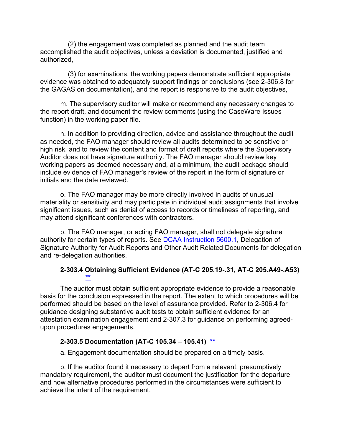(2) the engagement was completed as planned and the audit team accomplished the audit objectives, unless a deviation is documented, justified and authorized,

(3) for examinations, the working papers demonstrate sufficient appropriate evidence was obtained to adequately support findings or conclusions (see 2-306.8 for the GAGAS on documentation), and the report is responsive to the audit objectives,

m. The supervisory auditor will make or recommend any necessary changes to the report draft, and document the review comments (using the CaseWare Issues function) in the working paper file.

n. In addition to providing direction, advice and assistance throughout the audit as needed, the FAO manager should review all audits determined to be sensitive or high risk, and to review the content and format of draft reports where the Supervisory Auditor does not have signature authority. The FAO manager should review key working papers as deemed necessary and, at a minimum, the audit package should include evidence of FAO manager's review of the report in the form of signature or initials and the date reviewed.

o. The FAO manager may be more directly involved in audits of unusual materiality or sensitivity and may participate in individual audit assignments that involve significant issues, such as denial of access to records or timeliness of reporting, and may attend significant conferences with contractors.

p. The FAO manager, or acting FAO manager, shall not delegate signature authority for certain types of reports. See [DCAA Instruction 5600.1,](https://sharepoint.dcaaintra.mil/headquarters/resources/CM/CMC/Publications/Publications/DCAAI%205600.1.pdf) Delegation of Signature Authority for Audit Reports and Other Audit Related Documents for delegation and re-delegation authorities.

#### **2-303.4 Obtaining Sufficient Evidence (AT-C 205.19-.31, AT-C 205.A49-.A53) \*\***

<span id="page-28-0"></span>The auditor must obtain sufficient appropriate evidence to provide a reasonable basis for the conclusion expressed in the report. The extent to which procedures will be performed should be based on the level of assurance provided. Refer to 2-306.4 for guidance designing substantive audit tests to obtain sufficient evidence for an attestation examination engagement and 2-307.3 for guidance on performing agreedupon procedures engagements.

#### <span id="page-28-1"></span>**2-303.5 Documentation (AT-C 105.34 – 105.41) [\\*\\*](#page-3-2)**

a. Engagement documentation should be prepared on a timely basis.

b. If the auditor found it necessary to depart from a relevant, presumptively mandatory requirement, the auditor must document the justification for the departure and how alternative procedures performed in the circumstances were sufficient to achieve the intent of the requirement.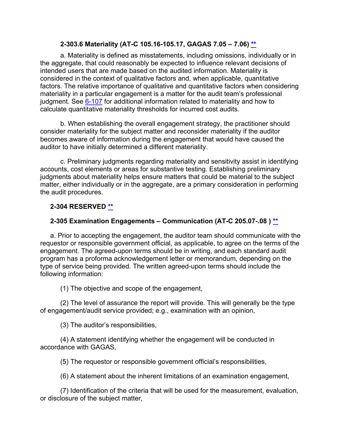#### **2-303.6 Materiality (AT-C 105.16-105.17, GAGAS 7.05 – 7.06) [\\*\\*](#page-3-3)**

<span id="page-29-0"></span>a. Materiality is defined as misstatements, including omissions, individually or in the aggregate, that could reasonably be expected to influence relevant decisions of intended users that are made based on the audited information. Materiality is considered in the context of qualitative factors and, when applicable, quantitative factors. The relative importance of qualitative and quantitative factors when considering materiality in a particular engagement is a matter for the audit team's professional judgment. See [6-107](https://viper.dcaa.mil/guidance/cam/3136/incurred-cost-audit-procedures#Sec6107) for additional information related to materiality and how to calculate quantitative materiality thresholds for incurred cost audits.

b. When establishing the overall engagement strategy, the practitioner should consider materiality for the subject matter and reconsider materiality if the auditor becomes aware of information during the engagement that would have caused the auditor to have initially determined a different materiality.

c. Preliminary judgments regarding materiality and sensitivity assist in identifying accounts, cost elements or areas for substantive testing. Establishing preliminary judgments about materiality helps ensure matters that could be material to the subject matter, either individually or in the aggregate, are a primary consideration in performing the audit procedures.

## <span id="page-29-1"></span>**2-304 RESERVED [\\*\\*](#page-3-4)**

#### <span id="page-29-2"></span>**2-305 Examination Engagements – Communication (AT-C 205.07-.08 ) [\\*\\*](#page-3-5)**

a. Prior to accepting the engagement, the auditor team should communicate with the requestor or responsible government official, as applicable, to agree on the terms of the engagement. The agreed-upon terms should be in writing, and each standard audit program has a proforma acknowledgement letter or memorandum, depending on the type of service being provided. The written agreed-upon terms should include the following information:

(1) The objective and scope of the engagement,

(2) The level of assurance the report will provide. This will generally be the type of engagement/audit service provided; e.g., examination with an opinion,

(3) The auditor's responsibilities,

(4) A statement identifying whether the engagement will be conducted in accordance with GAGAS,

(5) The requestor or responsible government official's responsibilities,

(6) A statement about the inherent limitations of an examination engagement,

(7) Identification of the criteria that will be used for the measurement, evaluation, or disclosure of the subject matter,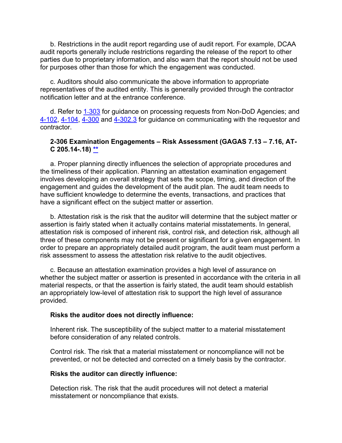b. Restrictions in the audit report regarding use of audit report. For example, DCAA audit reports generally include restrictions regarding the release of the report to other parties due to proprietary information, and also warn that the report should not be used for purposes other than those for which the engagement was conducted.

c. Auditors should also communicate the above information to appropriate representatives of the audited entity. This is generally provided through the contractor notification letter and at the entrance conference.

d. Refer to 1-[303](https://viper.dcaa.mil/guidance/cam/3127/introduction-to-contract-audit#Processing13031) for guidance on processing requests from Non-DoD Agencies; and [4-102,](https://viper.dcaa.mil/guidance/cam/3130/general-audit-requirements#Sec4102) [4-104,](https://viper.dcaa.mil/guidance/cam/3130/general-audit-requirements#Sec4104) [4-300](https://viper.dcaa.mil/guidance/cam/3130/general-audit-requirements#Sec4300) and [4-302.3](https://viper.dcaa.mil/guidance/cam/3130/general-audit-requirements#Sec43023) for guidance on communicating with the requestor and contractor.

#### <span id="page-30-0"></span>**2-306 Examination Engagements – Risk Assessment (GAGAS 7.13 – 7.16, AT-C 205.14-.18) [\\*\\*](#page-3-6)**

a. Proper planning directly influences the selection of appropriate procedures and the timeliness of their application. Planning an attestation examination engagement involves developing an overall strategy that sets the scope, timing, and direction of the engagement and guides the development of the audit plan. The audit team needs to have sufficient knowledge to determine the events, transactions, and practices that have a significant effect on the subject matter or assertion.

b. Attestation risk is the risk that the auditor will determine that the subject matter or assertion is fairly stated when it actually contains material misstatements. In general, attestation risk is composed of inherent risk, control risk, and detection risk, although all three of these components may not be present or significant for a given engagement. In order to prepare an appropriately detailed audit program, the audit team must perform a risk assessment to assess the attestation risk relative to the audit objectives.

c. Because an attestation examination provides a high level of assurance on whether the subject matter or assertion is presented in accordance with the criteria in all material respects, or that the assertion is fairly stated, the audit team should establish an appropriately low-level of attestation risk to support the high level of assurance provided.

#### **Risks the auditor does not directly influence:**

Inherent risk. The susceptibility of the subject matter to a material misstatement before consideration of any related controls.

Control risk. The risk that a material misstatement or noncompliance will not be prevented, or not be detected and corrected on a timely basis by the contractor.

#### **Risks the auditor can directly influence:**

Detection risk. The risk that the audit procedures will not detect a material misstatement or noncompliance that exists.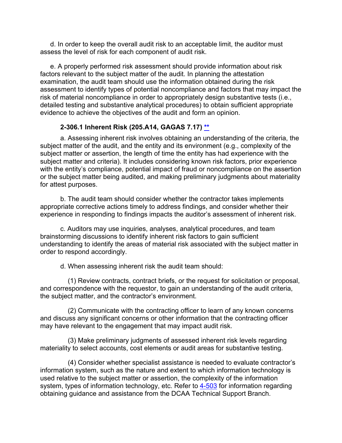d. In order to keep the overall audit risk to an acceptable limit, the auditor must assess the level of risk for each component of audit risk.

e. A properly performed risk assessment should provide information about risk factors relevant to the subject matter of the audit. In planning the attestation examination, the audit team should use the information obtained during the risk assessment to identify types of potential noncompliance and factors that may impact the risk of material noncompliance in order to appropriately design substantive tests (i.e., detailed testing and substantive analytical procedures) to obtain sufficient appropriate evidence to achieve the objectives of the audit and form an opinion.

#### **2-306.1 Inherent Risk (205.A14, GAGAS 7.17) [\\*\\*](#page-3-7)**

<span id="page-31-0"></span>a. Assessing inherent risk involves obtaining an understanding of the criteria, the subject matter of the audit, and the entity and its environment (e.g., complexity of the subject matter or assertion, the length of time the entity has had experience with the subject matter and criteria). It includes considering known risk factors, prior experience with the entity's compliance, potential impact of fraud or noncompliance on the assertion or the subject matter being audited, and making preliminary judgments about materiality for attest purposes.

b. The audit team should consider whether the contractor takes implements appropriate corrective actions timely to address findings, and consider whether their experience in responding to findings impacts the auditor's assessment of inherent risk.

c. Auditors may use inquiries, analyses, analytical procedures, and team brainstorming discussions to identify inherent risk factors to gain sufficient understanding to identify the areas of material risk associated with the subject matter in order to respond accordingly.

d. When assessing inherent risk the audit team should:

(1) Review contracts, contract briefs, or the request for solicitation or proposal, and correspondence with the requestor, to gain an understanding of the audit criteria, the subject matter, and the contractor's environment.

(2) Communicate with the contracting officer to learn of any known concerns and discuss any significant concerns or other information that the contracting officer may have relevant to the engagement that may impact audit risk.

(3) Make preliminary judgments of assessed inherent risk levels regarding materiality to select accounts, cost elements or audit areas for substantive testing.

(4) Consider whether specialist assistance is needed to evaluate contractor's information system, such as the nature and extent to which information technology is used relative to the subject matter or assertion, the complexity of the information system, types of information technology, etc. Refer to [4-503](https://viper.dcaa.mil/guidance/cam/3130/general-audit-requirements#Sec4503) for information regarding obtaining guidance and assistance from the DCAA Technical Support Branch.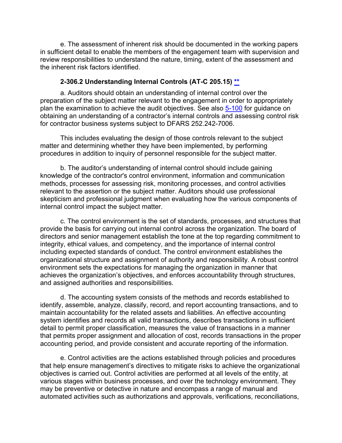e. The assessment of inherent risk should be documented in the working papers in sufficient detail to enable the members of the engagement team with supervision and review responsibilities to understand the nature, timing, extent of the assessment and the inherent risk factors identified.

#### **2-306.2 Understanding Internal Controls (AT-C 205.15) [\\*\\*](#page-3-8)**

a. Auditors should obtain an understanding of internal control over the preparation of the subject matter relevant to the engagement in order to appropriately plan the examination to achieve the audit objectives. See also [5-100](https://viper.dcaa.mil/guidance/cam/3135/audit-of-contractor-compliance-with-defense-federal-acquisition-regulation-supplement-for-contractor-business-systems-and-subsystems#Sec5100) for guidance on obtaining an understanding of a contractor's internal controls and assessing control risk for contractor business systems subject to DFARS 252.242-7006.

This includes evaluating the design of those controls relevant to the subject matter and determining whether they have been implemented, by performing procedures in addition to inquiry of personnel responsible for the subject matter.

b. The auditor's understanding of internal control should include gaining knowledge of the contractor's control environment, information and communication methods, processes for assessing risk, monitoring processes, and control activities relevant to the assertion or the subject matter. Auditors should use professional skepticism and professional judgment when evaluating how the various components of internal control impact the subject matter.

c. The control environment is the set of standards, processes, and structures that provide the basis for carrying out internal control across the organization. The board of directors and senior management establish the tone at the top regarding commitment to integrity, ethical values, and competency, and the importance of internal control including expected standards of conduct. The control environment establishes the organizational structure and assignment of authority and responsibility. A robust control environment sets the expectations for managing the organization in manner that achieves the organization's objectives, and enforces accountability through structures, and assigned authorities and responsibilities.

d. The accounting system consists of the methods and records established to identify, assemble, analyze, classify, record, and report accounting transactions, and to maintain accountability for the related assets and liabilities. An effective accounting system identifies and records all valid transactions, describes transactions in sufficient detail to permit proper classification, measures the value of transactions in a manner that permits proper assignment and allocation of cost, records transactions in the proper accounting period, and provide consistent and accurate reporting of the information.

e. Control activities are the actions established through policies and procedures that help ensure management's directives to mitigate risks to achieve the organizational objectives is carried out. Control activities are performed at all levels of the entity, at various stages within business processes, and over the technology environment. They may be preventive or detective in nature and encompass a range of manual and automated activities such as authorizations and approvals, verifications, reconciliations,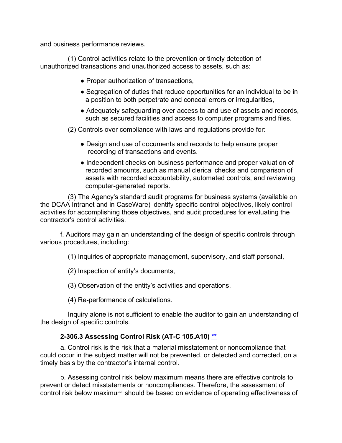and business performance reviews.

(1) Control activities relate to the prevention or timely detection of unauthorized transactions and unauthorized access to assets, such as:

- Proper authorization of transactions,
- Segregation of duties that reduce opportunities for an individual to be in a position to both perpetrate and conceal errors or irregularities,
- Adequately safeguarding over access to and use of assets and records, such as secured facilities and access to computer programs and files.

(2) Controls over compliance with laws and regulations provide for:

- Design and use of documents and records to help ensure proper recording of transactions and events.
- Independent checks on business performance and proper valuation of recorded amounts, such as manual clerical checks and comparison of assets with recorded accountability, automated controls, and reviewing computer-generated reports.

(3) The Agency's standard audit programs for business systems (available on the DCAA Intranet and in CaseWare) identify specific control objectives, likely control activities for accomplishing those objectives, and audit procedures for evaluating the contractor's control activities.

f. Auditors may gain an understanding of the design of specific controls through various procedures, including:

(1) Inquiries of appropriate management, supervisory, and staff personal,

(2) Inspection of entity's documents,

(3) Observation of the entity's activities and operations,

(4) Re-performance of calculations.

Inquiry alone is not sufficient to enable the auditor to gain an understanding of the design of specific controls.

#### **2-306.3 Assessing Control Risk (AT-C 105.A10) [\\*\\*](#page-3-9)**

<span id="page-33-0"></span>a. Control risk is the risk that a material misstatement or noncompliance that could occur in the subject matter will not be prevented, or detected and corrected, on a timely basis by the contractor's internal control.

b. Assessing control risk below maximum means there are effective controls to prevent or detect misstatements or noncompliances. Therefore, the assessment of control risk below maximum should be based on evidence of operating effectiveness of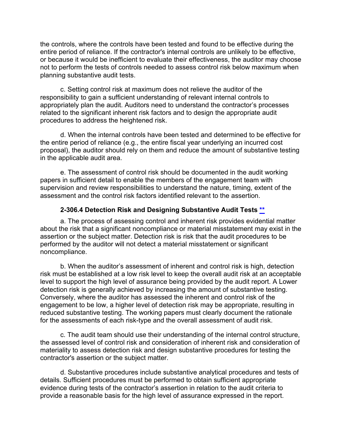the controls, where the controls have been tested and found to be effective during the entire period of reliance. If the contractor's internal controls are unlikely to be effective, or because it would be inefficient to evaluate their effectiveness, the auditor may choose not to perform the tests of controls needed to assess control risk below maximum when planning substantive audit tests.

c. Setting control risk at maximum does not relieve the auditor of the responsibility to gain a sufficient understanding of relevant internal controls to appropriately plan the audit. Auditors need to understand the contractor's processes related to the significant inherent risk factors and to design the appropriate audit procedures to address the heightened risk.

d. When the internal controls have been tested and determined to be effective for the entire period of reliance (e.g., the entire fiscal year underlying an incurred cost proposal), the auditor should rely on them and reduce the amount of substantive testing in the applicable audit area.

e. The assessment of control risk should be documented in the audit working papers in sufficient detail to enable the members of the engagement team with supervision and review responsibilities to understand the nature, timing, extent of the assessment and the control risk factors identified relevant to the assertion.

#### **2-306.4 Detection Risk and Designing Substantive Audit Tests [\\*\\*](#page-3-10)**

<span id="page-34-0"></span>a. The process of assessing control and inherent risk provides evidential matter about the risk that a significant noncompliance or material misstatement may exist in the assertion or the subject matter. Detection risk is risk that the audit procedures to be performed by the auditor will not detect a material misstatement or significant noncompliance.

b. When the auditor's assessment of inherent and control risk is high, detection risk must be established at a low risk level to keep the overall audit risk at an acceptable level to support the high level of assurance being provided by the audit report. A Lower detection risk is generally achieved by increasing the amount of substantive testing. Conversely, where the auditor has assessed the inherent and control risk of the engagement to be low, a higher level of detection risk may be appropriate, resulting in reduced substantive testing. The working papers must clearly document the rationale for the assessments of each risk-type and the overall assessment of audit risk.

c. The audit team should use their understanding of the internal control structure, the assessed level of control risk and consideration of inherent risk and consideration of materiality to assess detection risk and design substantive procedures for testing the contractor's assertion or the subject matter.

d. Substantive procedures include substantive analytical procedures and tests of details. Sufficient procedures must be performed to obtain sufficient appropriate evidence during tests of the contractor's assertion in relation to the audit criteria to provide a reasonable basis for the high level of assurance expressed in the report.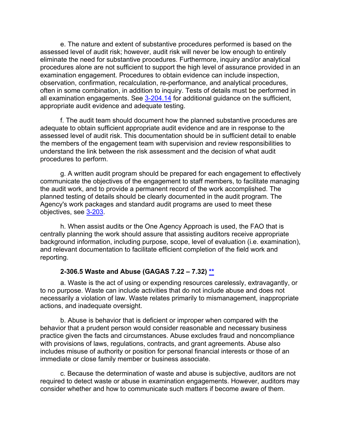e. The nature and extent of substantive procedures performed is based on the assessed level of audit risk; however, audit risk will never be low enough to entirely eliminate the need for substantive procedures. Furthermore, inquiry and/or analytical procedures alone are not sufficient to support the high level of assurance provided in an examination engagement. Procedures to obtain evidence can include inspection, observation, confirmation, recalculation, re-performance, and analytical procedures, often in some combination, in addition to inquiry. Tests of details must be performed in all examination engagements. See [3-204.14](https://viper.dcaa.mil/guidance/cam/3129/audit-planning#Sec320413) for additional guidance on the sufficient, appropriate audit evidence and adequate testing.

f. The audit team should document how the planned substantive procedures are adequate to obtain sufficient appropriate audit evidence and are in response to the assessed level of audit risk. This documentation should be in sufficient detail to enable the members of the engagement team with supervision and review responsibilities to understand the link between the risk assessment and the decision of what audit procedures to perform.

g. A written audit program should be prepared for each engagement to effectively communicate the objectives of the engagement to staff members, to facilitate managing the audit work, and to provide a permanent record of the work accomplished. The planned testing of details should be clearly documented in the audit program. The Agency's work packages and standard audit programs are used to meet these objectives, see [3-203.](https://viper.dcaa.mil/guidance/cam/3129/audit-planning#Sec3203)

h. When assist audits or the One Agency Approach is used, the FAO that is centrally planning the work should assure that assisting auditors receive appropriate background information, including purpose, scope, level of evaluation (i.e. examination), and relevant documentation to facilitate efficient completion of the field work and reporting.

#### **2-306.5 Waste and Abuse (GAGAS 7.22 – 7.32) [\\*\\*](#page-3-5)**

<span id="page-35-0"></span>a. Waste is the act of using or expending resources carelessly, extravagantly, or to no purpose. Waste can include activities that do not include abuse and does not necessarily a violation of law. Waste relates primarily to mismanagement, inappropriate actions, and inadequate oversight.

b. Abuse is behavior that is deficient or improper when compared with the behavior that a prudent person would consider reasonable and necessary business practice given the facts and circumstances. Abuse excludes fraud and noncompliance with provisions of laws, regulations, contracts, and grant agreements. Abuse also includes misuse of authority or position for personal financial interests or those of an immediate or close family member or business associate.

c. Because the determination of waste and abuse is subjective, auditors are not required to detect waste or abuse in examination engagements. However, auditors may consider whether and how to communicate such matters if become aware of them.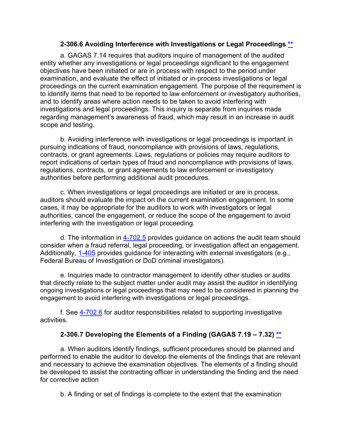#### **2-306.6 Avoiding Interference with Investigations or Legal Proceedings [\\*\\*](#page-3-0)**

a. GAGAS 7.14 requires that auditors inquire of management of the audited entity whether any investigations or legal proceedings significant to the engagement objectives have been initiated or are in process with respect to the period under examination, and evaluate the effect of initiated or in-process investigations or legal proceedings on the current examination engagement. The purpose of the requirement is to identify items that need to be reported to law enforcement or investigatory authorities, and to identify areas where action needs to be taken to avoid interfering with investigations and legal proceedings. This inquiry is separate from inquiries made regarding management's awareness of fraud, which may result in an increase in audit scope and testing.

b. Avoiding interference with investigations or legal proceedings is important in pursuing indications of fraud, noncompliance with provisions of laws, regulations, contracts, or grant agreements. Laws, regulations or policies may require auditors to report indications of certain types of fraud and noncompliance with provisions of laws, regulations, contracts, or grant agreements to law enforcement or investigatory authorities before performing additional audit procedures.

c. When investigations or legal proceedings are initiated or are in process, auditors should evaluate the impact on the current examination engagement. In some cases, it may be appropriate for the auditors to work with investigators or legal authorities, cancel the engagement, or reduce the scope of the engagement to avoid interfering with the investigation or legal proceeding.

d. The information in  $4-702.5$  provides guidance on actions the audit team should consider when a fraud referral, legal proceeding, or investigation affect an engagement. Additionally, [1-405](https://viper.dcaa.mil/guidance/cam/3127/introduction-to-contract-audit#Relationship14051) provides guidance for interacting with external investigators (e.g., Federal Bureau of Investigation or DoD criminal investigators).

e. Inquiries made to contractor management to identify other studies or audits that directly relate to the subject matter under audit may assist the auditor in identifying ongoing investigations or legal proceedings that may need to be considered in planning the engagement to avoid interfering with investigations or legal proceedings.

f. See [4-702.6](https://viper.dcaa.mil/guidance/cam/3130/general-audit-requirements#Sec47026) for auditor responsibilities related to supporting investigative activities.

# **2-306.7 Developing the Elements of a Finding (GAGAS 7.19 – 7.32) [\\*\\*](#page-3-1)**

a. When auditors identify findings, sufficient procedures should be planned and performed to enable the auditor to develop the elements of the findings that are relevant and necessary to achieve the examination objectives. The elements of a finding should be developed to assist the contracting officer in understanding the finding and the need for corrective action

b. A finding or set of findings is complete to the extent that the examination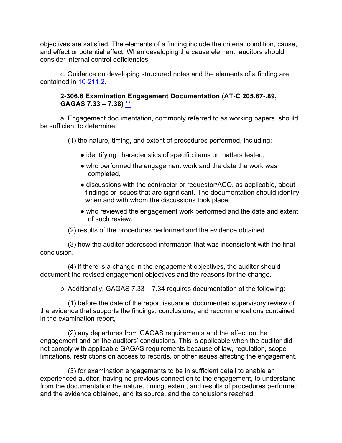objectives are satisfied. The elements of a finding include the criteria, condition, cause, and effect or potential effect. When developing the cause element, auditors should consider internal control deficiencies.

c. Guidance on developing structured notes and the elements of a finding are contained in [10-211.2.](https://viper.dcaa.mil/guidance/cam/3147/preparation-and-distribution-of-audit-reports#Sec102112)

### **2-306.8 Examination Engagement Documentation (AT-C 205.87-.89, GAGAS 7.33 – 7.38) \*\***

a. Engagement documentation, commonly referred to as working papers, should be sufficient to determine:

(1) the nature, timing, and extent of procedures performed, including:

- identifying characteristics of specific items or matters tested,
- who performed the engagement work and the date the work was completed,
- discussions with the contractor or requestor/ACO, as applicable, about findings or issues that are significant. The documentation should identify when and with whom the discussions took place,
- who reviewed the engagement work performed and the date and extent of such review.
- (2) results of the procedures performed and the evidence obtained.

(3) how the auditor addressed information that was inconsistent with the final conclusion,

(4) if there is a change in the engagement objectives, the auditor should document the revised engagement objectives and the reasons for the change.

b. Additionally, GAGAS 7.33 – 7.34 requires documentation of the following:

(1) before the date of the report issuance, documented supervisory review of the evidence that supports the findings, conclusions, and recommendations contained in the examination report,

(2) any departures from GAGAS requirements and the effect on the engagement and on the auditors' conclusions. This is applicable when the auditor did not comply with applicable GAGAS requirements because of law, regulation, scope limitations, restrictions on access to records, or other issues affecting the engagement.

(3) for examination engagements to be in sufficient detail to enable an experienced auditor, having no previous connection to the engagement, to understand from the documentation the nature, timing, extent, and results of procedures performed and the evidence obtained, and its source, and the conclusions reached.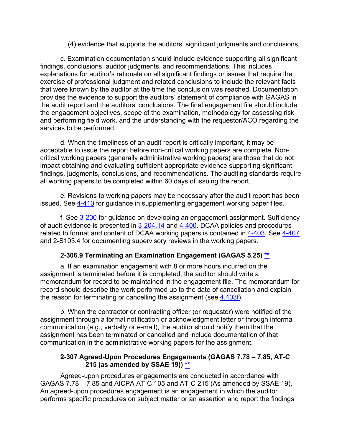(4) evidence that supports the auditors' significant judgments and conclusions.

c. Examination documentation should include evidence supporting all significant findings, conclusions, auditor judgments, and recommendations. This includes explanations for auditor's rationale on all significant findings or issues that require the exercise of professional judgment and related conclusions to include the relevant facts that were known by the auditor at the time the conclusion was reached. Documentation provides the evidence to support the auditors' statement of compliance with GAGAS in the audit report and the auditors' conclusions. The final engagement file should include the engagement objectives, scope of the examination, methodology for assessing risk and performing field work, and the understanding with the requestor/ACO regarding the services to be performed.

d. When the timeliness of an audit report is critically important, it may be acceptable to issue the report before non-critical working papers are complete. Noncritical working papers (generally administrative working papers) are those that do not impact obtaining and evaluating sufficient appropriate evidence supporting significant findings, judgments, conclusions, and recommendations. The auditing standards require all working papers to be completed within 60 days of issuing the report.

e. Revisions to working papers may be necessary after the audit report has been issued. See [4-410](https://viper.dcaa.mil/guidance/cam/3130/general-audit-requirements#Sec4410) for guidance in supplementing engagement working paper files.

f. See [3-200](https://viper.dcaa.mil/guidance/cam/3129/audit-planning#Sec3200) for guidance on developing an engagement assignment. Sufficiency of audit evidence is presented in [3-204.14](https://viper.dcaa.mil/guidance/cam/3129/audit-planning#Sec320414) and [4-400.](https://viper.dcaa.mil/guidance/cam/3130/general-audit-requirements#Sec4400) DCAA policies and procedures related to format and content of DCAA working papers is contained in [4-403.](https://viper.dcaa.mil/guidance/cam/3130/general-audit-requirements#Sec4403) See [4-407](https://viper.dcaa.mil/guidance/cam/3130/general-audit-requirements#Sec4407) and 2-S103.4 for documenting supervisory reviews in the working papers.

# **2-306.9 Terminating an Examination Engagement (GAGAS 5.25) [\\*\\*](#page-3-2)**

a. If an examination engagement with 8 or more hours incurred on the assignment is terminated before it is completed, the auditor should write a memorandum for record to be maintained in the engagement file. The memorandum for record should describe the work performed up to the date of cancellation and explain the reason for terminating or cancelling the assignment (see  $4.403f$ ).

b. When the contractor or contracting officer (or requestor) were notified of the assignment through a formal notification or acknowledgment letter or through informal communication (e.g., verbally or e-mail), the auditor should notify them that the assignment has been terminated or cancelled and include documentation of that communication in the administrative working papers for the assignment.

## **2-307 Agreed-Upon Procedures Engagements (GAGAS 7.78 – 7.85, AT-C 215 (as amended by SSAE 19)) [\\*\\*](#page-3-3)**

Agreed-upon procedures engagements are conducted in accordance with GAGAS 7.78 – 7.85 and AICPA AT-C 105 and AT-C 215 (As amended by SSAE 19). An agreed-upon procedures engagement is an engagement in which the auditor performs specific procedures on subject matter or an assertion and report the findings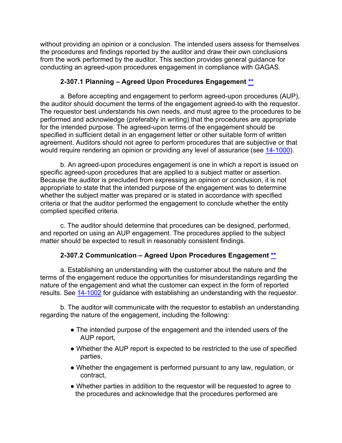without providing an opinion or a conclusion. The intended users assess for themselves the procedures and findings reported by the auditor and draw their own conclusions from the work performed by the auditor. This section provides general guidance for conducting an agreed-upon procedures engagement in compliance with GAGAS.

## **2-307.1 Planning – Agreed Upon Procedures Engagement [\\*\\*](#page-3-4)**

a. Before accepting and engagement to perform agreed-upon procedures (AUP), the auditor should document the terms of the engagement agreed-to with the requestor. The requestor best understands his own needs, and must agree to the procedures to be performed and acknowledge (preferably in writing) that the procedures are appropriate for the intended purpose. The agreed-upon terms of the engagement should be specified in sufficient detail in an engagement letter or other suitable form of written agreement. Auditors should not agree to perform procedures that are subjective or that would require rendering an opinion or providing any level of assurance (see [14-1000\)](https://viper.dcaa.mil/guidance/cam/3158/other-contract-audit-assignments#Sec141000).

b. An agreed-upon procedures engagement is one in which a report is issued on specific agreed-upon procedures that are applied to a subject matter or assertion. Because the auditor is precluded from expressing an opinion or conclusion, it is not appropriate to state that the intended purpose of the engagement was to determine whether the subject matter was prepared or is stated in accordance with specified criteria or that the auditor performed the engagement to conclude whether the entity complied specified criteria.

c. The auditor should determine that procedures can be designed, performed, and reported on using an AUP engagement. The procedures applied to the subject matter should be expected to result in reasonably consistent findings.

# **2-307.2 Communication – Agreed Upon Procedures Engagement \*\***

a. Establishing an understanding with the customer about the nature and the terms of the engagement reduce the opportunities for misunderstandings regarding the nature of the engagement and what the customer can expect in the form of reported results. See [14-1002](https://viper.dcaa.mil/guidance/cam/3158/other-contract-audit-assignments#Sec141002) for guidance with establishing an understanding with the requestor.

b. The auditor will communicate with the requestor to establish an understanding regarding the nature of the engagement, including the following:

- The intended purpose of the engagement and the intended users of the AUP report,
- Whether the AUP report is expected to be restricted to the use of specified parties,
- Whether the engagement is performed pursuant to any law, regulation, or contract,
- Whether parties in addition to the requestor will be requested to agree to the procedures and acknowledge that the procedures performed are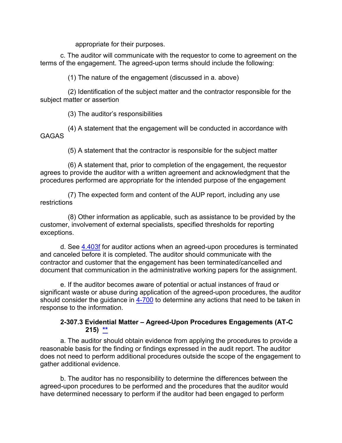appropriate for their purposes.

c. The auditor will communicate with the requestor to come to agreement on the terms of the engagement. The agreed-upon terms should include the following:

(1) The nature of the engagement (discussed in a. above)

(2) Identification of the subject matter and the contractor responsible for the subject matter or assertion

(3) The auditor's responsibilities

(4) A statement that the engagement will be conducted in accordance with GAGAS

(5) A statement that the contractor is responsible for the subject matter

(6) A statement that, prior to completion of the engagement, the requestor agrees to provide the auditor with a written agreement and acknowledgment that the procedures performed are appropriate for the intended purpose of the engagement

(7) The expected form and content of the AUP report, including any use restrictions

(8) Other information as applicable, such as assistance to be provided by the customer, involvement of external specialists, specified thresholds for reporting exceptions.

d. See [4.403f](https://viper.dcaa.mil/guidance/cam/3130/general-audit-requirements#Sec4403) for auditor actions when an agreed-upon procedures is terminated and canceled before it is completed. The auditor should communicate with the contractor and customer that the engagement has been terminated/cancelled and document that communication in the administrative working papers for the assignment.

e. If the auditor becomes aware of potential or actual instances of fraud or significant waste or abuse during application of the agreed-upon procedures, the auditor should consider the quidance in [4-700](https://viper.dcaa.mil/guidance/cam/3130/general-audit-requirements#Sec4700) to determine any actions that need to be taken in response to the information.

## **2-307.3 Evidential Matter – Agreed-Upon Procedures Engagements (AT-C 215) \*\***

a. The auditor should obtain evidence from applying the procedures to provide a reasonable basis for the finding or findings expressed in the audit report. The auditor does not need to perform additional procedures outside the scope of the engagement to gather additional evidence.

b. The auditor has no responsibility to determine the differences between the agreed-upon procedures to be performed and the procedures that the auditor would have determined necessary to perform if the auditor had been engaged to perform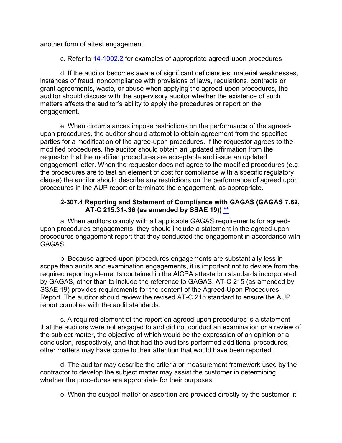another form of attest engagement.

c. Refer to [14-1002.2](https://viper.dcaa.mil/guidance/cam/3158/other-contract-audit-assignments#Sec1410022) for examples of appropriate agreed-upon procedures

d. If the auditor becomes aware of significant deficiencies, material weaknesses, instances of fraud, noncompliance with provisions of laws, regulations, contracts or grant agreements, waste, or abuse when applying the agreed-upon procedures, the auditor should discuss with the supervisory auditor whether the existence of such matters affects the auditor's ability to apply the procedures or report on the engagement.

e. When circumstances impose restrictions on the performance of the agreedupon procedures, the auditor should attempt to obtain agreement from the specified parties for a modification of the agree-upon procedures. If the requestor agrees to the modified procedures, the auditor should obtain an updated affirmation from the requestor that the modified procedures are acceptable and issue an updated engagement letter. When the requestor does not agree to the modified procedures (e.g. the procedures are to test an element of cost for compliance with a specific regulatory clause) the auditor should describe any restrictions on the performance of agreed upon procedures in the AUP report or terminate the engagement, as appropriate.

#### **2-307.4 Reporting and Statement of Compliance with GAGAS (GAGAS 7.82, AT-C 215.31-.36 (as amended by SSAE 19)) [\\*\\*](#page-3-5)**

a. When auditors comply with all applicable GAGAS requirements for agreedupon procedures engagements, they should include a statement in the agreed-upon procedures engagement report that they conducted the engagement in accordance with GAGAS.

b. Because agreed-upon procedures engagements are substantially less in scope than audits and examination engagements, it is important not to deviate from the required reporting elements contained in the AICPA attestation standards incorporated by GAGAS, other than to include the reference to GAGAS. AT-C 215 (as amended by SSAE 19) provides requirements for the content of the Agreed-Upon Procedures Report. The auditor should review the revised AT-C 215 standard to ensure the AUP report complies with the audit standards.

c. A required element of the report on agreed-upon procedures is a statement that the auditors were not engaged to and did not conduct an examination or a review of the subject matter, the objective of which would be the expression of an opinion or a conclusion, respectively, and that had the auditors performed additional procedures, other matters may have come to their attention that would have been reported.

d. The auditor may describe the criteria or measurement framework used by the contractor to develop the subject matter may assist the customer in determining whether the procedures are appropriate for their purposes.

e. When the subject matter or assertion are provided directly by the customer, it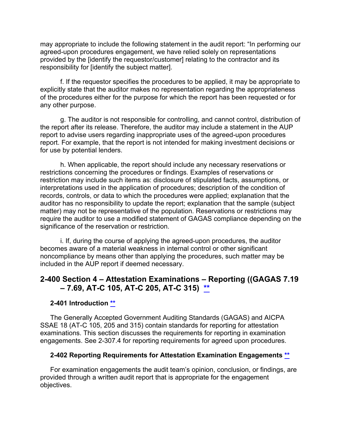may appropriate to include the following statement in the audit report: "In performing our agreed-upon procedures engagement, we have relied solely on representations provided by the [identify the requestor/customer] relating to the contractor and its responsibility for [identify the subject matter].

f. If the requestor specifies the procedures to be applied, it may be appropriate to explicitly state that the auditor makes no representation regarding the appropriateness of the procedures either for the purpose for which the report has been requested or for any other purpose.

g. The auditor is not responsible for controlling, and cannot control, distribution of the report after its release. Therefore, the auditor may include a statement in the AUP report to advise users regarding inappropriate uses of the agreed-upon procedures report. For example, that the report is not intended for making investment decisions or for use by potential lenders.

h. When applicable, the report should include any necessary reservations or restrictions concerning the procedures or findings. Examples of reservations or restriction may include such items as: disclosure of stipulated facts, assumptions, or interpretations used in the application of procedures; description of the condition of records, controls, or data to which the procedures were applied; explanation that the auditor has no responsibility to update the report; explanation that the sample (subject matter) may not be representative of the population. Reservations or restrictions may require the auditor to use a modified statement of GAGAS compliance depending on the significance of the reservation or restriction.

i. If, during the course of applying the agreed-upon procedures, the auditor becomes aware of a material weakness in internal control or other significant noncompliance by means other than applying the procedures, such matter may be included in the AUP report if deemed necessary.

# **2-400 Section 4 – Attestation Examinations – Reporting ((GAGAS 7.19 – 7.69, AT-C 105, AT-C 205, AT-C 315) [\\*\\*](#page-3-6)**

## **2-401 Introduction [\\*\\*](#page-4-0)**

The Generally Accepted Government Auditing Standards (GAGAS) and AICPA SSAE 18 (AT-C 105, 205 and 315) contain standards for reporting for attestation examinations. This section discusses the requirements for reporting in examination engagements. See 2-307.4 for reporting requirements for agreed upon procedures.

#### **2-402 Reporting Requirements for Attestation Examination Engagements [\\*\\*](#page-4-1)**

For examination engagements the audit team's opinion, conclusion, or findings, are provided through a written audit report that is appropriate for the engagement objectives.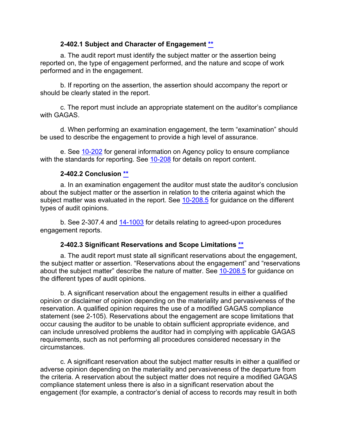#### **2-402.1 Subject and Character of Engagement [\\*\\*](#page-4-2)**

a. The audit report must identify the subject matter or the assertion being reported on, the type of engagement performed, and the nature and scope of work performed and in the engagement.

b. If reporting on the assertion, the assertion should accompany the report or should be clearly stated in the report.

c. The report must include an appropriate statement on the auditor's compliance with GAGAS.

d. When performing an examination engagement, the term "examination" should be used to describe the engagement to provide a high level of assurance.

e. See [10-202](https://viper.dcaa.mil/guidance/cam/3147/preparation-and-distribution-of-audit-reports#Sec10202) for general information on Agency policy to ensure compliance with the standards for reporting. See [10-208](https://viper.dcaa.mil/guidance/cam/3147/preparation-and-distribution-of-audit-reports#Sec10208) for details on report content.

## **2-402.2 Conclusion [\\*\\*](#page-4-3)**

a. In an examination engagement the auditor must state the auditor's conclusion about the subject matter or the assertion in relation to the criteria against which the subject matter was evaluated in the report. See [10-208.5](https://viper.dcaa.mil/guidance/cam/3147/preparation-and-distribution-of-audit-reports#Sec102085) for quidance on the different types of audit opinions.

b. See 2-307.4 and [14-1003](https://viper.dcaa.mil/guidance/cam/3158/other-contract-audit-assignments#Sec141003) for details relating to agreed-upon procedures engagement reports.

## **2-402.3 Significant Reservations and Scope Limitations [\\*\\*](#page-4-4)**

a. The audit report must state all significant reservations about the engagement, the subject matter or assertion. "Reservations about the engagement" and "reservations about the subject matter" describe the nature of matter. See [10-208.5](https://viper.dcaa.mil/guidance/cam/3147/preparation-and-distribution-of-audit-reports#Sec102085) for guidance on the different types of audit opinions.

b. A significant reservation about the engagement results in either a qualified opinion or disclaimer of opinion depending on the materiality and pervasiveness of the reservation. A qualified opinion requires the use of a modified GAGAS compliance statement (see 2-105). Reservations about the engagement are scope limitations that occur causing the auditor to be unable to obtain sufficient appropriate evidence, and can include unresolved problems the auditor had in complying with applicable GAGAS requirements, such as not performing all procedures considered necessary in the circumstances.

c. A significant reservation about the subject matter results in either a qualified or adverse opinion depending on the materiality and pervasiveness of the departure from the criteria. A reservation about the subject matter does not require a modified GAGAS compliance statement unless there is also in a significant reservation about the engagement (for example, a contractor's denial of access to records may result in both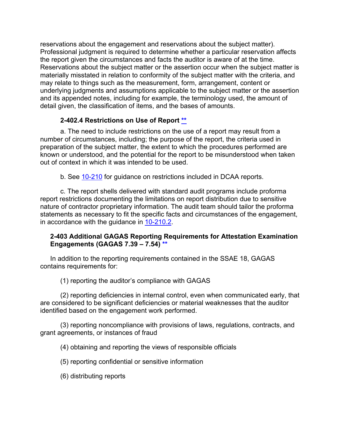reservations about the engagement and reservations about the subject matter). Professional judgment is required to determine whether a particular reservation affects the report given the circumstances and facts the auditor is aware of at the time. Reservations about the subject matter or the assertion occur when the subject matter is materially misstated in relation to conformity of the subject matter with the criteria, and may relate to things such as the measurement, form, arrangement, content or underlying judgments and assumptions applicable to the subject matter or the assertion and its appended notes, including for example, the terminology used, the amount of detail given, the classification of items, and the bases of amounts.

## **2-402.4 Restrictions on Use of Report [\\*\\*](#page-4-5)**

a. The need to include restrictions on the use of a report may result from a number of circumstances, including; the purpose of the report, the criteria used in preparation of the subject matter, the extent to which the procedures performed are known or understood, and the potential for the report to be misunderstood when taken out of context in which it was intended to be used.

b. See [10-210](https://viper.dcaa.mil/guidance/cam/3147/preparation-and-distribution-of-audit-reports#Sec10210) for guidance on restrictions included in DCAA reports.

c. The report shells delivered with standard audit programs include proforma report restrictions documenting the limitations on report distribution due to sensitive nature of contractor proprietary information. The audit team should tailor the proforma statements as necessary to fit the specific facts and circumstances of the engagement, in accordance with the guidance in [10-210.2.](https://viper.dcaa.mil/guidance/cam/3147/preparation-and-distribution-of-audit-reports#Sec102102)

## **2-403 Additional GAGAS Reporting Requirements for Attestation Examination Engagements (GAGAS 7.39 – 7.54) [\\*\\*](#page-4-6)**

In addition to the reporting requirements contained in the SSAE 18, GAGAS contains requirements for:

(1) reporting the auditor's compliance with GAGAS

(2) reporting deficiencies in internal control, even when communicated early, that are considered to be significant deficiencies or material weaknesses that the auditor identified based on the engagement work performed.

(3) reporting noncompliance with provisions of laws, regulations, contracts, and grant agreements, or instances of fraud

(4) obtaining and reporting the views of responsible officials

(5) reporting confidential or sensitive information

(6) distributing reports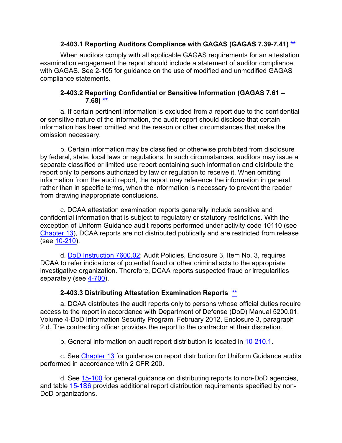### **2-403.1 Reporting Auditors Compliance with GAGAS (GAGAS 7.39-7.41) [\\*\\*](#page-4-7)**

When auditors comply with all applicable GAGAS requirements for an attestation examination engagement the report should include a statement of auditor compliance with GAGAS. See 2-105 for guidance on the use of modified and unmodified GAGAS compliance statements.

#### **2-403.2 Reporting Confidential or Sensitive Information (GAGAS 7.61 – 7.68) [\\*\\*](#page-4-8)**

a. If certain pertinent information is excluded from a report due to the confidential or sensitive nature of the information, the audit report should disclose that certain information has been omitted and the reason or other circumstances that make the omission necessary.

b. Certain information may be classified or otherwise prohibited from disclosure by federal, state, local laws or regulations. In such circumstances, auditors may issue a separate classified or limited use report containing such information and distribute the report only to persons authorized by law or regulation to receive it. When omitting information from the audit report, the report may reference the information in general, rather than in specific terms, when the information is necessary to prevent the reader from drawing inappropriate conclusions.

c. DCAA attestation examination reports generally include sensitive and confidential information that is subject to regulatory or statutory restrictions. With the exception of Uniform Guidance audit reports performed under activity code 10110 (see [Chapter 13\)](https://viper.dcaa.mil/guidance/cam/3155/audits-at-educational-institutions-nonprofit-organizations-and-federally-funded-research-and-development-centers-ffrdcs), DCAA reports are not distributed publically and are restricted from release (see [10-210\)](https://viper.dcaa.mil/guidance/cam/3147/preparation-and-distribution-of-audit-reports?term=restrictions#Sec10210).

d. [DoD Instruction](https://www.esd.whs.mil/Portals/54/Documents/DD/issuances/dodi/760002p.pdf?ver=2019-04-03-110508-543) 7600.02; Audit Policies, Enclosure 3, Item No. 3, requires DCAA to refer indications of potential fraud or other criminal acts to the appropriate investigative organization. Therefore, DCAA reports suspected fraud or irregularities separately (see [4-700\)](https://viper.dcaa.mil/guidance/cam/3130/general-audit-requirements#Sec4700).

## **2-403.3 Distributing Attestation Examination Reports [\\*\\*](#page-4-9)**

a. DCAA distributes the audit reports only to persons whose official duties require access to the report in accordance with Department of Defense (DoD) Manual 5200.01, Volume 4-DoD Information Security Program, February 2012, Enclosure 3, paragraph 2.d. The contracting officer provides the report to the contractor at their discretion.

b. General information on audit report distribution is located in [10-210.1.](https://viper.dcaa.mil/guidance/cam/3147/preparation-and-distribution-of-audit-reports#Sec102101)

c. See [Chapter 13](https://viper.dcaa.mil/guidance/cam/3155/audits-at-educational-institutions-nonprofit-organizations-and-federally-funded-research-and-development-centers-ffrdcs) for guidance on report distribution for Uniform Guidance audits performed in accordance with 2 CFR 200.

d. See [15-100](https://viper.dcaa.mil/guidance/cam/3161/other-dcaa-functions#Sec15100) for general guidance on distributing reports to non-DoD agencies, and table [15-1S6](https://viper.dcaa.mil/guidance/cam/3161/other-dcaa-functions#Sec151S6) provides additional report distribution requirements specified by non-DoD organizations.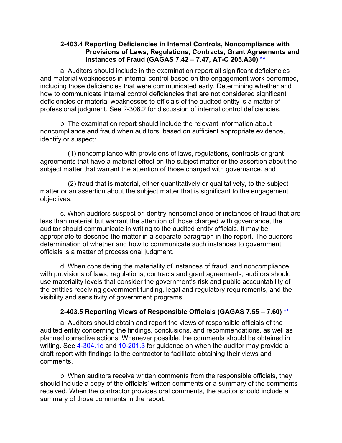#### **2-403.4 Reporting Deficiencies in Internal Controls, Noncompliance with Provisions of Laws, Regulations, Contracts, Grant Agreements and Instances of Fraud (GAGAS 7.42 – 7.47, AT-C 205.A30) [\\*\\*](#page-4-10)**

a. Auditors should include in the examination report all significant deficiencies and material weaknesses in internal control based on the engagement work performed, including those deficiencies that were communicated early. Determining whether and how to communicate internal control deficiencies that are not considered significant deficiencies or material weaknesses to officials of the audited entity is a matter of professional judgment. See 2-306.2 for discussion of internal control deficiencies.

b. The examination report should include the relevant information about noncompliance and fraud when auditors, based on sufficient appropriate evidence, identify or suspect:

(1) noncompliance with provisions of laws, regulations, contracts or grant agreements that have a material effect on the subject matter or the assertion about the subject matter that warrant the attention of those charged with governance, and

(2) fraud that is material, either quantitatively or qualitatively, to the subject matter or an assertion about the subject matter that is significant to the engagement objectives.

c. When auditors suspect or identify noncompliance or instances of fraud that are less than material but warrant the attention of those charged with governance, the auditor should communicate in writing to the audited entity officials. It may be appropriate to describe the matter in a separate paragraph in the report. The auditors' determination of whether and how to communicate such instances to government officials is a matter of processional judgment.

d. When considering the materiality of instances of fraud, and noncompliance with provisions of laws, regulations, contracts and grant agreements, auditors should use materiality levels that consider the government's risk and public accountability of the entities receiving government funding, legal and regulatory requirements, and the visibility and sensitivity of government programs.

# **2-403.5 Reporting Views of Responsible Officials (GAGAS 7.55 – 7.60) [\\*\\*](#page-4-11)**

a. Auditors should obtain and report the views of responsible officials of the audited entity concerning the findings, conclusions, and recommendations, as well as planned corrective actions. Whenever possible, the comments should be obtained in writing. See [4-304.1e](https://viper.dcaa.mil/guidance/cam/3130/general-audit-requirements?term=draft%20report#p117) and [10-201.3](https://viper.dcaa.mil/guidance/cam/3147/preparation-and-distribution-of-audit-reports#Sec102103) for guidance on when the auditor may provide a draft report with findings to the contractor to facilitate obtaining their views and comments.

b. When auditors receive written comments from the responsible officials, they should include a copy of the officials' written comments or a summary of the comments received. When the contractor provides oral comments, the auditor should include a summary of those comments in the report.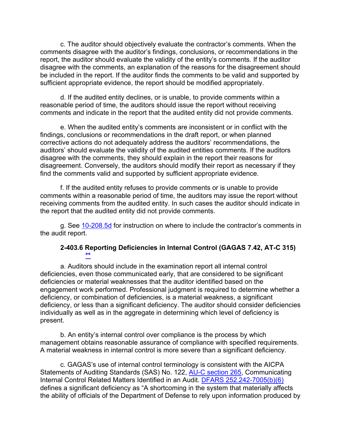c. The auditor should objectively evaluate the contractor's comments. When the comments disagree with the auditor's findings, conclusions, or recommendations in the report, the auditor should evaluate the validity of the entity's comments. If the auditor disagree with the comments, an explanation of the reasons for the disagreement should be included in the report. If the auditor finds the comments to be valid and supported by sufficient appropriate evidence, the report should be modified appropriately.

d. If the audited entity declines, or is unable, to provide comments within a reasonable period of time, the auditors should issue the report without receiving comments and indicate in the report that the audited entity did not provide comments.

e. When the audited entity's comments are inconsistent or in conflict with the findings, conclusions or recommendations in the draft report, or when planned corrective actions do not adequately address the auditors' recommendations, the auditors' should evaluate the validity of the audited entities comments. If the auditors disagree with the comments, they should explain in the report their reasons for disagreement. Conversely, the auditors should modify their report as necessary if they find the comments valid and supported by sufficient appropriate evidence.

f. If the audited entity refuses to provide comments or is unable to provide comments within a reasonable period of time, the auditors may issue the report without receiving comments from the audited entity. In such cases the auditor should indicate in the report that the audited entity did not provide comments.

g. See [10-208.5d](https://viper.dcaa.mil/guidance/cam/3147/preparation-and-distribution-of-audit-reports#Sec102085) for instruction on where to include the contractor's comments in the audit report.

#### **2-403.6 Reporting Deficiencies in Internal Control (GAGAS 7.42, AT-C 315) [\\*\\*](#page-4-12)**

a. Auditors should include in the examination report all internal control deficiencies, even those communicated early, that are considered to be significant deficiencies or material weaknesses that the auditor identified based on the engagement work performed. Professional judgment is required to determine whether a deficiency, or combination of deficiencies, is a material weakness, a significant deficiency, or less than a significant deficiency. The auditor should consider deficiencies individually as well as in the aggregate in determining which level of deficiency is present.

b. An entity's internal control over compliance is the process by which management obtains reasonable assurance of compliance with specified requirements. A material weakness in internal control is more severe than a significant deficiency.

c. GAGAS's use of internal control terminology is consistent with the AICPA Statements of Auditing Standards (SAS) No. 122, [AU-C section 265,](https://www.aicpa.org/content/dam/aicpa/research/standards/auditattest/downloadabledocuments/au-c-00265.pdf) Communicating Internal Control Related Matters Identified in an Audit. [DFARS 252.242-7005\(b\)\(6\)](https://www.ecfr.gov/cgi-bin/text-idx?SID=90fbbb451a3c2fbbf694e9c7b57e8a72&mc=true&node=se48.3.252_1242_67005&rgn=div8)  defines a significant deficiency as "A shortcoming in the system that materially affects the ability of officials of the Department of Defense to rely upon information produced by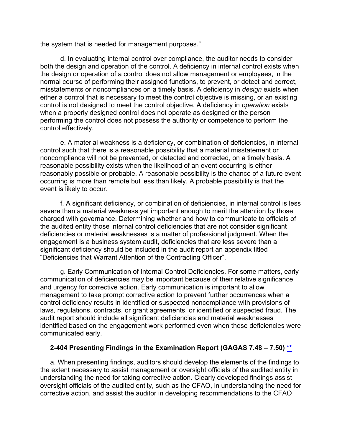the system that is needed for management purposes."

d. In evaluating internal control over compliance, the auditor needs to consider both the design and operation of the control. A deficiency in internal control exists when the design or operation of a control does not allow management or employees, in the normal course of performing their assigned functions, to prevent, or detect and correct, misstatements or noncompliances on a timely basis. A deficiency in *design* exists when either a control that is necessary to meet the control objective is missing, or an existing control is not designed to meet the control objective. A deficiency in *operation* exists when a properly designed control does not operate as designed or the person performing the control does not possess the authority or competence to perform the control effectively.

e. A material weakness is a deficiency, or combination of deficiencies, in internal control such that there is a reasonable possibility that a material misstatement or noncompliance will not be prevented, or detected and corrected, on a timely basis. A reasonable possibility exists when the likelihood of an event occurring is either reasonably possible or probable. A reasonable possibility is the chance of a future event occurring is more than remote but less than likely. A probable possibility is that the event is likely to occur.

f. A significant deficiency, or combination of deficiencies, in internal control is less severe than a material weakness yet important enough to merit the attention by those charged with governance. Determining whether and how to communicate to officials of the audited entity those internal control deficiencies that are not consider significant deficiencies or material weaknesses is a matter of professional judgment. When the engagement is a business system audit, deficiencies that are less severe than a significant deficiency should be included in the audit report an appendix titled "Deficiencies that Warrant Attention of the Contracting Officer".

g. Early Communication of Internal Control Deficiencies. For some matters, early communication of deficiencies may be important because of their relative significance and urgency for corrective action. Early communication is important to allow management to take prompt corrective action to prevent further occurrences when a control deficiency results in identified or suspected noncompliance with provisions of laws, regulations, contracts, or grant agreements, or identified or suspected fraud. The audit report should include all significant deficiencies and material weaknesses identified based on the engagement work performed even when those deficiencies were communicated early.

## **2-404 Presenting Findings in the Examination Report (GAGAS 7.48 – 7.50) [\\*\\*](#page-4-13)**

a. When presenting findings, auditors should develop the elements of the findings to the extent necessary to assist management or oversight officials of the audited entity in understanding the need for taking corrective action. Clearly developed findings assist oversight officials of the audited entity, such as the CFAO, in understanding the need for corrective action, and assist the auditor in developing recommendations to the CFAO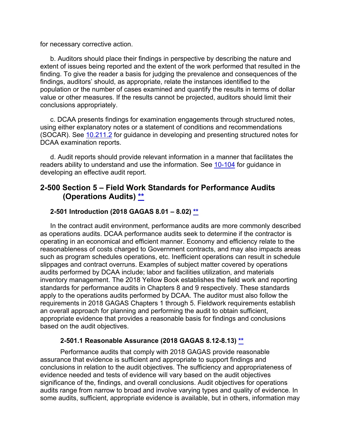for necessary corrective action.

b. Auditors should place their findings in perspective by describing the nature and extent of issues being reported and the extent of the work performed that resulted in the finding. To give the reader a basis for judging the prevalence and consequences of the findings, auditors' should, as appropriate, relate the instances identified to the population or the number of cases examined and quantify the results in terms of dollar value or other measures. If the results cannot be projected, auditors should limit their conclusions appropriately.

c. DCAA presents findings for examination engagements through structured notes, using either explanatory notes or a statement of conditions and recommendations (SOCAR). See [10.211.2](https://viper.dcaa.mil/guidance/cam/3147/preparation-and-distribution-of-audit-reports#Sec102112) for guidance in developing and presenting structured notes for DCAA examination reports.

d. Audit reports should provide relevant information in a manner that facilitates the readers ability to understand and use the information. See [10-104](https://viper.dcaa.mil/guidance/cam/3147/preparation-and-distribution-of-audit-reports#Sec10104) for guidance in developing an effective audit report.

# **2-500 Section 5 – Field Work Standards for Performance Audits (Operations Audits) [\\*\\*](#page-4-14)**

#### **2-501 Introduction (2018 GAGAS 8.01 – 8.02) [\\*\\*](#page-4-14)**

In the contract audit environment, performance audits are more commonly described as operations audits. DCAA performance audits seek to determine if the contractor is operating in an economical and efficient manner. Economy and efficiency relate to the reasonableness of costs charged to Government contracts, and may also impacts areas such as program schedules operations, etc. Inefficient operations can result in schedule slippages and contract overruns. Examples of subject matter covered by operations audits performed by DCAA include; labor and facilities utilization, and materials inventory management. The 2018 Yellow Book establishes the field work and reporting standards for performance audits in Chapters 8 and 9 respectively. These standards apply to the operations audits performed by DCAA. The auditor must also follow the requirements in 2018 GAGAS Chapters 1 through 5. Fieldwork requirements establish an overall approach for planning and performing the audit to obtain sufficient, appropriate evidence that provides a reasonable basis for findings and conclusions based on the audit objectives.

#### **2-501.1 Reasonable Assurance (2018 GAGAS 8.12-8.13) [\\*\\*](#page-4-15)**

Performance audits that comply with 2018 GAGAS provide reasonable assurance that evidence is sufficient and appropriate to support findings and conclusions in relation to the audit objectives. The sufficiency and appropriateness of evidence needed and tests of evidence will vary based on the audit objectives significance of the, findings, and overall conclusions. Audit objectives for operations audits range from narrow to broad and involve varying types and quality of evidence. In some audits, sufficient, appropriate evidence is available, but in others, information may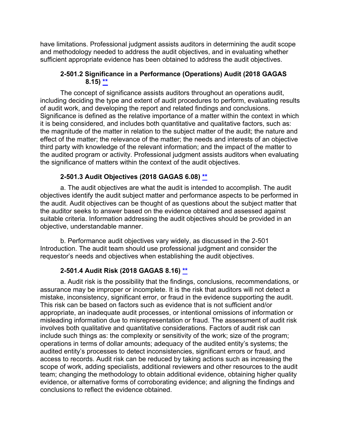have limitations. Professional judgment assists auditors in determining the audit scope and methodology needed to address the audit objectives, and in evaluating whether sufficient appropriate evidence has been obtained to address the audit objectives.

## **2-501.2 Significance in a Performance (Operations) Audit (2018 GAGAS 8.15) [\\*\\*](#page-4-16)**

The concept of significance assists auditors throughout an operations audit, including deciding the type and extent of audit procedures to perform, evaluating results of audit work, and developing the report and related findings and conclusions. Significance is defined as the relative importance of a matter within the context in which it is being considered, and includes both quantitative and qualitative factors, such as: the magnitude of the matter in relation to the subject matter of the audit; the nature and effect of the matter; the relevance of the matter; the needs and interests of an objective third party with knowledge of the relevant information; and the impact of the matter to the audited program or activity. Professional judgment assists auditors when evaluating the significance of matters within the context of the audit objectives.

# **2-501.3 Audit Objectives (2018 GAGAS 6.08) [\\*\\*](#page-4-17)**

a. The audit objectives are what the audit is intended to accomplish. The audit objectives identify the audit subject matter and performance aspects to be performed in the audit. Audit objectives can be thought of as questions about the subject matter that the auditor seeks to answer based on the evidence obtained and assessed against suitable criteria. Information addressing the audit objectives should be provided in an objective, understandable manner.

b. Performance audit objectives vary widely, as discussed in the 2-501 Introduction. The audit team should use professional judgment and consider the requestor's needs and objectives when establishing the audit objectives.

# **2-501.4 Audit Risk (2018 GAGAS 8.16) [\\*\\*](#page-4-18)**

a. Audit risk is the possibility that the findings, conclusions, recommendations, or assurance may be improper or incomplete. It is the risk that auditors will not detect a mistake, inconsistency, significant error, or fraud in the evidence supporting the audit. This risk can be based on factors such as evidence that is not sufficient and/or appropriate, an inadequate audit processes, or intentional omissions of information or misleading information due to misrepresentation or fraud. The assessment of audit risk involves both qualitative and quantitative considerations. Factors of audit risk can include such things as: the complexity or sensitivity of the work; size of the program; operations in terms of dollar amounts; adequacy of the audited entity's systems; the audited entity's processes to detect inconsistencies, significant errors or fraud, and access to records. Audit risk can be reduced by taking actions such as increasing the scope of work, adding specialists, additional reviewers and other resources to the audit team; changing the methodology to obtain additional evidence, obtaining higher quality evidence, or alternative forms of corroborating evidence; and aligning the findings and conclusions to reflect the evidence obtained.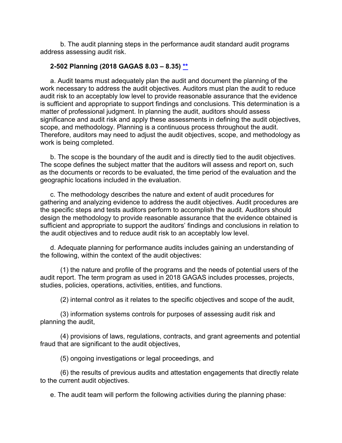b. The audit planning steps in the performance audit standard audit programs address assessing audit risk.

## **2-502 Planning (2018 GAGAS 8.03 – 8.35) [\\*\\*](#page-4-19)**

a. Audit teams must adequately plan the audit and document the planning of the work necessary to address the audit objectives. Auditors must plan the audit to reduce audit risk to an acceptably low level to provide reasonable assurance that the evidence is sufficient and appropriate to support findings and conclusions. This determination is a matter of professional judgment. In planning the audit, auditors should assess significance and audit risk and apply these assessments in defining the audit objectives, scope, and methodology. Planning is a continuous process throughout the audit. Therefore, auditors may need to adjust the audit objectives, scope, and methodology as work is being completed.

b. The scope is the boundary of the audit and is directly tied to the audit objectives. The scope defines the subject matter that the auditors will assess and report on, such as the documents or records to be evaluated, the time period of the evaluation and the geographic locations included in the evaluation.

c. The methodology describes the nature and extent of audit procedures for gathering and analyzing evidence to address the audit objectives. Audit procedures are the specific steps and tests auditors perform to accomplish the audit. Auditors should design the methodology to provide reasonable assurance that the evidence obtained is sufficient and appropriate to support the auditors' findings and conclusions in relation to the audit objectives and to reduce audit risk to an acceptably low level.

d. Adequate planning for performance audits includes gaining an understanding of the following, within the context of the audit objectives:

(1) the nature and profile of the programs and the needs of potential users of the audit report. The term program as used in 2018 GAGAS includes processes, projects, studies, policies, operations, activities, entities, and functions.

(2) internal control as it relates to the specific objectives and scope of the audit,

(3) information systems controls for purposes of assessing audit risk and planning the audit,

(4) provisions of laws, regulations, contracts, and grant agreements and potential fraud that are significant to the audit objectives,

(5) ongoing investigations or legal proceedings, and

(6) the results of previous audits and attestation engagements that directly relate to the current audit objectives.

e. The audit team will perform the following activities during the planning phase: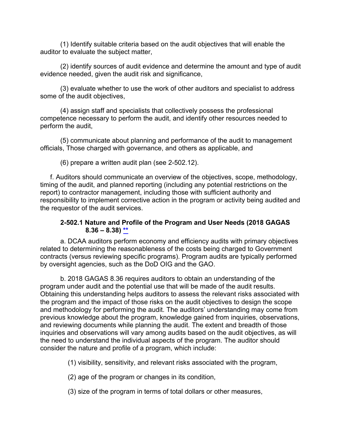(1) Identify suitable criteria based on the audit objectives that will enable the auditor to evaluate the subject matter,

(2) identify sources of audit evidence and determine the amount and type of audit evidence needed, given the audit risk and significance,

(3) evaluate whether to use the work of other auditors and specialist to address some of the audit objectives,

(4) assign staff and specialists that collectively possess the professional competence necessary to perform the audit, and identify other resources needed to perform the audit,

(5) communicate about planning and performance of the audit to management officials, Those charged with governance, and others as applicable, and

(6) prepare a written audit plan (see 2-502.12).

f. Auditors should communicate an overview of the objectives, scope, methodology, timing of the audit, and planned reporting (including any potential restrictions on the report) to contractor management, including those with sufficient authority and responsibility to implement corrective action in the program or activity being audited and the requestor of the audit services.

### **2-502.1 Nature and Profile of the Program and User Needs (2018 GAGAS 8.36 – 8.38) [\\*\\*](#page-4-20)**

a. DCAA auditors perform economy and efficiency audits with primary objectives related to determining the reasonableness of the costs being charged to Government contracts (versus reviewing specific programs). Program audits are typically performed by oversight agencies, such as the DoD OIG and the GAO.

b. 2018 GAGAS 8.36 requires auditors to obtain an understanding of the program under audit and the potential use that will be made of the audit results. Obtaining this understanding helps auditors to assess the relevant risks associated with the program and the impact of those risks on the audit objectives to design the scope and methodology for performing the audit. The auditors' understanding may come from previous knowledge about the program, knowledge gained from inquiries, observations, and reviewing documents while planning the audit. The extent and breadth of those inquiries and observations will vary among audits based on the audit objectives, as will the need to understand the individual aspects of the program. The auditor should consider the nature and profile of a program, which include:

(1) visibility, sensitivity, and relevant risks associated with the program,

(2) age of the program or changes in its condition,

(3) size of the program in terms of total dollars or other measures,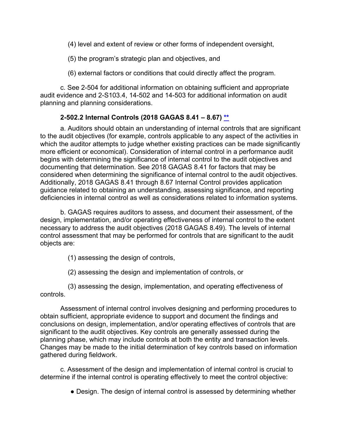(4) level and extent of review or other forms of independent oversight,

(5) the program's strategic plan and objectives, and

(6) external factors or conditions that could directly affect the program.

c. See 2-504 for additional information on obtaining sufficient and appropriate audit evidence and 2-S103.4, 14-502 and 14-503 for additional information on audit planning and planning considerations.

# **2-502.2 Internal Controls (2018 GAGAS 8.41 – 8.67) [\\*\\*](#page-4-21)**

a. Auditors should obtain an understanding of internal controls that are significant to the audit objectives (for example, controls applicable to any aspect of the activities in which the auditor attempts to judge whether existing practices can be made significantly more efficient or economical). Consideration of internal control in a performance audit begins with determining the significance of internal control to the audit objectives and documenting that determination. See 2018 GAGAS 8.41 for factors that may be considered when determining the significance of internal control to the audit objectives. Additionally, 2018 GAGAS 8.41 through 8.67 Internal Control provides application guidance related to obtaining an understanding, assessing significance, and reporting deficiencies in internal control as well as considerations related to information systems.

b. GAGAS requires auditors to assess, and document their assessment, of the design, implementation, and/or operating effectiveness of internal control to the extent necessary to address the audit objectives (2018 GAGAS 8.49). The levels of internal control assessment that may be performed for controls that are significant to the audit objects are:

(1) assessing the design of controls,

(2) assessing the design and implementation of controls, or

(3) assessing the design, implementation, and operating effectiveness of controls.

Assessment of internal control involves designing and performing procedures to obtain sufficient, appropriate evidence to support and document the findings and conclusions on design, implementation, and/or operating effectives of controls that are significant to the audit objectives. Key controls are generally assessed during the planning phase, which may include controls at both the entity and transaction levels. Changes may be made to the initial determination of key controls based on information gathered during fieldwork.

c. Assessment of the design and implementation of internal control is crucial to determine if the internal control is operating effectively to meet the control objective:

• Design. The design of internal control is assessed by determining whether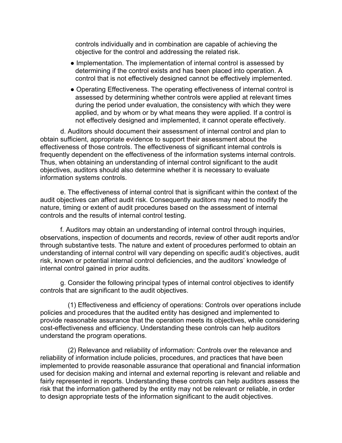controls individually and in combination are capable of achieving the objective for the control and addressing the related risk.

- Implementation. The implementation of internal control is assessed by determining if the control exists and has been placed into operation. A control that is not effectively designed cannot be effectively implemented.
- Operating Effectiveness. The operating effectiveness of internal control is assessed by determining whether controls were applied at relevant times during the period under evaluation, the consistency with which they were applied, and by whom or by what means they were applied. If a control is not effectively designed and implemented, it cannot operate effectively.

d. Auditors should document their assessment of internal control and plan to obtain sufficient, appropriate evidence to support their assessment about the effectiveness of those controls. The effectiveness of significant internal controls is frequently dependent on the effectiveness of the information systems internal controls. Thus, when obtaining an understanding of internal control significant to the audit objectives, auditors should also determine whether it is necessary to evaluate information systems controls.

e. The effectiveness of internal control that is significant within the context of the audit objectives can affect audit risk. Consequently auditors may need to modify the nature, timing or extent of audit procedures based on the assessment of internal controls and the results of internal control testing.

f. Auditors may obtain an understanding of internal control through inquiries, observations, inspection of documents and records, review of other audit reports and/or through substantive tests. The nature and extent of procedures performed to obtain an understanding of internal control will vary depending on specific audit's objectives, audit risk, known or potential internal control deficiencies, and the auditors' knowledge of internal control gained in prior audits.

g. Consider the following principal types of internal control objectives to identify controls that are significant to the audit objectives.

(1) Effectiveness and efficiency of operations: Controls over operations include policies and procedures that the audited entity has designed and implemented to provide reasonable assurance that the operation meets its objectives, while considering cost-effectiveness and efficiency. Understanding these controls can help auditors understand the program operations.

(2) Relevance and reliability of information: Controls over the relevance and reliability of information include policies, procedures, and practices that have been implemented to provide reasonable assurance that operational and financial information used for decision making and internal and external reporting is relevant and reliable and fairly represented in reports. Understanding these controls can help auditors assess the risk that the information gathered by the entity may not be relevant or reliable, in order to design appropriate tests of the information significant to the audit objectives.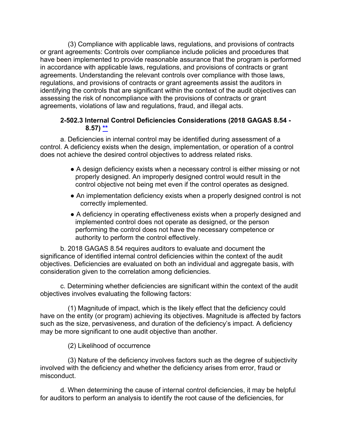(3) Compliance with applicable laws, regulations, and provisions of contracts or grant agreements: Controls over compliance include policies and procedures that have been implemented to provide reasonable assurance that the program is performed in accordance with applicable laws, regulations, and provisions of contracts or grant agreements. Understanding the relevant controls over compliance with those laws, regulations, and provisions of contracts or grant agreements assist the auditors in identifying the controls that are significant within the context of the audit objectives can assessing the risk of noncompliance with the provisions of contracts or grant agreements, violations of law and regulations, fraud, and illegal acts.

## **2-502.3 Internal Control Deficiencies Considerations (2018 GAGAS 8.54 - 8.57) [\\*\\*](#page-5-0)**

a. Deficiencies in internal control may be identified during assessment of a control. A deficiency exists when the design, implementation, or operation of a control does not achieve the desired control objectives to address related risks.

- A design deficiency exists when a necessary control is either missing or not properly designed. An improperly designed control would result in the control objective not being met even if the control operates as designed.
- An implementation deficiency exists when a properly designed control is not correctly implemented.
- A deficiency in operating effectiveness exists when a properly designed and implemented control does not operate as designed, or the person performing the control does not have the necessary competence or authority to perform the control effectively.

b. 2018 GAGAS 8.54 requires auditors to evaluate and document the significance of identified internal control deficiencies within the context of the audit objectives. Deficiencies are evaluated on both an individual and aggregate basis, with consideration given to the correlation among deficiencies.

c. Determining whether deficiencies are significant within the context of the audit objectives involves evaluating the following factors:

(1) Magnitude of impact, which is the likely effect that the deficiency could have on the entity (or program) achieving its objectives. Magnitude is affected by factors such as the size, pervasiveness, and duration of the deficiency's impact. A deficiency may be more significant to one audit objective than another.

(2) Likelihood of occurrence

(3) Nature of the deficiency involves factors such as the degree of subjectivity involved with the deficiency and whether the deficiency arises from error, fraud or misconduct.

d. When determining the cause of internal control deficiencies, it may be helpful for auditors to perform an analysis to identify the root cause of the deficiencies, for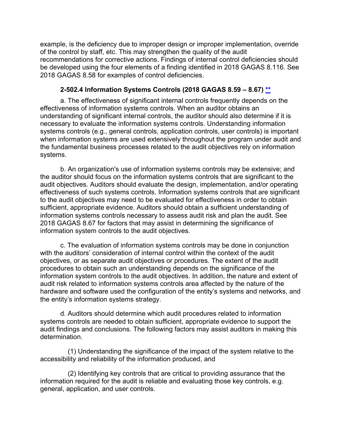example, is the deficiency due to improper design or improper implementation, override of the control by staff, etc. This may strengthen the quality of the audit recommendations for corrective actions. Findings of internal control deficiencies should be developed using the four elements of a finding identified in 2018 GAGAS 8.116. See 2018 GAGAS 8.58 for examples of control deficiencies.

### **2-502.4 Information Systems Controls (2018 GAGAS 8.59 – 8.67) [\\*\\*](#page-5-0)**

a. The effectiveness of significant internal controls frequently depends on the effectiveness of information systems controls. When an auditor obtains an understanding of significant internal controls, the auditor should also determine if it is necessary to evaluate the information systems controls. Understanding information systems controls (e.g., general controls, application controls, user controls) is important when information systems are used extensively throughout the program under audit and the fundamental business processes related to the audit objectives rely on information systems.

b. An organization's use of information systems controls may be extensive; and the auditor should focus on the information systems controls that are significant to the audit objectives. Auditors should evaluate the design, implementation, and/or operating effectiveness of such systems controls. Information systems controls that are significant to the audit objectives may need to be evaluated for effectiveness in order to obtain sufficient, appropriate evidence. Auditors should obtain a sufficient understanding of information systems controls necessary to assess audit risk and plan the audit. See 2018 GAGAS 8.67 for factors that may assist in determining the significance of information system controls to the audit objectives.

c. The evaluation of information systems controls may be done in conjunction with the auditors' consideration of internal control within the context of the audit objectives, or as separate audit objectives or procedures. The extent of the audit procedures to obtain such an understanding depends on the significance of the information system controls to the audit objectives. In addition, the nature and extent of audit risk related to information systems controls area affected by the nature of the hardware and software used the configuration of the entity's systems and networks, and the entity's information systems strategy.

d. Auditors should determine which audit procedures related to information systems controls are needed to obtain sufficient, appropriate evidence to support the audit findings and conclusions. The following factors may assist auditors in making this determination.

(1) Understanding the significance of the impact of the system relative to the accessibility and reliability of the information produced, and

(2) Identifying key controls that are critical to providing assurance that the information required for the audit is reliable and evaluating those key controls, e.g. general, application, and user controls.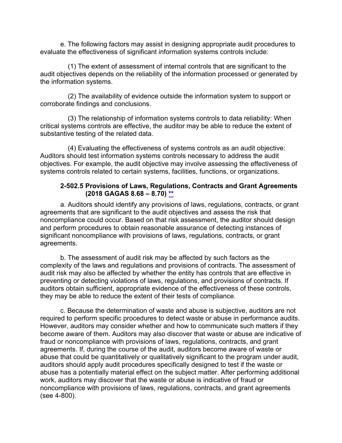e. The following factors may assist in designing appropriate audit procedures to evaluate the effectiveness of significant information systems controls include:

(1) The extent of assessment of internal controls that are significant to the audit objectives depends on the reliability of the information processed or generated by the information systems.

(2) The availability of evidence outside the information system to support or corroborate findings and conclusions.

(3) The relationship of information systems controls to data reliability: When critical systems controls are effective, the auditor may be able to reduce the extent of substantive testing of the related data.

(4) Evaluating the effectiveness of systems controls as an audit objective: Auditors should test information systems controls necessary to address the audit objectives. For example, the audit objective may involve assessing the effectiveness of systems controls related to certain systems, facilities, functions, or organizations.

#### **2-502.5 Provisions of Laws, Regulations, Contracts and Grant Agreements (2018 GAGAS 8.68 – 8.70) [\\*\\*](#page-5-1)**

a. Auditors should identify any provisions of laws, regulations, contracts, or grant agreements that are significant to the audit objectives and assess the risk that noncompliance could occur. Based on that risk assessment, the auditor should design and perform procedures to obtain reasonable assurance of detecting instances of significant noncompliance with provisions of laws, regulations, contracts, or grant agreements.

b. The assessment of audit risk may be affected by such factors as the complexity of the laws and regulations and provisions of contracts. The assessment of audit risk may also be affected by whether the entity has controls that are effective in preventing or detecting violations of laws, regulations, and provisions of contracts. If auditors obtain sufficient, appropriate evidence of the effectiveness of these controls, they may be able to reduce the extent of their tests of compliance.

c. Because the determination of waste and abuse is subjective, auditors are not required to perform specific procedures to detect waste or abuse in performance audits. However, auditors may consider whether and how to communicate such matters if they become aware of them. Auditors may also discover that waste or abuse are indicative of fraud or noncompliance with provisions of laws, regulations, contracts, and grant agreements. If, during the course of the audit, auditors become aware of waste or abuse that could be quantitatively or qualitatively significant to the program under audit, auditors should apply audit procedures specifically designed to test if the waste or abuse has a potentially material effect on the subject matter. After performing additional work, auditors may discover that the waste or abuse is indicative of fraud or noncompliance with provisions of laws, regulations, contracts, and grant agreements (see 4-800).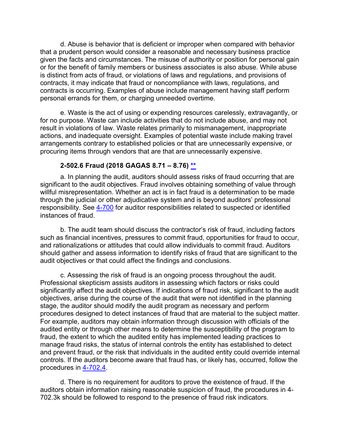d. Abuse is behavior that is deficient or improper when compared with behavior that a prudent person would consider a reasonable and necessary business practice given the facts and circumstances. The misuse of authority or position for personal gain or for the benefit of family members or business associates is also abuse. While abuse is distinct from acts of fraud, or violations of laws and regulations, and provisions of contracts, it may indicate that fraud or noncompliance with laws, regulations, and contracts is occurring. Examples of abuse include management having staff perform personal errands for them, or charging unneeded overtime.

e. Waste is the act of using or expending resources carelessly, extravagantly, or for no purpose. Waste can include activities that do not include abuse, and may not result in violations of law. Waste relates primarily to mismanagement, inappropriate actions, and inadequate oversight. Examples of potential waste include making travel arrangements contrary to established policies or that are unnecessarily expensive, or procuring items through vendors that are that are unnecessarily expensive.

#### **2-502.6 Fraud (2018 GAGAS 8.71 – 8.76) [\\*\\*](#page-5-2)**

a. In planning the audit, auditors should assess risks of fraud occurring that are significant to the audit objectives. Fraud involves obtaining something of value through willful misrepresentation. Whether an act is in fact fraud is a determination to be made through the judicial or other adjudicative system and is beyond auditors' professional responsibility. See [4-700](https://viper.dcaa.mil/guidance/cam/3130/general-audit-requirements#Sec4700) for auditor responsibilities related to suspected or identified instances of fraud.

b. The audit team should discuss the contractor's risk of fraud, including factors such as financial incentives, pressures to commit fraud, opportunities for fraud to occur, and rationalizations or attitudes that could allow individuals to commit fraud. Auditors should gather and assess information to identify risks of fraud that are significant to the audit objectives or that could affect the findings and conclusions.

c. Assessing the risk of fraud is an ongoing process throughout the audit. Professional skepticism assists auditors in assessing which factors or risks could significantly affect the audit objectives. If indications of fraud risk, significant to the audit objectives, arise during the course of the audit that were not identified in the planning stage, the auditor should modify the audit program as necessary and perform procedures designed to detect instances of fraud that are material to the subject matter. For example, auditors may obtain information through discussion with officials of the audited entity or through other means to determine the susceptibility of the program to fraud, the extent to which the audited entity has implemented leading practices to manage fraud risks, the status of internal controls the entity has established to detect and prevent fraud, or the risk that individuals in the audited entity could override internal controls. If the auditors become aware that fraud has, or likely has, occurred, follow the procedures in [4-702.4.](https://viper.dcaa.mil/guidance/cam/3130/general-audit-requirements?#p927)

d. There is no requirement for auditors to prove the existence of fraud. If the auditors obtain information raising reasonable suspicion of fraud, the procedures in 4- 702.3k should be followed to respond to the presence of fraud risk indicators.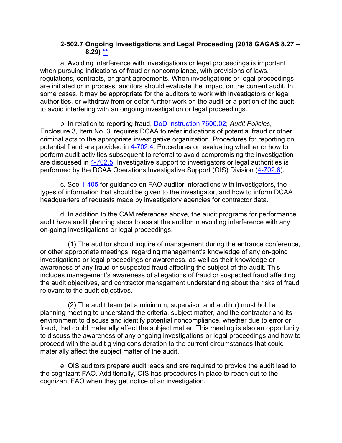### **2-502.7 Ongoing Investigations and Legal Proceeding (2018 GAGAS 8.27 – 8.29) [\\*\\*](#page-5-3)**

a. Avoiding interference with investigations or legal proceedings is important when pursuing indications of fraud or noncompliance, with provisions of laws, regulations, contracts, or grant agreements. When investigations or legal proceedings are initiated or in process, auditors should evaluate the impact on the current audit. In some cases, it may be appropriate for the auditors to work with investigators or legal authorities, or withdraw from or defer further work on the audit or a portion of the audit to avoid interfering with an ongoing investigation or legal proceedings.

b. In relation to reporting fraud, [DoD Instruction 7600.02;](https://www.esd.whs.mil/Portals/54/Documents/DD/issuances/dodi/760002p.pdf?ver=2019-04-03-110508-543) *Audit Policies*, Enclosure 3, Item No. 3, requires DCAA to refer indications of potential fraud or other criminal acts to the appropriate investigative organization. Procedures for reporting on potential fraud are provided in [4-702.4.](https://viper.dcaa.mil/guidance/cam/3130/Audit%20Planning/#Sec47024) Procedures on evaluating whether or how to perform audit activities subsequent to referral to avoid compromising the investigation are discussed in [4-702.5.](https://viper.dcaa.mil/guidance/cam/3130/general-audit-requirements?#Sec47025) Investigative support to investigators or legal authorities is performed by the DCAA Operations Investigative Support (OIS) Division [\(4-702.6\)](https://viper.dcaa.mil/guidance/cam/3130/general-audit-requirements?#Sec47026).

c. See [1-405](https://viper.dcaa.mil/guidance/cam/3127/introduction-to-contract-audit#Relationship14051) for guidance on FAO auditor interactions with investigators, the types of information that should be given to the investigator, and how to inform DCAA headquarters of requests made by investigatory agencies for contractor data.

d. In addition to the CAM references above, the audit programs for performance audit have audit planning steps to assist the auditor in avoiding interference with any on-going investigations or legal proceedings.

(1) The auditor should inquire of management during the entrance conference, or other appropriate meetings, regarding management's knowledge of any on-going investigations or legal proceedings or awareness, as well as their knowledge or awareness of any fraud or suspected fraud affecting the subject of the audit. This includes management's awareness of allegations of fraud or suspected fraud affecting the audit objectives, and contractor management understanding about the risks of fraud relevant to the audit objectives.

(2) The audit team (at a minimum, supervisor and auditor) must hold a planning meeting to understand the criteria, subject matter, and the contractor and its environment to discuss and identify potential noncompliance, whether due to error or fraud, that could materially affect the subject matter. This meeting is also an opportunity to discuss the awareness of any ongoing investigations or legal proceedings and how to proceed with the audit giving consideration to the current circumstances that could materially affect the subject matter of the audit.

e. OIS auditors prepare audit leads and are required to provide the audit lead to the cognizant FAO. Additionally, OIS has procedures in place to reach out to the cognizant FAO when they get notice of an investigation.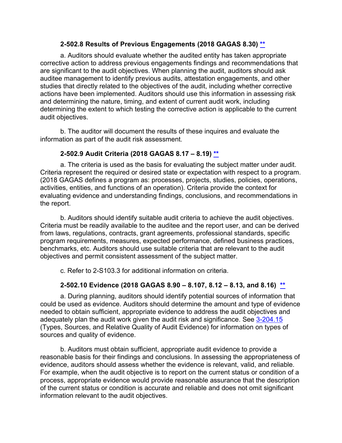### **2-502.8 Results of Previous Engagements (2018 GAGAS 8.30) [\\*\\*](#page-5-2)**

a. Auditors should evaluate whether the audited entity has taken appropriate corrective action to address previous engagements findings and recommendations that are significant to the audit objectives. When planning the audit, auditors should ask auditee management to identify previous audits, attestation engagements, and other studies that directly related to the objectives of the audit, including whether corrective actions have been implemented. Auditors should use this information in assessing risk and determining the nature, timing, and extent of current audit work, including determining the extent to which testing the corrective action is applicable to the current audit objectives.

b. The auditor will document the results of these inquires and evaluate the information as part of the audit risk assessment.

## **2-502.9 Audit Criteria (2018 GAGAS 8.17 – 8.19) [\\*\\*](#page-5-4)**

a. The criteria is used as the basis for evaluating the subject matter under audit. Criteria represent the required or desired state or expectation with respect to a program. (2018 GAGAS defines a program as: processes, projects, studies, policies, operations, activities, entities, and functions of an operation). Criteria provide the context for evaluating evidence and understanding findings, conclusions, and recommendations in the report.

b. Auditors should identify suitable audit criteria to achieve the audit objectives. Criteria must be readily available to the auditee and the report user, and can be derived from laws, regulations, contracts, grant agreements, professional standards, specific program requirements, measures, expected performance, defined business practices, benchmarks, etc. Auditors should use suitable criteria that are relevant to the audit objectives and permit consistent assessment of the subject matter.

c. Refer to 2-S103.3 for additional information on criteria.

## **2-502.10 Evidence (2018 GAGAS 8.90 – 8.107, 8.12 – 8.13, and 8.16) [\\*\\*](#page-5-5)**

a. During planning, auditors should identify potential sources of information that could be used as evidence. Auditors should determine the amount and type of evidence needed to obtain sufficient, appropriate evidence to address the audit objectives and adequately plan the audit work given the audit risk and significance. See [3-204.15](https://viper.dcaa.mil/guidance/cam/3129/audit-planning/#Sec320415) (Types, Sources, and Relative Quality of Audit Evidence) for information on types of sources and quality of evidence.

b. Auditors must obtain sufficient, appropriate audit evidence to provide a reasonable basis for their findings and conclusions. In assessing the appropriateness of evidence, auditors should assess whether the evidence is relevant, valid, and reliable. For example, when the audit objective is to report on the current status or condition of a process, appropriate evidence would provide reasonable assurance that the description of the current status or condition is accurate and reliable and does not omit significant information relevant to the audit objectives.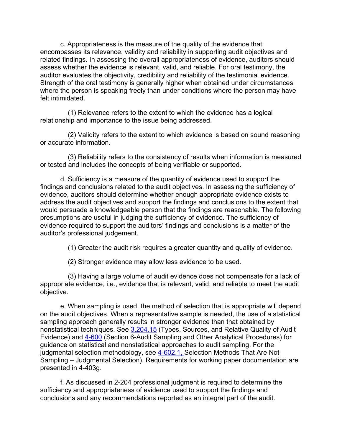c. Appropriateness is the measure of the quality of the evidence that encompasses its relevance, validity and reliability in supporting audit objectives and related findings. In assessing the overall appropriateness of evidence, auditors should assess whether the evidence is relevant, valid, and reliable. For oral testimony, the auditor evaluates the objectivity, credibility and reliability of the testimonial evidence. Strength of the oral testimony is generally higher when obtained under circumstances where the person is speaking freely than under conditions where the person may have felt intimidated.

(1) Relevance refers to the extent to which the evidence has a logical relationship and importance to the issue being addressed.

(2) Validity refers to the extent to which evidence is based on sound reasoning or accurate information.

(3) Reliability refers to the consistency of results when information is measured or tested and includes the concepts of being verifiable or supported.

d. Sufficiency is a measure of the quantity of evidence used to support the findings and conclusions related to the audit objectives. In assessing the sufficiency of evidence, auditors should determine whether enough appropriate evidence exists to address the audit objectives and support the findings and conclusions to the extent that would persuade a knowledgeable person that the findings are reasonable. The following presumptions are useful in judging the sufficiency of evidence. The sufficiency of evidence required to support the auditors' findings and conclusions is a matter of the auditor's professional judgement.

(1) Greater the audit risk requires a greater quantity and quality of evidence.

(2) Stronger evidence may allow less evidence to be used.

(3) Having a large volume of audit evidence does not compensate for a lack of appropriate evidence, i.e., evidence that is relevant, valid, and reliable to meet the audit objective.

e. When sampling is used, the method of selection that is appropriate will depend on the audit objectives. When a representative sample is needed, the use of a statistical sampling approach generally results in stronger evidence than that obtained by nonstatistical techniques. See [3.204.15](https://viper.dcaa.mil/guidance/cam/3129/audit-planning/#Sec320415) (Types, Sources, and Relative Quality of Audit Evidence) and [4-600](https://viper.dcaa.mil/guidance/cam/3130/general-audit-requirements/#Sec4600) (Section 6-Audit Sampling and Other Analytical Procedures) for guidance on statistical and nonstatistical approaches to audit sampling. For the judgmental selection methodology, see [4-602.1,](https://viper.dcaa.mil/guidance/cam/3130/general-audit-requirements/#Sec46021) Selection Methods That Are Not Sampling – Judgmental Selection). Requirements for working paper documentation are presented in 4-403g.

f. As discussed in 2-204 professional judgment is required to determine the sufficiency and appropriateness of evidence used to support the findings and conclusions and any recommendations reported as an integral part of the audit.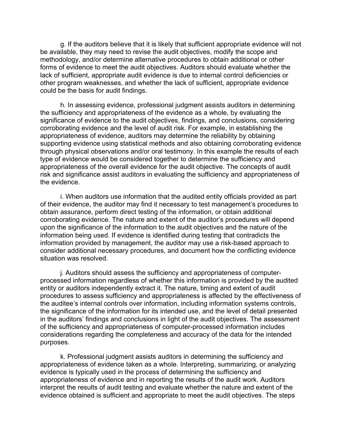g. If the auditors believe that it is likely that sufficient appropriate evidence will not be available, they may need to revise the audit objectives, modify the scope and methodology, and/or determine alternative procedures to obtain additional or other forms of evidence to meet the audit objectives. Auditors should evaluate whether the lack of sufficient, appropriate audit evidence is due to internal control deficiencies or other program weaknesses, and whether the lack of sufficient, appropriate evidence could be the basis for audit findings.

h. In assessing evidence, professional judgment assists auditors in determining the sufficiency and appropriateness of the evidence as a whole, by evaluating the significance of evidence to the audit objectives, findings, and conclusions, considering corroborating evidence and the level of audit risk. For example, in establishing the appropriateness of evidence, auditors may determine the reliability by obtaining supporting evidence using statistical methods and also obtaining corroborating evidence through physical observations and/or oral testimony. In this example the results of each type of evidence would be considered together to determine the sufficiency and appropriateness of the overall evidence for the audit objective. The concepts of audit risk and significance assist auditors in evaluating the sufficiency and appropriateness of the evidence.

i. When auditors use information that the audited entity officials provided as part of their evidence, the auditor may find it necessary to test management's procedures to obtain assurance, perform direct testing of the information, or obtain additional corroborating evidence. The nature and extent of the auditor's procedures will depend upon the significance of the information to the audit objectives and the nature of the information being used. If evidence is identified during testing that contradicts the information provided by management, the auditor may use a risk-based approach to consider additional necessary procedures, and document how the conflicting evidence situation was resolved.

j. Auditors should assess the sufficiency and appropriateness of computerprocessed information regardless of whether this information is provided by the audited entity or auditors independently extract it. The nature, timing and extent of audit procedures to assess sufficiency and appropriateness is affected by the effectiveness of the auditee's internal controls over information, including information systems controls, the significance of the information for its intended use, and the level of detail presented in the auditors' findings and conclusions in light of the audit objectives. The assessment of the sufficiency and appropriateness of computer-processed information includes considerations regarding the completeness and accuracy of the data for the intended purposes.

k. Professional judgment assists auditors in determining the sufficiency and appropriateness of evidence taken as a whole. Interpreting, summarizing, or analyzing evidence is typically used in the process of determining the sufficiency and appropriateness of evidence and in reporting the results of the audit work. Auditors interpret the results of audit testing and evaluate whether the nature and extent of the evidence obtained is sufficient and appropriate to meet the audit objectives. The steps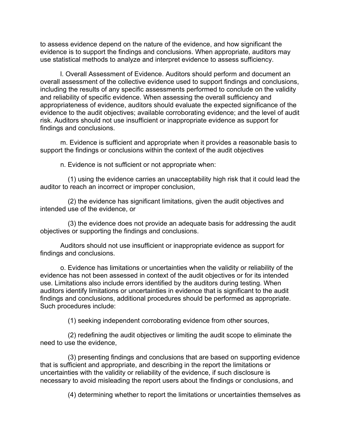to assess evidence depend on the nature of the evidence, and how significant the evidence is to support the findings and conclusions. When appropriate, auditors may use statistical methods to analyze and interpret evidence to assess sufficiency.

l. Overall Assessment of Evidence. Auditors should perform and document an overall assessment of the collective evidence used to support findings and conclusions, including the results of any specific assessments performed to conclude on the validity and reliability of specific evidence. When assessing the overall sufficiency and appropriateness of evidence, auditors should evaluate the expected significance of the evidence to the audit objectives; available corroborating evidence; and the level of audit risk. Auditors should not use insufficient or inappropriate evidence as support for findings and conclusions.

m. Evidence is sufficient and appropriate when it provides a reasonable basis to support the findings or conclusions within the context of the audit objectives

n. Evidence is not sufficient or not appropriate when:

(1) using the evidence carries an unacceptability high risk that it could lead the auditor to reach an incorrect or improper conclusion,

(2) the evidence has significant limitations, given the audit objectives and intended use of the evidence, or

(3) the evidence does not provide an adequate basis for addressing the audit objectives or supporting the findings and conclusions.

Auditors should not use insufficient or inappropriate evidence as support for findings and conclusions.

o. Evidence has limitations or uncertainties when the validity or reliability of the evidence has not been assessed in context of the audit objectives or for its intended use. Limitations also include errors identified by the auditors during testing. When auditors identify limitations or uncertainties in evidence that is significant to the audit findings and conclusions, additional procedures should be performed as appropriate. Such procedures include:

(1) seeking independent corroborating evidence from other sources,

(2) redefining the audit objectives or limiting the audit scope to eliminate the need to use the evidence,

(3) presenting findings and conclusions that are based on supporting evidence that is sufficient and appropriate, and describing in the report the limitations or uncertainties with the validity or reliability of the evidence, if such disclosure is necessary to avoid misleading the report users about the findings or conclusions, and

(4) determining whether to report the limitations or uncertainties themselves as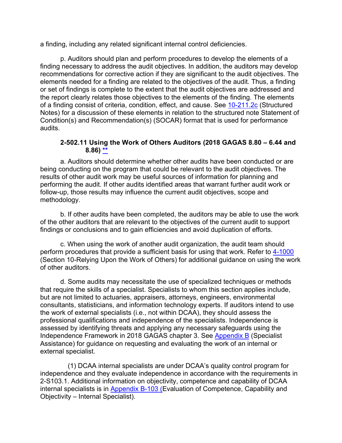a finding, including any related significant internal control deficiencies.

p. Auditors should plan and perform procedures to develop the elements of a finding necessary to address the audit objectives. In addition, the auditors may develop recommendations for corrective action if they are significant to the audit objectives. The elements needed for a finding are related to the objectives of the audit. Thus, a finding or set of findings is complete to the extent that the audit objectives are addressed and the report clearly relates those objectives to the elements of the finding. The elements of a finding consist of criteria, condition, effect, and cause. See [10-211.2c](https://viper.dcaa.mil/guidance/cam/3147/preparation-and-distribution-of-audit-reports/#p258) (Structured Notes) for a discussion of these elements in relation to the structured note Statement of Condition(s) and Recommendation(s) (SOCAR) format that is used for performance audits.

### **2-502.11 Using the Work of Others Auditors (2018 GAGAS 8.80 – 6.44 and 8.86) [\\*\\*](#page-5-4)**

a. Auditors should determine whether other audits have been conducted or are being conducting on the program that could be relevant to the audit objectives. The results of other audit work may be useful sources of information for planning and performing the audit. If other audits identified areas that warrant further audit work or follow-up, those results may influence the current audit objectives, scope and methodology.

b. If other audits have been completed, the auditors may be able to use the work of the other auditors that are relevant to the objectives of the current audit to support findings or conclusions and to gain efficiencies and avoid duplication of efforts.

c. When using the work of another audit organization, the audit team should perform procedures that provide a sufficient basis for using that work. Refer to [4-1000](https://viper.dcaa.mil/guidance/cam/3130/general-audit-requirements/#Sec41000) (Section 10-Relying Upon the Work of Others) for additional guidance on using the work of other auditors.

d. Some audits may necessitate the use of specialized techniques or methods that require the skills of a specialist. Specialists to whom this section applies include, but are not limited to actuaries, appraisers, attorneys, engineers, environmental consultants, statisticians, and information technology experts. If auditors intend to use the work of external specialists (i.e., not within DCAA), they should assess the professional qualifications and independence of the specialists. Independence is assessed by identifying threats and applying any necessary safeguards using the Independence Framework in 2018 GAGAS chapter 3. See [Appendix B](https://viper.dcaa.mil/guidance/cam/3163/appendix-b-specialist-assistance) (Specialist Assistance) for guidance on requesting and evaluating the work of an internal or external specialist.

(1) DCAA internal specialists are under DCAA's quality control program for independence and they evaluate independence in accordance with the requirements in 2-S103.1. Additional information on objectivity, competence and capability of DCAA internal specialists is in [Appendix B-103](https://viper.dcaa.mil/guidance/cam/3163/appendix-b-specialist-assistance/#SecB103) (Evaluation of Competence, Capability and Objectivity – Internal Specialist).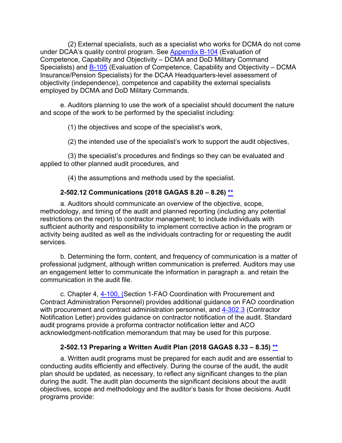(2) External specialists, such as a specialist who works for DCMA do not come under DCAA's quality control program. See [Appendix B-104](https://viper.dcaa.mil/guidance/cam/3163/appendix-b-specialist-assistance/#SecB104) (Evaluation of Competence, Capability and Objectivity – DCMA and DoD Military Command Specialists) and [B-105](https://viper.dcaa.mil/guidance/cam/3163/appendix-b-specialist-assistance/#SecB105) (Evaluation of Competence, Capability and Objectivity – DCMA Insurance/Pension Specialists) for the DCAA Headquarters-level assessment of objectivity (independence), competence and capability the external specialists employed by DCMA and DoD Military Commands.

e. Auditors planning to use the work of a specialist should document the nature and scope of the work to be performed by the specialist including:

(1) the objectives and scope of the specialist's work,

(2) the intended use of the specialist's work to support the audit objectives,

(3) the specialist's procedures and findings so they can be evaluated and applied to other planned audit procedures, and

(4) the assumptions and methods used by the specialist.

# **2-502.12 Communications (2018 GAGAS 8.20 – 8.26) [\\*\\*](#page-5-6)**

a. Auditors should communicate an overview of the objective, scope, methodology, and timing of the audit and planned reporting (including any potential restrictions on the report) to contractor management; to include individuals with sufficient authority and responsibility to implement corrective action in the program or activity being audited as well as the individuals contracting for or requesting the audit services.

b. Determining the form, content, and frequency of communication is a matter of professional judgment, although written communication is preferred. Auditors may use an engagement letter to communicate the information in paragraph a. and retain the communication in the audit file.

c. Chapter 4, [4-100,](https://viper.dcaa.mil/guidance/cam/3130/general-audit-requirements/#Sec4100) (Section 1-FAO Coordination with Procurement and Contract Administration Personnel) provides additional guidance on FAO coordination with procurement and contract administration personnel, and [4-302.3](https://viper.dcaa.mil/guidance/cam/3130/general-audit-requirements/#Sec43023) (Contractor Notification Letter) provides guidance on contractor notification of the audit. Standard audit programs provide a proforma contractor notification letter and ACO acknowledgment-notification memorandum that may be used for this purpose.

# **2-502.13 Preparing a Written Audit Plan (2018 GAGAS 8.33 – 8.35) [\\*\\*](#page-5-7)**

a. Written audit programs must be prepared for each audit and are essential to conducting audits efficiently and effectively. During the course of the audit, the audit plan should be updated, as necessary, to reflect any significant changes to the plan during the audit. The audit plan documents the significant decisions about the audit objectives, scope and methodology and the auditor's basis for those decisions. Audit programs provide: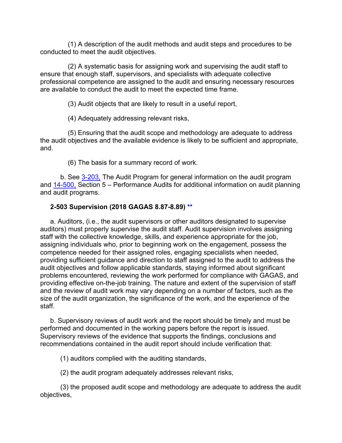(1) A description of the audit methods and audit steps and procedures to be conducted to meet the audit objectives.

(2) A systematic basis for assigning work and supervising the audit staff to ensure that enough staff, supervisors, and specialists with adequate collective professional competence are assigned to the audit and ensuring necessary resources are available to conduct the audit to meet the expected time frame.

(3) Audit objects that are likely to result in a useful report,

(4) Adequately addressing relevant risks,

(5) Ensuring that the audit scope and methodology are adequate to address the audit objectives and the available evidence is likely to be sufficient and appropriate, and.

(6) The basis for a summary record of work.

b. See [3-203,](https://viper.dcaa.mil/guidance/cam/3129/audit-planning/#Sec3203) The Audit Program for general information on the audit program and [14-500,](https://viper.dcaa.mil/guidance/cam/3158/other-contract-audit-assignments#Sec14500) Section 5 – Performance Audits for additional information on audit planning and audit programs.

## **2-503 Supervision (2018 GAGAS 8.87-8.89) [\\*\\*](#page-5-8)**

a. Auditors, (i.e., the audit supervisors or other auditors designated to supervise auditors) must properly supervise the audit staff. Audit supervision involves assigning staff with the collective knowledge, skills, and experience appropriate for the job, assigning individuals who, prior to beginning work on the engagement, possess the competence needed for their assigned roles, engaging specialists when needed, providing sufficient guidance and direction to staff assigned to the audit to address the audit objectives and follow applicable standards, staying informed about significant problems encountered, reviewing the work performed for compliance with GAGAS, and providing effective on-the-job training. The nature and extent of the supervision of staff and the review of audit work may vary depending on a number of factors, such as the size of the audit organization, the significance of the work, and the experience of the staff.

b. Supervisory reviews of audit work and the report should be timely and must be performed and documented in the working papers before the report is issued. Supervisory reviews of the evidence that supports the findings, conclusions and recommendations contained in the audit report should include verification that:

(1) auditors complied with the auditing standards,

(2) the audit program adequately addresses relevant risks,

(3) the proposed audit scope and methodology are adequate to address the audit objectives,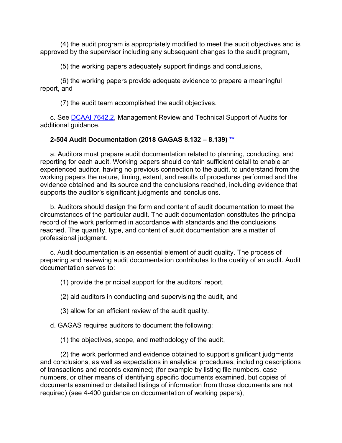(4) the audit program is appropriately modified to meet the audit objectives and is approved by the supervisor including any subsequent changes to the audit program,

(5) the working papers adequately support findings and conclusions,

(6) the working papers provide adequate evidence to prepare a meaningful report, and

(7) the audit team accomplished the audit objectives.

c. See [DCAAI 7642.2,](https://sharepoint.dcaaintra.mil/headquarters/resources/CM/CMC/Publications/Publications/DCAAI%207642.2.pdf) Management Review and Technical Support of Audits for additional guidance.

### **2-504 Audit Documentation (2018 GAGAS 8.132 – 8.139) [\\*\\*](#page-5-9)**

a. Auditors must prepare audit documentation related to planning, conducting, and reporting for each audit. Working papers should contain sufficient detail to enable an experienced auditor, having no previous connection to the audit, to understand from the working papers the nature, timing, extent, and results of procedures performed and the evidence obtained and its source and the conclusions reached, including evidence that supports the auditor's significant judgments and conclusions.

b. Auditors should design the form and content of audit documentation to meet the circumstances of the particular audit. The audit documentation constitutes the principal record of the work performed in accordance with standards and the conclusions reached. The quantity, type, and content of audit documentation are a matter of professional judgment.

c. Audit documentation is an essential element of audit quality. The process of preparing and reviewing audit documentation contributes to the quality of an audit. Audit documentation serves to:

(1) provide the principal support for the auditors' report,

(2) aid auditors in conducting and supervising the audit, and

(3) allow for an efficient review of the audit quality.

d. GAGAS requires auditors to document the following:

(1) the objectives, scope, and methodology of the audit,

(2) the work performed and evidence obtained to support significant judgments and conclusions, as well as expectations in analytical procedures, including descriptions of transactions and records examined; (for example by listing file numbers, case numbers, or other means of identifying specific documents examined, but copies of documents examined or detailed listings of information from those documents are not required) (see 4-400 guidance on documentation of working papers),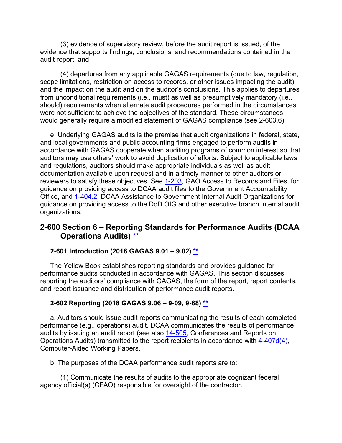(3) evidence of supervisory review, before the audit report is issued, of the evidence that supports findings, conclusions, and recommendations contained in the audit report, and

(4) departures from any applicable GAGAS requirements (due to law, regulation, scope limitations, restriction on access to records, or other issues impacting the audit) and the impact on the audit and on the auditor's conclusions. This applies to departures from unconditional requirements (i.e., must) as well as presumptively mandatory (i.e., should) requirements when alternate audit procedures performed in the circumstances were not sufficient to achieve the objectives of the standard. These circumstances would generally require a modified statement of GAGAS compliance (see 2-603.6).

e. Underlying GAGAS audits is the premise that audit organizations in federal, state, and local governments and public accounting firms engaged to perform audits in accordance with GAGAS cooperate when auditing programs of common interest so that auditors may use others' work to avoid duplication of efforts. Subject to applicable laws and regulations, auditors should make appropriate individuals as well as audit documentation available upon request and in a timely manner to other auditors or reviewers to satisfy these objectives. See [1-203,](https://viper.dcaa.mil/guidance/cam/3127/introduction-to-contract-audit#Sec1203) GAO Access to Records and Files, for guidance on providing access to DCAA audit files to the Government Accountability Office, and [1-404.2,](https://viper.dcaa.mil/guidance/cam/3127/introduction-to-contract-audit#Sec14042) DCAA Assistance to Government Internal Audit Organizations for guidance on providing access to the DoD OIG and other executive branch internal audit organizations.

# **2-600 Section 6 – Reporting Standards for Performance Audits (DCAA Operations Audits) [\\*\\*](#page-5-10)**

## **2-601 Introduction (2018 GAGAS 9.01 – 9.02) \*\***

The Yellow Book establishes reporting standards and provides guidance for performance audits conducted in accordance with GAGAS. This section discusses reporting the auditors' compliance with GAGAS, the form of the report, report contents, and report issuance and distribution of performance audit reports.

#### **2-602 Reporting (2018 GAGAS 9.06 – 9-09, 9-68) [\\*\\*](#page-5-11)**

a. Auditors should issue audit reports communicating the results of each completed performance (e.g., operations) audit. DCAA communicates the results of performance audits by issuing an audit report (see also [14-505,](https://viper.dcaa.mil/guidance/cam/3158/other-contract-audit-assignments/#Sec14505) Conferences and Reports on Operations Audits) transmitted to the report recipients in accordance with [4-407d\(4\),](https://viper.dcaa.mil/guidance/cam/3130/general-audit-requirements/#p514) Computer-Aided Working Papers.

b. The purposes of the DCAA performance audit reports are to:

(1) Communicate the results of audits to the appropriate cognizant federal agency official(s) (CFAO) responsible for oversight of the contractor.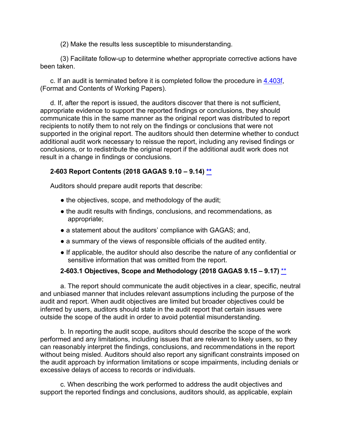(2) Make the results less susceptible to misunderstanding.

(3) Facilitate follow-up to determine whether appropriate corrective actions have been taken.

c. If an audit is terminated before it is completed follow the procedure in [4.403f,](https://viper.dcaa.mil/guidance/cam/3130/genral-audit-requirements/#p179) (Format and Contents of Working Papers).

d. If, after the report is issued, the auditors discover that there is not sufficient, appropriate evidence to support the reported findings or conclusions, they should communicate this in the same manner as the original report was distributed to report recipients to notify them to not rely on the findings or conclusions that were not supported in the original report. The auditors should then determine whether to conduct additional audit work necessary to reissue the report, including any revised findings or conclusions, or to redistribute the original report if the additional audit work does not result in a change in findings or conclusions.

## **2-603 Report Contents (2018 GAGAS 9.10 – 9.14) [\\*\\*](#page-5-12)**

Auditors should prepare audit reports that describe:

- the objectives, scope, and methodology of the audit;
- the audit results with findings, conclusions, and recommendations, as appropriate;
- a statement about the auditors' compliance with GAGAS; and,
- a summary of the views of responsible officials of the audited entity.
- If applicable, the auditor should also describe the nature of any confidential or sensitive information that was omitted from the report.

#### **2-603.1 Objectives, Scope and Methodology (2018 GAGAS 9.15 – 9.17)** [\\*\\*](#page-5-13)

a. The report should communicate the audit objectives in a clear, specific, neutral and unbiased manner that includes relevant assumptions including the purpose of the audit and report. When audit objectives are limited but broader objectives could be inferred by users, auditors should state in the audit report that certain issues were outside the scope of the audit in order to avoid potential misunderstanding.

b. In reporting the audit scope, auditors should describe the scope of the work performed and any limitations, including issues that are relevant to likely users, so they can reasonably interpret the findings, conclusions, and recommendations in the report without being misled. Auditors should also report any significant constraints imposed on the audit approach by information limitations or scope impairments, including denials or excessive delays of access to records or individuals.

c. When describing the work performed to address the audit objectives and support the reported findings and conclusions, auditors should, as applicable, explain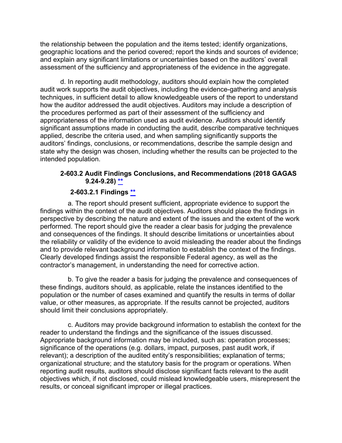the relationship between the population and the items tested; identify organizations, geographic locations and the period covered; report the kinds and sources of evidence; and explain any significant limitations or uncertainties based on the auditors' overall assessment of the sufficiency and appropriateness of the evidence in the aggregate.

d. In reporting audit methodology, auditors should explain how the completed audit work supports the audit objectives, including the evidence-gathering and analysis techniques, in sufficient detail to allow knowledgeable users of the report to understand how the auditor addressed the audit objectives. Auditors may include a description of the procedures performed as part of their assessment of the sufficiency and appropriateness of the information used as audit evidence. Auditors should identify significant assumptions made in conducting the audit, describe comparative techniques applied, describe the criteria used, and when sampling significantly supports the auditors' findings, conclusions, or recommendations, describe the sample design and state why the design was chosen, including whether the results can be projected to the intended population.

### **2-603.2 Audit Findings Conclusions, and Recommendations (2018 GAGAS 9.24-9.28) [\\*\\*](#page-5-14)**

## **2-603.2.1 Findings [\\*\\*](#page-5-15)**

a. The report should present sufficient, appropriate evidence to support the findings within the context of the audit objectives. Auditors should place the findings in perspective by describing the nature and extent of the issues and the extent of the work performed. The report should give the reader a clear basis for judging the prevalence and consequences of the findings. It should describe limitations or uncertainties about the reliability or validity of the evidence to avoid misleading the reader about the findings and to provide relevant background information to establish the context of the findings. Clearly developed findings assist the responsible Federal agency, as well as the contractor's management, in understanding the need for corrective action.

b. To give the reader a basis for judging the prevalence and consequences of these findings, auditors should, as applicable, relate the instances identified to the population or the number of cases examined and quantify the results in terms of dollar value, or other measures, as appropriate. If the results cannot be projected, auditors should limit their conclusions appropriately.

c. Auditors may provide background information to establish the context for the reader to understand the findings and the significance of the issues discussed. Appropriate background information may be included, such as: operation processes; significance of the operations (e.g. dollars, impact, purposes, past audit work, if relevant); a description of the audited entity's responsibilities; explanation of terms; organizational structure; and the statutory basis for the program or operations. When reporting audit results, auditors should disclose significant facts relevant to the audit objectives which, if not disclosed, could mislead knowledgeable users, misrepresent the results, or conceal significant improper or illegal practices.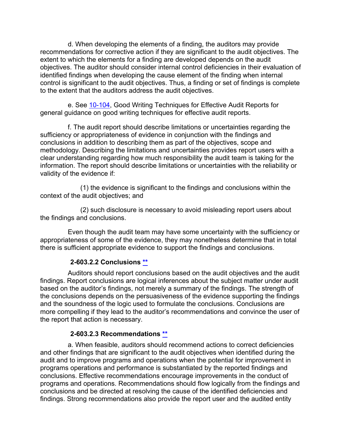d. When developing the elements of a finding, the auditors may provide recommendations for corrective action if they are significant to the audit objectives. The extent to which the elements for a finding are developed depends on the audit objectives. The auditor should consider internal control deficiencies in their evaluation of identified findings when developing the cause element of the finding when internal control is significant to the audit objectives. Thus, a finding or set of findings is complete to the extent that the auditors address the audit objectives.

e. See [10-104,](https://viper.dcaa.mil/guidance/cam/3147/preparation-and-distribution-of-audit-reports/#Sec10104) Good Writing Techniques for Effective Audit Reports for general guidance on good writing techniques for effective audit reports.

f. The audit report should describe limitations or uncertainties regarding the sufficiency or appropriateness of evidence in conjunction with the findings and conclusions in addition to describing them as part of the objectives, scope and methodology. Describing the limitations and uncertainties provides report users with a clear understanding regarding how much responsibility the audit team is taking for the information. The report should describe limitations or uncertainties with the reliability or validity of the evidence if:

(1) the evidence is significant to the findings and conclusions within the context of the audit objectives; and

(2) such disclosure is necessary to avoid misleading report users about the findings and conclusions.

Even though the audit team may have some uncertainty with the sufficiency or appropriateness of some of the evidence, they may nonetheless determine that in total there is sufficient appropriate evidence to support the findings and conclusions.

#### **2-603.2.2 Conclusions [\\*\\*](#page-5-16)**

Auditors should report conclusions based on the audit objectives and the audit findings. Report conclusions are logical inferences about the subject matter under audit based on the auditor's findings, not merely a summary of the findings. The strength of the conclusions depends on the persuasiveness of the evidence supporting the findings and the soundness of the logic used to formulate the conclusions. Conclusions are more compelling if they lead to the auditor's recommendations and convince the user of the report that action is necessary.

#### **2-603.2.3 Recommendations [\\*\\*](#page-5-17)**

a. When feasible, auditors should recommend actions to correct deficiencies and other findings that are significant to the audit objectives when identified during the audit and to improve programs and operations when the potential for improvement in programs operations and performance is substantiated by the reported findings and conclusions. Effective recommendations encourage improvements in the conduct of programs and operations. Recommendations should flow logically from the findings and conclusions and be directed at resolving the cause of the identified deficiencies and findings. Strong recommendations also provide the report user and the audited entity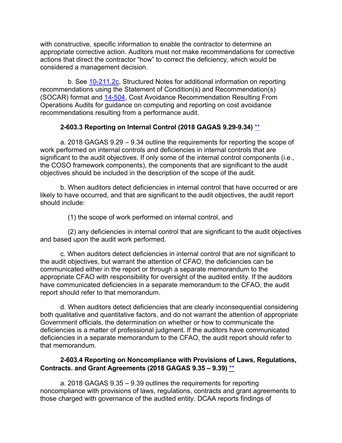with constructive, specific information to enable the contractor to determine an appropriate corrective action. Auditors must not make recommendations for corrective actions that direct the contractor "how" to correct the deficiency, which would be considered a management decision.

b. See [10-211.2c,](https://viper.dcaa.mil/guidance/cam/3147/preparation-and-distribution-of-audit-reports/#p358) Structured Notes for additional information on reporting recommendations using the Statement of Condition(s) and Recommendation(s) (SOCAR) format and [14-504,](https://viper.dcaa.mil/guidance/cam/3158/other-contract-audit-assignments/#Sec14504) Cost Avoidance Recommendation Resulting From Operations Audits for guidance on computing and reporting on cost avoidance recommendations resulting from a performance audit.

## **2-603.3 Reporting on Internal Control (2018 GAGAS 9.29-9.34)** [\\*\\*](#page-5-0)

a. 2018 GAGAS 9.29 – 9.34 outline the requirements for reporting the scope of work performed on internal controls and deficiencies in internal controls that are significant to the audit objectives. If only some of the internal control components (i.e., the COSO framework components), the components that are significant to the audit objectives should be included in the description of the scope of the audit.

b. When auditors detect deficiencies in internal control that have occurred or are likely to have occurred, and that are significant to the audit objectives, the audit report should include:

(1) the scope of work performed on internal control, and

(2) any deficiencies in internal control that are significant to the audit objectives and based upon the audit work performed.

c. When auditors detect deficiencies in internal control that are not significant to the audit objectives, but warrant the attention of CFAO, the deficiencies can be communicated either in the report or through a separate memorandum to the appropriate CFAO with responsibility for oversight of the audited entity. If the auditors have communicated deficiencies in a separate memorandum to the CFAO, the audit report should refer to that memorandum.

d. When auditors detect deficiencies that are clearly inconsequential considering both qualitative and quantitative factors, and do not warrant the attention of appropriate Government officials, the determination on whether or how to communicate the deficiencies is a matter of professional judgment. If the auditors have communicated deficiencies in a separate memorandum to the CFAO, the audit report should refer to that memorandum.

## **2-603.4 Reporting on Noncompliance with Provisions of Laws, Regulations, Contracts. and Grant Agreements (2018 GAGAS 9.35 – 9.39)** [\\*\\*](#page-5-1)

a. 2018 GAGAS 9.35 – 9.39 outlines the requirements for reporting noncompliance with provisions of laws, regulations, contracts and grant agreements to those charged with governance of the audited entity. DCAA reports findings of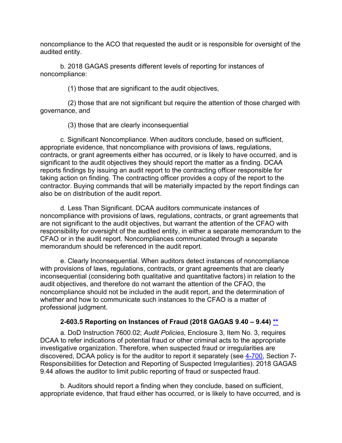noncompliance to the ACO that requested the audit or is responsible for oversight of the audited entity.

b. 2018 GAGAS presents different levels of reporting for instances of noncompliance:

(1) those that are significant to the audit objectives,

(2) those that are not significant but require the attention of those charged with governance, and

(3) those that are clearly inconsequential

c. Significant Noncompliance. When auditors conclude, based on sufficient, appropriate evidence, that noncompliance with provisions of laws, regulations, contracts, or grant agreements either has occurred, or is likely to have occurred, and is significant to the audit objectives they should report the matter as a finding. DCAA reports findings by issuing an audit report to the contracting officer responsible for taking action on finding. The contracting officer provides a copy of the report to the contractor. Buying commands that will be materially impacted by the report findings can also be on distribution of the audit report.

d. Less Than Significant. DCAA auditors communicate instances of noncompliance with provisions of laws, regulations, contracts, or grant agreements that are not significant to the audit objectives, but warrant the attention of the CFAO with responsibility for oversight of the audited entity, in either a separate memorandum to the CFAO or in the audit report. Noncompliances communicated through a separate memorandum should be referenced in the audit report.

e. Clearly Inconsequential. When auditors detect instances of noncompliance with provisions of laws, regulations, contracts, or grant agreements that are clearly inconsequential (considering both qualitative and quantitative factors) in relation to the audit objectives, and therefore do not warrant the attention of the CFAO, the noncompliance should not be included in the audit report, and the determination of whether and how to communicate such instances to the CFAO is a matter of professional judgment.

## **2-603.5 Reporting on Instances of Fraud (2018 GAGAS 9.40 – 9.44) [\\*\\*](#page-5-2)**

a. DoD Instruction 7600.02; *Audit Policies*, Enclosure 3, Item No. 3, requires DCAA to refer indications of potential fraud or other criminal acts to the appropriate investigative organization. Therefore, when suspected fraud or irregularities are discovered, DCAA policy is for the auditor to report it separately (see [4-700,](https://viper.dcaa.mil/guidance/cam/3130/general-audit-requirements/#Sec4700) Section 7- Responsibilities for Detection and Reporting of Suspected Irregularities). 2018 GAGAS 9.44 allows the auditor to limit public reporting of fraud or suspected fraud.

b. Auditors should report a finding when they conclude, based on sufficient, appropriate evidence, that fraud either has occurred, or is likely to have occurred, and is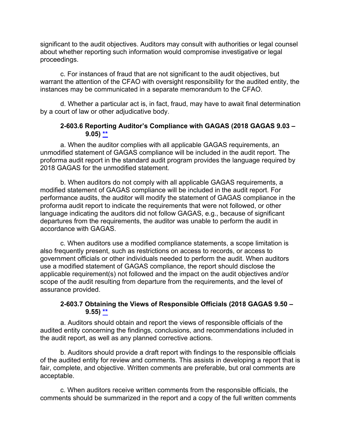significant to the audit objectives. Auditors may consult with authorities or legal counsel about whether reporting such information would compromise investigative or legal proceedings.

c. For instances of fraud that are not significant to the audit objectives, but warrant the attention of the CFAO with oversight responsibility for the audited entity, the instances may be communicated in a separate memorandum to the CFAO.

d. Whether a particular act is, in fact, fraud, may have to await final determination by a court of law or other adjudicative body.

#### **2-603.6 Reporting Auditor's Compliance with GAGAS (2018 GAGAS 9.03 – 9.05) [\\*\\*](#page-6-0)**

a. When the auditor complies with all applicable GAGAS requirements, an unmodified statement of GAGAS compliance will be included in the audit report. The proforma audit report in the standard audit program provides the language required by 2018 GAGAS for the unmodified statement.

b. When auditors do not comply with all applicable GAGAS requirements, a modified statement of GAGAS compliance will be included in the audit report. For performance audits, the auditor will modify the statement of GAGAS compliance in the proforma audit report to indicate the requirements that were not followed, or other language indicating the auditors did not follow GAGAS, e.g., because of significant departures from the requirements, the auditor was unable to perform the audit in accordance with GAGAS.

c. When auditors use a modified compliance statements, a scope limitation is also frequently present, such as restrictions on access to records, or access to government officials or other individuals needed to perform the audit. When auditors use a modified statement of GAGAS compliance, the report should disclose the applicable requirement(s) not followed and the impact on the audit objectives and/or scope of the audit resulting from departure from the requirements, and the level of assurance provided.

#### **2-603.7 Obtaining the Views of Responsible Officials (2018 GAGAS 9.50 – 9.55) [\\*\\*](#page-6-1)**

a. Auditors should obtain and report the views of responsible officials of the audited entity concerning the findings, conclusions, and recommendations included in the audit report, as well as any planned corrective actions.

b. Auditors should provide a draft report with findings to the responsible officials of the audited entity for review and comments. This assists in developing a report that is fair, complete, and objective. Written comments are preferable, but oral comments are acceptable.

c. When auditors receive written comments from the responsible officials, the comments should be summarized in the report and a copy of the full written comments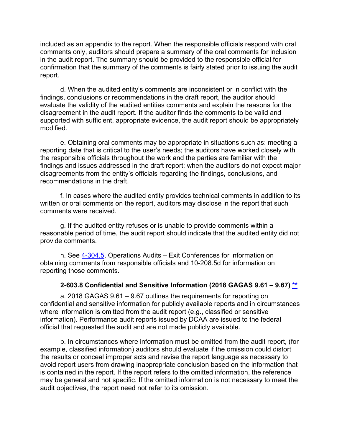included as an appendix to the report. When the responsible officials respond with oral comments only, auditors should prepare a summary of the oral comments for inclusion in the audit report. The summary should be provided to the responsible official for confirmation that the summary of the comments is fairly stated prior to issuing the audit report.

d. When the audited entity's comments are inconsistent or in conflict with the findings, conclusions or recommendations in the draft report, the auditor should evaluate the validity of the audited entities comments and explain the reasons for the disagreement in the audit report. If the auditor finds the comments to be valid and supported with sufficient, appropriate evidence, the audit report should be appropriately modified.

e. Obtaining oral comments may be appropriate in situations such as: meeting a reporting date that is critical to the user's needs; the auditors have worked closely with the responsible officials throughout the work and the parties are familiar with the findings and issues addressed in the draft report; when the auditors do not expect major disagreements from the entity's officials regarding the findings, conclusions, and recommendations in the draft.

f. In cases where the audited entity provides technical comments in addition to its written or oral comments on the report, auditors may disclose in the report that such comments were received.

g. If the audited entity refuses or is unable to provide comments within a reasonable period of time, the audit report should indicate that the audited entity did not provide comments.

h. See [4-304.5,](https://viper.dcaa.mil/guidance/cam/3130/general-audit-requirements/#Sec43045) Operations Audits – Exit Conferences for information on obtaining comments from responsible officials and 10-208.5d for information on reporting those comments.

#### **2-603.8 Confidential and Sensitive Information (2018 GAGAS 9.61 – 9.67) [\\*\\*](#page-6-2)**

a. 2018 GAGAS 9.61 – 9.67 outlines the requirements for reporting on confidential and sensitive information for publicly available reports and in circumstances where information is omitted from the audit report (e.g., classified or sensitive information). Performance audit reports issued by DCAA are issued to the federal official that requested the audit and are not made publicly available.

b. In circumstances where information must be omitted from the audit report, (for example, classified information) auditors should evaluate if the omission could distort the results or conceal improper acts and revise the report language as necessary to avoid report users from drawing inappropriate conclusion based on the information that is contained in the report. If the report refers to the omitted information, the reference may be general and not specific. If the omitted information is not necessary to meet the audit objectives, the report need not refer to its omission.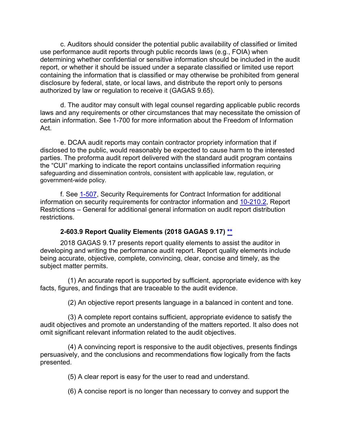c. Auditors should consider the potential public availability of classified or limited use performance audit reports through public records laws (e.g., FOIA) when determining whether confidential or sensitive information should be included in the audit report, or whether it should be issued under a separate classified or limited use report containing the information that is classified or may otherwise be prohibited from general disclosure by federal, state, or local laws, and distribute the report only to persons authorized by law or regulation to receive it (GAGAS 9.65).

d. The auditor may consult with legal counsel regarding applicable public records laws and any requirements or other circumstances that may necessitate the omission of certain information. See 1-700 for more information about the Freedom of Information Act.

e. DCAA audit reports may contain contractor propriety information that if disclosed to the public, would reasonably be expected to cause harm to the interested parties. The proforma audit report delivered with the standard audit program contains the "CUI" marking to indicate the report contains unclassified information requiring safeguarding and dissemination controls, consistent with applicable law, regulation, or government-wide policy.

f. See [1-507,](https://viper.dcaa.mil/guidance/cam/3127/introduction-to-contract-audit/#Security15071) Security Requirements for Contract Information for additional information on security requirements for contractor information and [10-210.2,](https://viper.dcaa.mil/guidance/cam/3147/preparation-and-distribution-of-audit-reports/#Sec102102) Report Restrictions – General for additional general information on audit report distribution restrictions.

#### **2-603.9 Report Quality Elements (2018 GAGAS 9.17) [\\*\\*](#page-6-3)**

2018 GAGAS 9.17 presents report quality elements to assist the auditor in developing and writing the performance audit report. Report quality elements include being accurate, objective, complete, convincing, clear, concise and timely, as the subject matter permits.

(1) An accurate report is supported by sufficient, appropriate evidence with key facts, figures, and findings that are traceable to the audit evidence.

(2) An objective report presents language in a balanced in content and tone.

(3) A complete report contains sufficient, appropriate evidence to satisfy the audit objectives and promote an understanding of the matters reported. It also does not omit significant relevant information related to the audit objectives.

(4) A convincing report is responsive to the audit objectives, presents findings persuasively, and the conclusions and recommendations flow logically from the facts presented.

(5) A clear report is easy for the user to read and understand.

(6) A concise report is no longer than necessary to convey and support the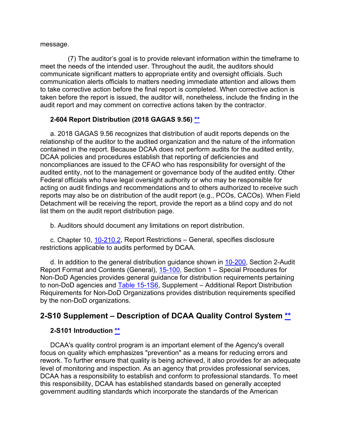message.

(7) The auditor's goal is to provide relevant information within the timeframe to meet the needs of the intended user. Throughout the audit, the auditors should communicate significant matters to appropriate entity and oversight officials. Such communication alerts officials to matters needing immediate attention and allows them to take corrective action before the final report is completed. When corrective action is taken before the report is issued, the auditor will, nonetheless, include the finding in the audit report and may comment on corrective actions taken by the contractor.

## **2-604 Report Distribution (2018 GAGAS 9.56) [\\*\\*](#page-6-4)**

a. 2018 GAGAS 9.56 recognizes that distribution of audit reports depends on the relationship of the auditor to the audited organization and the nature of the information contained in the report. Because DCAA does not perform audits for the audited entity, DCAA policies and procedures establish that reporting of deficiencies and noncompliances are issued to the CFAO who has responsibility for oversight of the audited entity, not to the management or governance body of the audited entity. Other Federal officials who have legal oversight authority or who may be responsible for acting on audit findings and recommendations and to others authorized to receive such reports may also be on distribution of the audit report (e.g., PCOs, CACOs). When Field Detachment will be receiving the report, provide the report as a blind copy and do not list them on the audit report distribution page.

b. Auditors should document any limitations on report distribution.

c. Chapter 10, [10-210.2,](https://viper.dcaa.mil/guidance/cam/3147/preparation-and-distribution-of-audit-reports#Sec102102) Report Restrictions – General, specifies disclosure restrictions applicable to audits performed by DCAA.

d. In addition to the general distribution guidance shown in [10-200,](https://viper.dcaa.mil/guidance/cam/3147/preparation-and-distribution-of-audit-reports/#Sec10200) Section 2-Audit Report Format and Contents (General), [15-100,](https://viper.dcaa.mil/guidance/cam/3161/other-dcaa-functions/#Sec15100) Section 1 – Special Procedures for Non-DoD Agencies provides general guidance for distribution requirements pertaining to non-DoD agencies and [Table 15-1S6,](https://viper.dcaa.mil/guidance/cam/3161/other-dcaa-functions/#p600) Supplement – Additional Report Distribution Requirements for Non-DoD Organizations provides distribution requirements specified by the non-DoD organizations.

# **2-S10 Supplement – Description of DCAA Quality Control System [\\*\\*](#page-6-5)**

## **2-S101 Introduction [\\*\\*](#page-6-6)**

DCAA's quality control program is an important element of the Agency's overall focus on quality which emphasizes "prevention" as a means for reducing errors and rework. To further ensure that quality is being achieved, it also provides for an adequate level of monitoring and inspection. As an agency that provides professional services, DCAA has a responsibility to establish and conform to professional standards. To meet this responsibility, DCAA has established standards based on generally accepted government auditing standards which incorporate the standards of the American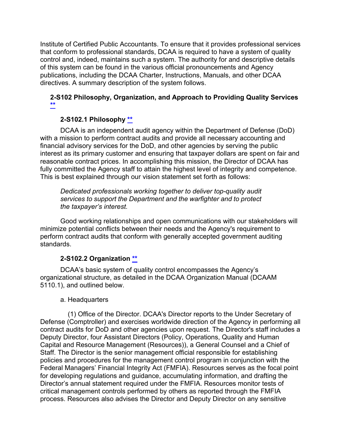Institute of Certified Public Accountants. To ensure that it provides professional services that conform to professional standards, DCAA is required to have a system of quality control and, indeed, maintains such a system. The authority for and descriptive details of this system can be found in the various official pronouncements and Agency publications, including the DCAA Charter, Instructions, Manuals, and other DCAA directives. A summary description of the system follows.

## **2-S102 Philosophy, Organization, and Approach to Providing Quality Services [\\*\\*](#page-6-7)**

## **2-S102.1 Philosophy [\\*\\*](#page-6-8)**

DCAA is an independent audit agency within the Department of Defense (DoD) with a mission to perform contract audits and provide all necessary accounting and financial advisory services for the DoD, and other agencies by serving the public interest as its primary customer and ensuring that taxpayer dollars are spent on fair and reasonable contract prices. In accomplishing this mission, the Director of DCAA has fully committed the Agency staff to attain the highest level of integrity and competence. This is best explained through our vision statement set forth as follows:

*Dedicated professionals working together to deliver top-quality audit services to support the Department and the warfighter and to protect the taxpayer's interest.*

Good working relationships and open communications with our stakeholders will minimize potential conflicts between their needs and the Agency's requirement to perform contract audits that conform with generally accepted government auditing standards.

## **2-S102.2 Organization [\\*\\*](#page-6-9)**

DCAA's basic system of quality control encompasses the Agency's organizational structure, as detailed in the DCAA Organization Manual (DCAAM 5110.1), and outlined below.

## a. Headquarters

(1) Office of the Director. DCAA's Director reports to the Under Secretary of Defense (Comptroller) and exercises worldwide direction of the Agency in performing all contract audits for DoD and other agencies upon request. The Director's staff includes a Deputy Director, four Assistant Directors (Policy, Operations, Quality and Human Capital and Resource Management (Resources)), a General Counsel and a Chief of Staff. The Director is the senior management official responsible for establishing policies and procedures for the management control program in conjunction with the Federal Managers' Financial Integrity Act (FMFIA). Resources serves as the focal point for developing regulations and guidance, accumulating information, and drafting the Director's annual statement required under the FMFIA. Resources monitor tests of critical management controls performed by others as reported through the FMFIA process. Resources also advises the Director and Deputy Director on any sensitive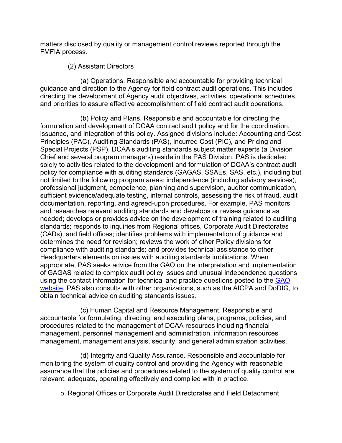matters disclosed by quality or management control reviews reported through the FMFIA process.

#### (2) Assistant Directors

(a) Operations. Responsible and accountable for providing technical guidance and direction to the Agency for field contract audit operations. This includes directing the development of Agency audit objectives, activities, operational schedules, and priorities to assure effective accomplishment of field contract audit operations.

(b) Policy and Plans. Responsible and accountable for directing the formulation and development of DCAA contract audit policy and for the coordination, issuance, and integration of this policy. Assigned divisions include: Accounting and Cost Principles (PAC), Auditing Standards (PAS), Incurred Cost (PIC), and Pricing and Special Projects (PSP). DCAA's auditing standards subject matter experts (a Division Chief and several program managers) reside in the PAS Division. PAS is dedicated solely to activities related to the development and formulation of DCAA's contract audit policy for compliance with auditing standards (GAGAS, SSAEs, SAS, etc.), including but not limited to the following program areas: independence (including advisory services), professional judgment, competence, planning and supervision, auditor communication, sufficient evidence/adequate testing, internal controls, assessing the risk of fraud, audit documentation, reporting, and agreed-upon procedures. For example, PAS monitors and researches relevant auditing standards and develops or revises guidance as needed; develops or provides advice on the development of training related to auditing standards; responds to inquiries from Regional offices, Corporate Audit Directorates (CADs), and field offices; identifies problems with implementation of guidance and determines the need for revision; reviews the work of other Policy divisions for compliance with auditing standards; and provides technical assistance to other Headquarters elements on issues with auditing standards implications. When appropriate, PAS seeks advice from the GAO on the interpretation and implementation of GAGAS related to complex audit policy issues and unusual independence questions using the contact information for technical and practice questions posted to the [GAO](http://www.gao.gov/yellowbook/overview)  [website.](http://www.gao.gov/yellowbook/overview) PAS also consults with other organizations, such as the AICPA and DoDIG, to obtain technical advice on auditing standards issues.

(c) Human Capital and Resource Management. Responsible and accountable for formulating, directing, and executing plans, programs, policies, and procedures related to the management of DCAA resources including financial management, personnel management and administration, information resources management, management analysis, security, and general administration activities.

(d) Integrity and Quality Assurance. Responsible and accountable for monitoring the system of quality control and providing the Agency with reasonable assurance that the policies and procedures related to the system of quality control are relevant, adequate, operating effectively and complied with in practice.

b. Regional Offices or Corporate Audit Directorates and Field Detachment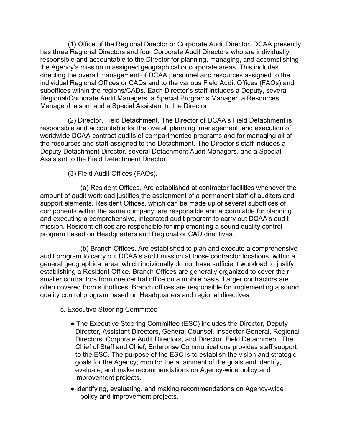(1) Office of the Regional Director or Corporate Audit Director. DCAA presently has three Regional Directors and four Corporate Audit Directors who are individually responsible and accountable to the Director for planning, managing, and accomplishing the Agency's mission in assigned geographical or corporate areas. This includes directing the overall management of DCAA personnel and resources assigned to the individual Regional Offices or CADs and to the various Field Audit Offices (FAOs) and suboffices within the regions/CADs. Each Director's staff includes a Deputy, several Regional/Corporate Audit Managers, a Special Programs Manager, a Resources Manager/Liaison, and a Special Assistant to the Director.

(2) Director, Field Detachment. The Director of DCAA's Field Detachment is responsible and accountable for the overall planning, management, and execution of worldwide DCAA contract audits of compartmented programs and for managing all of the resources and staff assigned to the Detachment. The Director's staff includes a Deputy Detachment Director, several Detachment Audit Managers, and a Special Assistant to the Field Detachment Director.

(3) Field Audit Offices (FAOs).

(a) Resident Offices. Are established at contractor facilities whenever the amount of audit workload justifies the assignment of a permanent staff of auditors and support elements. Resident Offices, which can be made up of several suboffices of components within the same company, are responsible and accountable for planning and executing a comprehensive, integrated audit program to carry out DCAA's audit mission. Resident offices are responsible for implementing a sound quality control program based on Headquarters and Regional or CAD directives.

(b) Branch Offices. Are established to plan and execute a comprehensive audit program to carry out DCAA's audit mission at those contractor locations, within a general geographical area, which individually do not have sufficient workload to justify establishing a Resident Office. Branch Offices are generally organized to cover their smaller contractors from one central office on a mobile basis. Larger contractors are often covered from suboffices. Branch offices are responsible for implementing a sound quality control program based on Headquarters and regional directives.

- c. Executive Steering Committee
	- The Executive Steering Committee (ESC) includes the Director, Deputy Director, Assistant Directors, General Counsel, Inspector General, Regional Directors, Corporate Audit Directors, and Director, Field Detachment. The Chief of Staff and Chief, Enterprise Communications provides staff support to the ESC. The purpose of the ESC is to establish the vision and strategic goals for the Agency; monitor the attainment of the goals and identify, evaluate, and make recommendations on Agency-wide policy and improvement projects.
	- identifying, evaluating, and making recommendations on Agency-wide policy and improvement projects.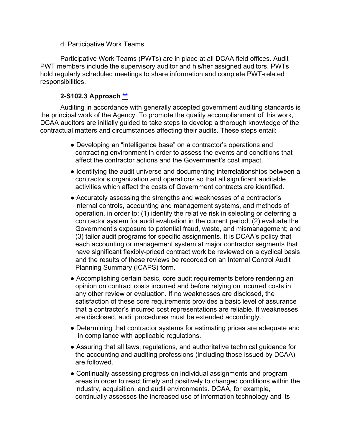#### d. Participative Work Teams

Participative Work Teams (PWTs) are in place at all DCAA field offices. Audit PWT members include the supervisory auditor and his/her assigned auditors. PWTs hold regularly scheduled meetings to share information and complete PWT-related responsibilities.

## **2-S102.3 Approach [\\*\\*](#page-6-10)**

Auditing in accordance with generally accepted government auditing standards is the principal work of the Agency. To promote the quality accomplishment of this work, DCAA auditors are initially guided to take steps to develop a thorough knowledge of the contractual matters and circumstances affecting their audits. These steps entail:

- Developing an "intelligence base" on a contractor's operations and contracting environment in order to assess the events and conditions that affect the contractor actions and the Government's cost impact.
- Identifying the audit universe and documenting interrelationships between a contractor's organization and operations so that all significant auditable activities which affect the costs of Government contracts are identified.
- Accurately assessing the strengths and weaknesses of a contractor's internal controls, accounting and management systems, and methods of operation, in order to: (1) identify the relative risk in selecting or deferring a contractor system for audit evaluation in the current period; (2) evaluate the Government's exposure to potential fraud, waste, and mismanagement; and (3) tailor audit programs for specific assignments. It is DCAA's policy that each accounting or management system at major contractor segments that have significant flexibly-priced contract work be reviewed on a cyclical basis and the results of these reviews be recorded on an Internal Control Audit Planning Summary (ICAPS) form.
- Accomplishing certain basic, core audit requirements before rendering an opinion on contract costs incurred and before relying on incurred costs in any other review or evaluation. If no weaknesses are disclosed, the satisfaction of these core requirements provides a basic level of assurance that a contractor's incurred cost representations are reliable. If weaknesses are disclosed, audit procedures must be extended accordingly.
- Determining that contractor systems for estimating prices are adequate and in compliance with applicable regulations.
- Assuring that all laws, regulations, and authoritative technical guidance for the accounting and auditing professions (including those issued by DCAA) are followed.
- Continually assessing progress on individual assignments and program areas in order to react timely and positively to changed conditions within the industry, acquisition, and audit environments. DCAA, for example, continually assesses the increased use of information technology and its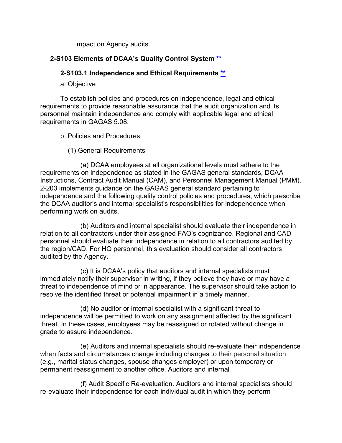impact on Agency audits.

## **2-S103 Elements of DCAA's Quality Control System [\\*\\*](#page-6-11)**

#### **2-S103.1 Independence and Ethical Requirements [\\*\\*](#page-6-12)**

a. Objective

To establish policies and procedures on independence, legal and ethical requirements to provide reasonable assurance that the audit organization and its personnel maintain independence and comply with applicable legal and ethical requirements in GAGAS 5.08.

- b. Policies and Procedures
	- (1) General Requirements

(a) DCAA employees at all organizational levels must adhere to the requirements on independence as stated in the GAGAS general standards, DCAA Instructions, Contract Audit Manual (CAM), and Personnel Management Manual (PMM). 2-203 implements guidance on the GAGAS general standard pertaining to independence and the following quality control policies and procedures, which prescribe the DCAA auditor's and internal specialist's responsibilities for independence when performing work on audits.

(b) Auditors and internal specialist should evaluate their independence in relation to all contractors under their assigned FAO's cognizance. Regional and CAD personnel should evaluate their independence in relation to all contractors audited by the region/CAD. For HQ personnel, this evaluation should consider all contractors audited by the Agency.

(c) It is DCAA's policy that auditors and internal specialists must immediately notify their supervisor in writing, if they believe they have or may have a threat to independence of mind or in appearance. The supervisor should take action to resolve the identified threat or potential impairment in a timely manner.

(d) No auditor or internal specialist with a significant threat to independence will be permitted to work on any assignment affected by the significant threat. In these cases, employees may be reassigned or rotated without change in grade to assure independence.

(e) Auditors and internal specialists should re-evaluate their independence when facts and circumstances change including changes to their personal situation (e.g., marital status changes, spouse changes employer) or upon temporary or permanent reassignment to another office. Auditors and internal

(f) Audit Specific Re-evaluation. Auditors and internal specialists should re-evaluate their independence for each individual audit in which they perform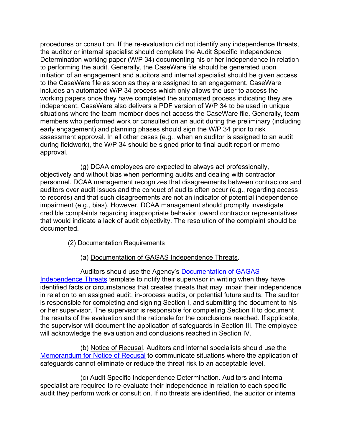procedures or consult on. If the re-evaluation did not identify any independence threats, the auditor or internal specialist should complete the Audit Specific Independence Determination working paper (W/P 34) documenting his or her independence in relation to performing the audit. Generally, the CaseWare file should be generated upon initiation of an engagement and auditors and internal specialist should be given access to the CaseWare file as soon as they are assigned to an engagement. CaseWare includes an automated W/P 34 process which only allows the user to access the working papers once they have completed the automated process indicating they are independent. CaseWare also delivers a PDF version of W/P 34 to be used in unique situations where the team member does not access the CaseWare file. Generally, team members who performed work or consulted on an audit during the preliminary (including early engagement) and planning phases should sign the W/P 34 prior to risk assessment approval. In all other cases (e.g., when an auditor is assigned to an audit during fieldwork), the W/P 34 should be signed prior to final audit report or memo approval.

(g) DCAA employees are expected to always act professionally, objectively and without bias when performing audits and dealing with contractor personnel. DCAA management recognizes that disagreements between contractors and auditors over audit issues and the conduct of audits often occur (e.g., regarding access to records) and that such disagreements are not an indicator of potential independence impairment (e.g., bias). However, DCAA management should promptly investigate credible complaints regarding inappropriate behavior toward contractor representatives that would indicate a lack of audit objectivity. The resolution of the complaint should be documented.

- (2) Documentation Requirements
	- (a) Documentation of GAGAS Independence Threats.

Auditors should use the Agency's [Documentation of GAGAS](https://sharepoint.dcaaintra.mil/headquarters/resources/cpp/OGC/ethics/eni/SitePages/Home.aspx)  [Independence Threats](https://sharepoint.dcaaintra.mil/headquarters/resources/cpp/OGC/ethics/eni/SitePages/Home.aspx) template to notify their supervisor in writing when they have identified facts or circumstances that creates threats that may impair their independence in relation to an assigned audit, in-process audits, or potential future audits. The auditor is responsible for completing and signing Section I, and submitting the document to his or her supervisor. The supervisor is responsible for completing Section II to document the results of the evaluation and the rationale for the conclusions reached. If applicable, the supervisor will document the application of safeguards in Section III. The employee will acknowledge the evaluation and conclusions reached in Section IV.

(b) Notice of Recusal. Auditors and internal specialists should use the [Memorandum for Notice of Recusal](https://sharepoint.dcaaintra.mil/headquarters/resources/cpp/OGC/ethics/conflictsofinterest/Documents/Disqualification%20Form%20for%20Conflict%20of%20Interest%20or%20Threat%20to%20Independence.pdf) to communicate situations where the application of safeguards cannot eliminate or reduce the threat risk to an acceptable level.

(c) Audit Specific Independence Determination. Auditors and internal specialist are required to re-evaluate their independence in relation to each specific audit they perform work or consult on. If no threats are identified, the auditor or internal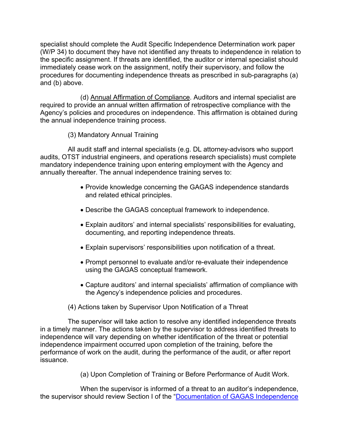specialist should complete the Audit Specific Independence Determination work paper (W/P 34) to document they have not identified any threats to independence in relation to the specific assignment. If threats are identified, the auditor or internal specialist should immediately cease work on the assignment, notify their supervisory, and follow the procedures for documenting independence threats as prescribed in sub-paragraphs (a) and (b) above.

(d) Annual Affirmation of Compliance. Auditors and internal specialist are required to provide an annual written affirmation of retrospective compliance with the Agency's policies and procedures on independence. This affirmation is obtained during the annual independence training process.

(3) Mandatory Annual Training

All audit staff and internal specialists (e.g. DL attorney-advisors who support audits, OTST industrial engineers, and operations research specialists) must complete mandatory independence training upon entering employment with the Agency and annually thereafter. The annual independence training serves to:

- Provide knowledge concerning the GAGAS independence standards and related ethical principles.
- Describe the GAGAS conceptual framework to independence.
- Explain auditors' and internal specialists' responsibilities for evaluating, documenting, and reporting independence threats.
- Explain supervisors' responsibilities upon notification of a threat.
- Prompt personnel to evaluate and/or re-evaluate their independence using the GAGAS conceptual framework.
- Capture auditors' and internal specialists' affirmation of compliance with the Agency's independence policies and procedures.

#### (4) Actions taken by Supervisor Upon Notification of a Threat

The supervisor will take action to resolve any identified independence threats in a timely manner. The actions taken by the supervisor to address identified threats to independence will vary depending on whether identification of the threat or potential independence impairment occurred upon completion of the training, before the performance of work on the audit, during the performance of the audit, or after report issuance.

(a) Upon Completion of Training or Before Performance of Audit Work.

When the supervisor is informed of a threat to an auditor's independence, the supervisor should review Section I of the ["Documentation of GAGAS Independence](https://intranet.dcaa.mil/Lists/Audit_Programs__Other_Miscellaneous_Documents/DispForm.aspx?ID=258&Source=https%3A%2F%2Fintranet%2Edcaa%2Emil%2FSitePages%2FAPRSOAG%5F2%2Easpx%23InplviewHash01ace581%2De97e%2D48fc%2D9fb6%2Df593bc5fdfa8%3DPaged%253DTRUE%2Dp%5FDocumentType%253DOAG%2Dp%5FActivityCode%253D24010%2Dp%5FID%253D197%2DSortField%253DDocumentType%2DSortDir%253DDesc%2DPageFirstRow%253D31%2DFilterField1%253DDocumentType%2DFilterValue1%253DOAG&ContentTypeId=0x010081CD2F96F4602146955C3A214C000D5C)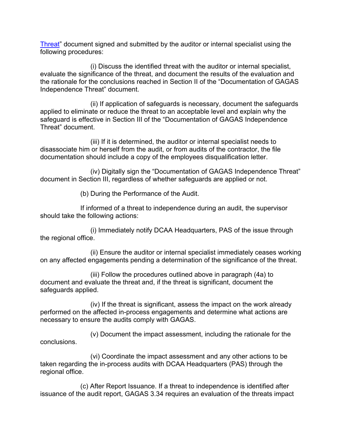[Threat"](https://intranet.dcaa.mil/Lists/Audit_Programs__Other_Miscellaneous_Documents/DispForm.aspx?ID=258&Source=https%3A%2F%2Fintranet%2Edcaa%2Emil%2FSitePages%2FAPRSOAG%5F2%2Easpx%23InplviewHash01ace581%2De97e%2D48fc%2D9fb6%2Df593bc5fdfa8%3DPaged%253DTRUE%2Dp%5FDocumentType%253DOAG%2Dp%5FActivityCode%253D24010%2Dp%5FID%253D197%2DSortField%253DDocumentType%2DSortDir%253DDesc%2DPageFirstRow%253D31%2DFilterField1%253DDocumentType%2DFilterValue1%253DOAG&ContentTypeId=0x010081CD2F96F4602146955C3A214C000D5C) document signed and submitted by the auditor or internal specialist using the following procedures:

(i) Discuss the identified threat with the auditor or internal specialist, evaluate the significance of the threat, and document the results of the evaluation and the rationale for the conclusions reached in Section II of the "Documentation of GAGAS Independence Threat" document.

(ii) If application of safeguards is necessary, document the safeguards applied to eliminate or reduce the threat to an acceptable level and explain why the safeguard is effective in Section III of the "Documentation of GAGAS Independence Threat" document.

(iii) If it is determined, the auditor or internal specialist needs to disassociate him or herself from the audit, or from audits of the contractor, the file documentation should include a copy of the employees disqualification letter.

(iv) Digitally sign the "Documentation of GAGAS Independence Threat" document in Section III, regardless of whether safeguards are applied or not.

(b) During the Performance of the Audit.

If informed of a threat to independence during an audit, the supervisor should take the following actions:

(i) Immediately notify DCAA Headquarters, PAS of the issue through the regional office.

(ii) Ensure the auditor or internal specialist immediately ceases working on any affected engagements pending a determination of the significance of the threat.

(iii) Follow the procedures outlined above in paragraph (4a) to document and evaluate the threat and, if the threat is significant, document the safeguards applied.

(iv) If the threat is significant, assess the impact on the work already performed on the affected in-process engagements and determine what actions are necessary to ensure the audits comply with GAGAS.

(v) Document the impact assessment, including the rationale for the conclusions.

(vi) Coordinate the impact assessment and any other actions to be taken regarding the in-process audits with DCAA Headquarters (PAS) through the regional office.

(c) After Report Issuance. If a threat to independence is identified after issuance of the audit report, GAGAS 3.34 requires an evaluation of the threats impact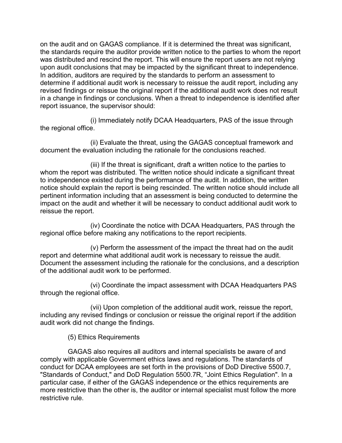on the audit and on GAGAS compliance. If it is determined the threat was significant, the standards require the auditor provide written notice to the parties to whom the report was distributed and rescind the report. This will ensure the report users are not relying upon audit conclusions that may be impacted by the significant threat to independence. In addition, auditors are required by the standards to perform an assessment to determine if additional audit work is necessary to reissue the audit report, including any revised findings or reissue the original report if the additional audit work does not result in a change in findings or conclusions. When a threat to independence is identified after report issuance, the supervisor should:

(i) Immediately notify DCAA Headquarters, PAS of the issue through the regional office.

(ii) Evaluate the threat, using the GAGAS conceptual framework and document the evaluation including the rationale for the conclusions reached.

(iii) If the threat is significant, draft a written notice to the parties to whom the report was distributed. The written notice should indicate a significant threat to independence existed during the performance of the audit. In addition, the written notice should explain the report is being rescinded. The written notice should include all pertinent information including that an assessment is being conducted to determine the impact on the audit and whether it will be necessary to conduct additional audit work to reissue the report.

(iv) Coordinate the notice with DCAA Headquarters, PAS through the regional office before making any notifications to the report recipients.

(v) Perform the assessment of the impact the threat had on the audit report and determine what additional audit work is necessary to reissue the audit. Document the assessment including the rationale for the conclusions, and a description of the additional audit work to be performed.

(vi) Coordinate the impact assessment with DCAA Headquarters PAS through the regional office.

(vii) Upon completion of the additional audit work, reissue the report, including any revised findings or conclusion or reissue the original report if the addition audit work did not change the findings.

(5) Ethics Requirements

GAGAS also requires all auditors and internal specialists be aware of and comply with applicable Government ethics laws and regulations. The standards of conduct for DCAA employees are set forth in the provisions of DoD Directive 5500.7, "Standards of Conduct," and DoD Regulation 5500.7R, "Joint Ethics Regulation". In a particular case, if either of the GAGAS independence or the ethics requirements are more restrictive than the other is, the auditor or internal specialist must follow the more restrictive rule.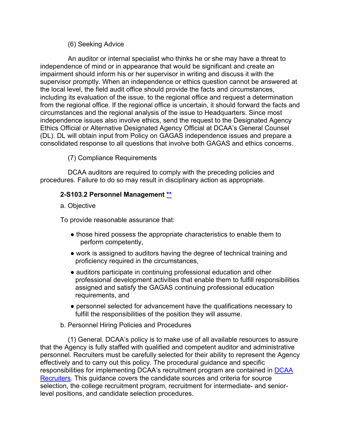#### (6) Seeking Advice

An auditor or internal specialist who thinks he or she may have a threat to independence of mind or in appearance that would be significant and create an impairment should inform his or her supervisor in writing and discuss it with the supervisor promptly. When an independence or ethics question cannot be answered at the local level, the field audit office should provide the facts and circumstances, including its evaluation of the issue, to the regional office and request a determination from the regional office. If the regional office is uncertain, it should forward the facts and circumstances and the regional analysis of the issue to Headquarters. Since most independence issues also involve ethics, send the request to the Designated Agency Ethics Official or Alternative Designated Agency Official at DCAA's General Counsel (DL). DL will obtain input from Policy on GAGAS independence issues and prepare a consolidated response to all questions that involve both GAGAS and ethics concerns.

(7) Compliance Requirements

DCAA auditors are required to comply with the preceding policies and procedures. Failure to do so may result in disciplinary action as appropriate.

#### **2-S103.2 Personnel Management [\\*\\*](#page-6-13)**

a. Objective

To provide reasonable assurance that:

- those hired possess the appropriate characteristics to enable them to perform competently,
- work is assigned to auditors having the degree of technical training and proficiency required in the circumstances,
- auditors participate in continuing professional education and other professional development activities that enable them to fulfill responsibilities assigned and satisfy the GAGAS continuing professional education requirements, and
- personnel selected for advancement have the qualifications necessary to fulfill the responsibilities of the position they will assume.

#### b. Personnel Hiring Policies and Procedures

(1) General. DCAA's policy is to make use of all available resources to assure that the Agency is fully staffed with qualified and competent auditor and administrative personnel. Recruiters must be carefully selected for their ability to represent the Agency effectively and to carry out this policy. The procedural guidance and specific responsibilities for implementing DCAA's recruitment program are contained in [DCAA](https://sharepoint.dcaaintra.mil/headquarters/resources/cpp/Staffing/CareerCenter/for%20Recruiters/Pages/For%20Recruiters.aspx)  [Recruiters.](https://sharepoint.dcaaintra.mil/headquarters/resources/cpp/Staffing/CareerCenter/for%20Recruiters/Pages/For%20Recruiters.aspx) This guidance covers the candidate sources and criteria for source selection, the college recruitment program, recruitment for intermediate- and seniorlevel positions, and candidate selection procedures.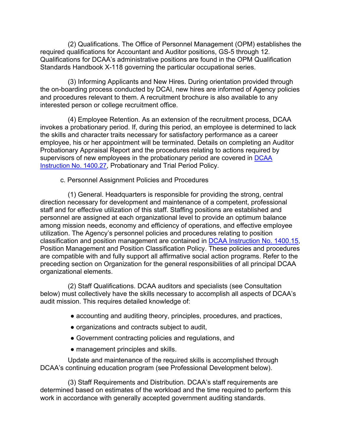(2) Qualifications. The Office of Personnel Management (OPM) establishes the required qualifications for Accountant and Auditor positions, GS-5 through 12. Qualifications for DCAA's administrative positions are found in the OPM Qualification Standards Handbook X-118 governing the particular occupational series.

(3) Informing Applicants and New Hires. During orientation provided through the on-boarding process conducted by DCAI, new hires are informed of Agency policies and procedures relevant to them. A recruitment brochure is also available to any interested person or college recruitment office.

(4) Employee Retention. As an extension of the recruitment process, DCAA invokes a probationary period. If, during this period, an employee is determined to lack the skills and character traits necessary for satisfactory performance as a career employee, his or her appointment will be terminated. Details on completing an Auditor Probationary Appraisal Report and the procedures relating to actions required by supervisors of new employees in the probationary period are covered in [DCAA](https://sharepoint.dcaaintra.mil/headquarters/resources/CM/CMC/Publications/Publications/DCAAI%201400.27.pdf)  [Instruction No. 1400.27,](https://sharepoint.dcaaintra.mil/headquarters/resources/CM/CMC/Publications/Publications/DCAAI%201400.27.pdf) Probationary and Trial Period Policy.

c. Personnel Assignment Policies and Procedures

(1) General. Headquarters is responsible for providing the strong, central direction necessary for development and maintenance of a competent, professional staff and for effective utilization of this staff. Staffing positions are established and personnel are assigned at each organizational level to provide an optimum balance among mission needs, economy and efficiency of operations, and effective employee utilization. The Agency's personnel policies and procedures relating to position classification and position management are contained in [DCAA Instruction No. 1400.15,](https://sharepoint.dcaaintra.mil/headquarters/resources/CM/CMC/Publications/Publications/DCAAI%201400.15.pdf)  [Position Management and Position Classification Policy.](https://sharepoint.dcaaintra.mil/headquarters/resources/CM/CMC/Publications/Publications/DCAAI%201400.15.pdf) These policies and procedures are compatible with and fully support all affirmative social action programs. Refer to the preceding section on Organization for the general responsibilities of all principal DCAA organizational elements.

(2) Staff Qualifications. DCAA auditors and specialists (see Consultation below) must collectively have the skills necessary to accomplish all aspects of DCAA's audit mission. This requires detailed knowledge of:

- accounting and auditing theory, principles, procedures, and practices,
- organizations and contracts subject to audit,
- Government contracting policies and regulations, and
- management principles and skills.

Update and maintenance of the required skills is accomplished through DCAA's continuing education program (see Professional Development below).

(3) Staff Requirements and Distribution. DCAA's staff requirements are determined based on estimates of the workload and the time required to perform this work in accordance with generally accepted government auditing standards.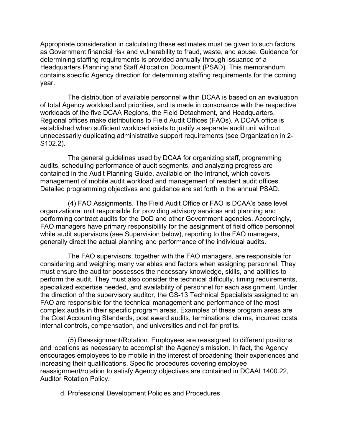Appropriate consideration in calculating these estimates must be given to such factors as Government financial risk and vulnerability to fraud, waste, and abuse. Guidance for determining staffing requirements is provided annually through issuance of a Headquarters Planning and Staff Allocation Document (PSAD). This memorandum contains specific Agency direction for determining staffing requirements for the coming year.

The distribution of available personnel within DCAA is based on an evaluation of total Agency workload and priorities, and is made in consonance with the respective workloads of the five DCAA Regions, the Field Detachment, and Headquarters. Regional offices make distributions to Field Audit Offices (FAOs). A DCAA office is established when sufficient workload exists to justify a separate audit unit without unnecessarily duplicating administrative support requirements (see Organization in 2- S102.2).

The general guidelines used by DCAA for organizing staff, programming audits, scheduling performance of audit segments, and analyzing progress are contained in the Audit Planning Guide, available on the Intranet, which covers management of mobile audit workload and management of resident audit offices. Detailed programming objectives and guidance are set forth in the annual PSAD.

(4) FAO Assignments. The Field Audit Office or FAO is DCAA's base level organizational unit responsible for providing advisory services and planning and performing contract audits for the DoD and other Government agencies. Accordingly, FAO managers have primary responsibility for the assignment of field office personnel while audit supervisors (see Supervision below), reporting to the FAO managers, generally direct the actual planning and performance of the individual audits.

The FAO supervisors, together with the FAO managers, are responsible for considering and weighing many variables and factors when assigning personnel. They must ensure the auditor possesses the necessary knowledge, skills, and abilities to perform the audit. They must also consider the technical difficulty, timing requirements, specialized expertise needed, and availability of personnel for each assignment. Under the direction of the supervisory auditor, the GS-13 Technical Specialists assigned to an FAO are responsible for the technical management and performance of the most complex audits in their specific program areas. Examples of these program areas are the Cost Accounting Standards, post award audits, terminations, claims, incurred costs, internal controls, compensation, and universities and not-for-profits.

(5) Reassignment/Rotation. Employees are reassigned to different positions and locations as necessary to accomplish the Agency's mission. In fact, the Agency encourages employees to be mobile in the interest of broadening their experiences and increasing their qualifications. Specific procedures covering employee reassignment/rotation to satisfy Agency objectives are contained in [DCAAI 1400.22,](https://sharepoint.dcaaintra.mil/headquarters/resources/CM/CMC/Publications/Publications/DCAAI%201400.22.pdf) Auditor Rotation Policy.

d. Professional Development Policies and Procedures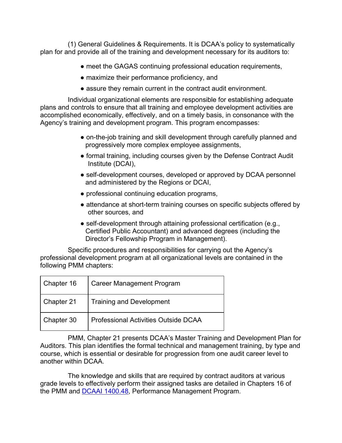(1) General Guidelines & Requirements. It is DCAA's policy to systematically plan for and provide all of the training and development necessary for its auditors to:

- meet the GAGAS continuing professional education requirements,
- maximize their performance proficiency, and
- assure they remain current in the contract audit environment.

Individual organizational elements are responsible for establishing adequate plans and controls to ensure that all training and employee development activities are accomplished economically, effectively, and on a timely basis, in consonance with the Agency's training and development program. This program encompasses:

- on-the-job training and skill development through carefully planned and progressively more complex employee assignments,
- formal training, including courses given by the Defense Contract Audit Institute (DCAI),
- self-development courses, developed or approved by DCAA personnel and administered by the Regions or DCAI,
- professional continuing education programs,
- attendance at short-term training courses on specific subjects offered by other sources, and
- self-development through attaining professional certification (e.g., Certified Public Accountant) and advanced degrees (including the Director's Fellowship Program in Management).

Specific procedures and responsibilities for carrying out the Agency's professional development program at all organizational levels are contained in the following PMM chapters:

| Chapter 16 | <b>Career Management Program</b>            |
|------------|---------------------------------------------|
| Chapter 21 | <b>Training and Development</b>             |
| Chapter 30 | <b>Professional Activities Outside DCAA</b> |

PMM, Chapter 21 presents DCAA's Master Training and Development Plan for Auditors. This plan identifies the formal technical and management training, by type and course, which is essential or desirable for progression from one audit career level to another within DCAA.

The knowledge and skills that are required by contract auditors at various grade levels to effectively perform their assigned tasks are detailed in Chapters 16 of the PMM and [DCAAI 1400.48,](https://sharepoint.dcaaintra.mil/headquarters/resources/CM/CMC/Publications/Publications/DCAAI%201400.48.pdf) Performance Management Program.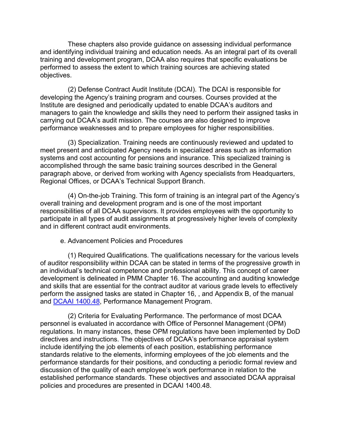These chapters also provide guidance on assessing individual performance and identifying individual training and education needs. As an integral part of its overall training and development program, DCAA also requires that specific evaluations be performed to assess the extent to which training sources are achieving stated objectives.

(2) Defense Contract Audit Institute (DCAI). The DCAI is responsible for developing the Agency's training program and courses. Courses provided at the Institute are designed and periodically updated to enable DCAA's auditors and managers to gain the knowledge and skills they need to perform their assigned tasks in carrying out DCAA's audit mission. The courses are also designed to improve performance weaknesses and to prepare employees for higher responsibilities.

(3) Specialization. Training needs are continuously reviewed and updated to meet present and anticipated Agency needs in specialized areas such as information systems and cost accounting for pensions and insurance. This specialized training is accomplished through the same basic training sources described in the General paragraph above, or derived from working with Agency specialists from Headquarters, Regional Offices, or DCAA's Technical Support Branch.

(4) On-the-job Training. This form of training is an integral part of the Agency's overall training and development program and is one of the most important responsibilities of all DCAA supervisors. It provides employees with the opportunity to participate in all types of audit assignments at progressively higher levels of complexity and in different contract audit environments.

#### e. Advancement Policies and Procedures

(1) Required Qualifications. The qualifications necessary for the various levels of auditor responsibility within DCAA can be stated in terms of the progressive growth in an individual's technical competence and professional ability. This concept of career development is delineated in PMM Chapter 16. The accounting and auditing knowledge and skills that are essential for the contract auditor at various grade levels to effectively perform the assigned tasks are stated in Chapter 16, , and Appendix B, of the manual and [DCAAI 1400.48,](https://sharepoint.dcaaintra.mil/headquarters/resources/CM/CMC/Publications/Publications/DCAAI%201400.48.pdf) Performance Management Program.

(2) Criteria for Evaluating Performance. The performance of most DCAA personnel is evaluated in accordance with Office of Personnel Management (OPM) regulations. In many instances, these OPM regulations have been implemented by DoD directives and instructions. The objectives of DCAA's performance appraisal system include identifying the job elements of each position, establishing performance standards relative to the elements, informing employees of the job elements and the performance standards for their positions, and conducting a periodic formal review and discussion of the quality of each employee's work performance in relation to the established performance standards. These objectives and associated DCAA appraisal policies and procedures are presented in DCAAI 1400.48.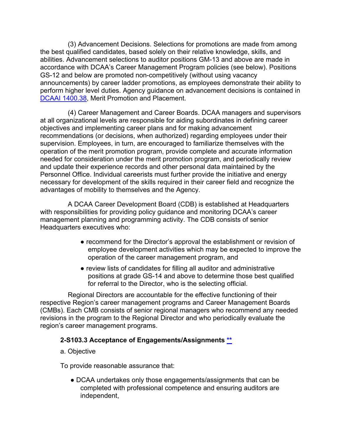(3) Advancement Decisions. Selections for promotions are made from among the best qualified candidates, based solely on their relative knowledge, skills, and abilities. Advancement selections to auditor positions GM-13 and above are made in accordance with DCAA's Career Management Program policies (see below). Positions GS-12 and below are promoted non-competitively (without using vacancy announcements) by career ladder promotions, as employees demonstrate their ability to perform higher level duties. Agency guidance on advancement decisions is contained in [DCAAI 1400.38,](https://sharepoint.dcaaintra.mil/headquarters/resources/CM/CMC/Publications/Publications/DCAAI%201400.38.pdf) Merit Promotion and Placement.

(4) Career Management and Career Boards. DCAA managers and supervisors at all organizational levels are responsible for aiding subordinates in defining career objectives and implementing career plans and for making advancement recommendations (or decisions, when authorized) regarding employees under their supervision. Employees, in turn, are encouraged to familiarize themselves with the operation of the merit promotion program, provide complete and accurate information needed for consideration under the merit promotion program, and periodically review and update their experience records and other personal data maintained by the Personnel Office. Individual careerists must further provide the initiative and energy necessary for development of the skills required in their career field and recognize the advantages of mobility to themselves and the Agency.

A DCAA Career Development Board (CDB) is established at Headquarters with responsibilities for providing policy guidance and monitoring DCAA's career management planning and programming activity. The CDB consists of senior Headquarters executives who:

- recommend for the Director's approval the establishment or revision of employee development activities which may be expected to improve the operation of the career management program, and
- review lists of candidates for filling all auditor and administrative positions at grade GS-14 and above to determine those best qualified for referral to the Director, who is the selecting official.

Regional Directors are accountable for the effective functioning of their respective Region's career management programs and Career Management Boards (CMBs). Each CMB consists of senior regional managers who recommend any needed revisions in the program to the Regional Director and who periodically evaluate the region's career management programs.

## **2-S103.3 Acceptance of Engagements/Assignments [\\*\\*](#page-6-14)**

#### a. Objective

To provide reasonable assurance that:

● DCAA undertakes only those engagements/assignments that can be completed with professional competence and ensuring auditors are independent,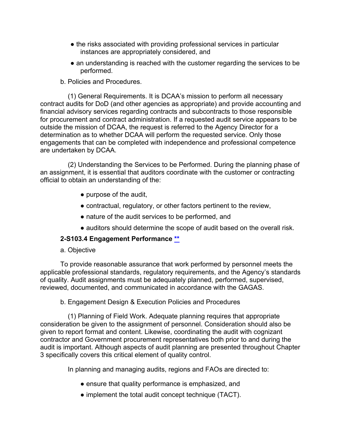- the risks associated with providing professional services in particular instances are appropriately considered, and
- an understanding is reached with the customer regarding the services to be performed.
- b. Policies and Procedures.

(1) General Requirements. It is DCAA's mission to perform all necessary contract audits for DoD (and other agencies as appropriate) and provide accounting and financial advisory services regarding contracts and subcontracts to those responsible for procurement and contract administration. If a requested audit service appears to be outside the mission of DCAA, the request is referred to the Agency Director for a determination as to whether DCAA will perform the requested service. Only those engagements that can be completed with independence and professional competence are undertaken by DCAA.

(2) Understanding the Services to be Performed. During the planning phase of an assignment, it is essential that auditors coordinate with the customer or contracting official to obtain an understanding of the:

- purpose of the audit,
- contractual, regulatory, or other factors pertinent to the review,
- nature of the audit services to be performed, and
- auditors should determine the scope of audit based on the overall risk.

## **2-S103.4 Engagement Performance [\\*\\*](#page-6-15)**

a. Objective

To provide reasonable assurance that work performed by personnel meets the applicable professional standards, regulatory requirements, and the Agency's standards of quality. Audit assignments must be adequately planned, performed, supervised, reviewed, documented, and communicated in accordance with the GAGAS.

## b. Engagement Design & Execution Policies and Procedures

(1) Planning of Field Work. Adequate planning requires that appropriate consideration be given to the assignment of personnel. Consideration should also be given to report format and content. Likewise, coordinating the audit with cognizant contractor and Government procurement representatives both prior to and during the audit is important. Although aspects of audit planning are presented throughout Chapter 3 specifically covers this critical element of quality control.

In planning and managing audits, regions and FAOs are directed to:

- ensure that quality performance is emphasized, and
- implement the total audit concept technique (TACT).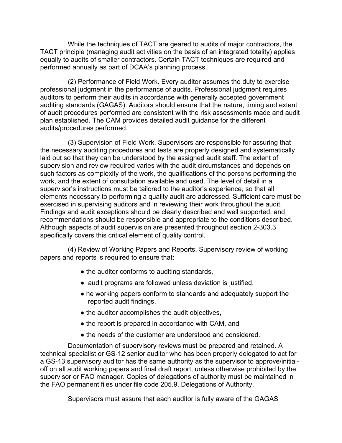While the techniques of TACT are geared to audits of major contractors, the TACT principle (managing audit activities on the basis of an integrated totality) applies equally to audits of smaller contractors. Certain TACT techniques are required and performed annually as part of DCAA's planning process.

(2) Performance of Field Work. Every auditor assumes the duty to exercise professional judgment in the performance of audits. Professional judgment requires auditors to perform their audits in accordance with generally accepted government auditing standards (GAGAS). Auditors should ensure that the nature, timing and extent of audit procedures performed are consistent with the risk assessments made and audit plan established. The CAM provides detailed audit guidance for the different audits/procedures performed.

(3) Supervision of Field Work. Supervisors are responsible for assuring that the necessary auditing procedures and tests are properly designed and systematically laid out so that they can be understood by the assigned audit staff. The extent of supervision and review required varies with the audit circumstances and depends on such factors as complexity of the work, the qualifications of the persons performing the work, and the extent of consultation available and used. The level of detail in a supervisor's instructions must be tailored to the auditor's experience, so that all elements necessary to performing a quality audit are addressed. Sufficient care must be exercised in supervising auditors and in reviewing their work throughout the audit. Findings and audit exceptions should be clearly described and well supported, and recommendations should be responsible and appropriate to the conditions described. Although aspects of audit supervision are presented throughout section 2-303.3 specifically covers this critical element of quality control.

(4) Review of Working Papers and Reports. Supervisory review of working papers and reports is required to ensure that:

- the auditor conforms to auditing standards,
- audit programs are followed unless deviation is justified,
- he working papers conform to standards and adequately support the reported audit findings,
- the auditor accomplishes the audit objectives,
- the report is prepared in accordance with CAM, and
- the needs of the customer are understood and considered.

Documentation of supervisory reviews must be prepared and retained. A technical specialist or GS-12 senior auditor who has been properly delegated to act for a GS-13 supervisory auditor has the same authority as the supervisor to approve/initialoff on all audit working papers and final draft report, unless otherwise prohibited by the supervisor or FAO manager. Copies of delegations of authority must be maintained in the FAO permanent files under file code 205.9, Delegations of Authority.

Supervisors must assure that each auditor is fully aware of the GAGAS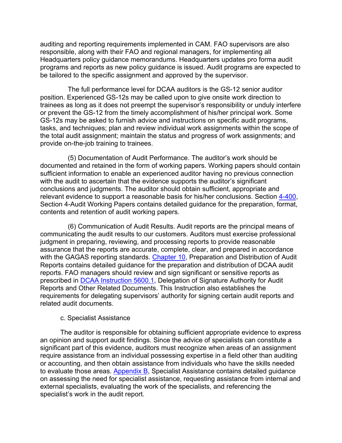auditing and reporting requirements implemented in CAM. FAO supervisors are also responsible, along with their FAO and regional managers, for implementing all Headquarters policy guidance memorandums. Headquarters updates pro forma audit programs and reports as new policy guidance is issued. Audit programs are expected to be tailored to the specific assignment and approved by the supervisor.

The full performance level for DCAA auditors is the GS-12 senior auditor position. Experienced GS-12s may be called upon to give onsite work direction to trainees as long as it does not preempt the supervisor's responsibility or unduly interfere or prevent the GS-12 from the timely accomplishment of his/her principal work. Some GS-12s may be asked to furnish advice and instructions on specific audit programs, tasks, and techniques; plan and review individual work assignments within the scope of the total audit assignment; maintain the status and progress of work assignments; and provide on-the-job training to trainees.

(5) Documentation of Audit Performance. The auditor's work should be documented and retained in the form of working papers. Working papers should contain sufficient information to enable an experienced auditor having no previous connection with the audit to ascertain that the evidence supports the auditor's significant conclusions and judgments. The auditor should obtain sufficient, appropriate and relevant evidence to support a reasonable basis for his/her conclusions. Section [4-400,](https://viper.dcaa.mil/guidance/cam/3130/general-audit-requirements#Sec4400https://viper.dcaa.mil/guidance/cam/3130/general-audit-requirements) Section 4-Audit Working Papers contains detailed guidance for the preparation, format, contents and retention of audit working papers.

(6) Communication of Audit Results. Audit reports are the principal means of communicating the audit results to our customers. Auditors must exercise professional judgment in preparing, reviewing, and processing reports to provide reasonable assurance that the reports are accurate, complete, clear, and prepared in accordance with the GAGAS reporting standards. [Chapter 10,](https://viper.dcaa.mil/guidance/cam/3147/preparation-and-distribution-of-audit-reports) Preparation and Distribution of Audit Reports contains detailed guidance for the preparation and distribution of DCAA audit reports. FAO managers should review and sign significant or sensitive reports as prescribed in [DCAA Instruction 5600.1,](https://sharepoint.dcaaintra.mil/headquarters/resources/CM/CMC/Publications/Publications/DCAAI%205600.1.pdf) Delegation of Signature Authority for Audit Reports and Other Related Documents. This Instruction also establishes the requirements for delegating supervisors' authority for signing certain audit reports and related audit documents.

#### c. Specialist Assistance

The auditor is responsible for obtaining sufficient appropriate evidence to express an opinion and support audit findings. Since the advice of specialists can constitute a significant part of this evidence, auditors must recognize when areas of an assignment require assistance from an individual possessing expertise in a field other than auditing or accounting, and then obtain assistance from individuals who have the skills needed to evaluate those areas. [Appendix B,](https://viper.dcaa.mil/guidance/cam/3163/appendix-b-specialist-assistance) Specialist Assistance contains detailed guidance on assessing the need for specialist assistance, requesting assistance from internal and external specialists, evaluating the work of the specialists, and referencing the specialist's work in the audit report.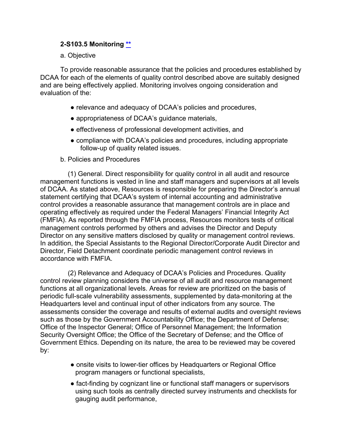## **2-S103.5 Monitoring [\\*\\*](#page-6-16)**

a. Objective

To provide reasonable assurance that the policies and procedures established by DCAA for each of the elements of quality control described above are suitably designed and are being effectively applied. Monitoring involves ongoing consideration and evaluation of the:

- relevance and adequacy of DCAA's policies and procedures,
- appropriateness of DCAA's guidance materials,
- effectiveness of professional development activities, and
- compliance with DCAA's policies and procedures, including appropriate follow-up of quality related issues.
- b. Policies and Procedures

(1) General. Direct responsibility for quality control in all audit and resource management functions is vested in line and staff managers and supervisors at all levels of DCAA. As stated above, Resources is responsible for preparing the Director's annual statement certifying that DCAA's system of internal accounting and administrative control provides a reasonable assurance that management controls are in place and operating effectively as required under the Federal Managers' Financial Integrity Act (FMFIA). As reported through the FMFIA process, Resources monitors tests of critical management controls performed by others and advises the Director and Deputy Director on any sensitive matters disclosed by quality or management control reviews. In addition, the Special Assistants to the Regional Director/Corporate Audit Director and Director, Field Detachment coordinate periodic management control reviews in accordance with FMFIA.

(2) Relevance and Adequacy of DCAA's Policies and Procedures. Quality control review planning considers the universe of all audit and resource management functions at all organizational levels. Areas for review are prioritized on the basis of periodic full-scale vulnerability assessments, supplemented by data-monitoring at the Headquarters level and continual input of other indicators from any source. The assessments consider the coverage and results of external audits and oversight reviews such as those by the Government Accountability Office; the Department of Defense; Office of the Inspector General; Office of Personnel Management; the Information Security Oversight Office; the Office of the Secretary of Defense; and the Office of Government Ethics. Depending on its nature, the area to be reviewed may be covered by:

- onsite visits to lower-tier offices by Headquarters or Regional Office program managers or functional specialists,
- fact-finding by cognizant line or functional staff managers or supervisors using such tools as centrally directed survey instruments and checklists for gauging audit performance,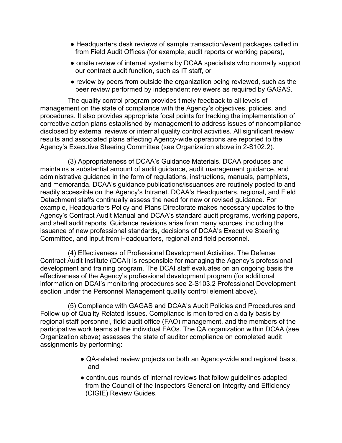- Headquarters desk reviews of sample transaction/event packages called in from Field Audit Offices (for example, audit reports or working papers),
- onsite review of internal systems by DCAA specialists who normally support our contract audit function, such as IT staff, or
- review by peers from outside the organization being reviewed, such as the peer review performed by independent reviewers as required by GAGAS.

The quality control program provides timely feedback to all levels of management on the state of compliance with the Agency's objectives, policies, and procedures. It also provides appropriate focal points for tracking the implementation of corrective action plans established by management to address issues of noncompliance disclosed by external reviews or internal quality control activities. All significant review results and associated plans affecting Agency-wide operations are reported to the Agency's Executive Steering Committee (see Organization above in 2-S102.2).

(3) Appropriateness of DCAA's Guidance Materials. DCAA produces and maintains a substantial amount of audit guidance, audit management guidance, and administrative guidance in the form of regulations, instructions, manuals, pamphlets, and memoranda. DCAA's guidance publications/issuances are routinely posted to and readily accessible on the Agency's Intranet. DCAA's Headquarters, regional, and Field Detachment staffs continually assess the need for new or revised guidance. For example, Headquarters Policy and Plans Directorate makes necessary updates to the Agency's Contract Audit Manual and DCAA's standard audit programs, working papers, and shell audit reports. Guidance revisions arise from many sources, including the issuance of new professional standards, decisions of DCAA's Executive Steering Committee, and input from Headquarters, regional and field personnel.

(4) Effectiveness of Professional Development Activities. The Defense Contract Audit Institute (DCAI) is responsible for managing the Agency's professional development and training program. The DCAI staff evaluates on an ongoing basis the effectiveness of the Agency's professional development program (for additional information on DCAI's monitoring procedures see 2-S103.2 Professional Development section under the Personnel Management quality control element above).

(5) Compliance with GAGAS and DCAA's Audit Policies and Procedures and Follow-up of Quality Related Issues. Compliance is monitored on a daily basis by regional staff personnel, field audit office (FAO) management, and the members of the participative work teams at the individual FAOs. The QA organization within DCAA (see Organization above) assesses the state of auditor compliance on completed audit assignments by performing:

- QA-related review projects on both an Agency-wide and regional basis, and
- continuous rounds of internal reviews that follow guidelines adapted from the Council of the Inspectors General on Integrity and Efficiency (CIGIE) Review Guides.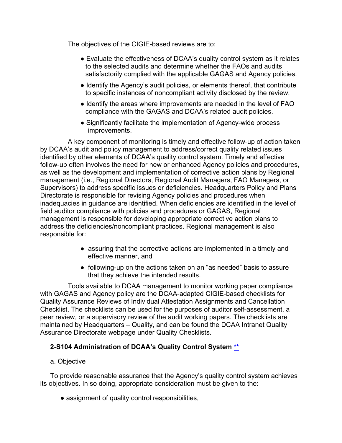The objectives of the CIGIE-based reviews are to:

- Evaluate the effectiveness of DCAA's quality control system as it relates to the selected audits and determine whether the FAOs and audits satisfactorily complied with the applicable GAGAS and Agency policies.
- Identify the Agency's audit policies, or elements thereof, that contribute to specific instances of noncompliant activity disclosed by the review,
- Identify the areas where improvements are needed in the level of FAO compliance with the GAGAS and DCAA's related audit policies.
- Significantly facilitate the implementation of Agency-wide process improvements.

A key component of monitoring is timely and effective follow-up of action taken by DCAA's audit and policy management to address/correct quality related issues identified by other elements of DCAA's quality control system. Timely and effective follow-up often involves the need for new or enhanced Agency policies and procedures, as well as the development and implementation of corrective action plans by Regional management (i.e., Regional Directors, Regional Audit Managers, FAO Managers, or Supervisors) to address specific issues or deficiencies. Headquarters Policy and Plans Directorate is responsible for revising Agency policies and procedures when inadequacies in guidance are identified. When deficiencies are identified in the level of field auditor compliance with policies and procedures or GAGAS, Regional management is responsible for developing appropriate corrective action plans to address the deficiencies/noncompliant practices. Regional management is also responsible for:

- assuring that the corrective actions are implemented in a timely and effective manner, and
- following-up on the actions taken on an "as needed" basis to assure that they achieve the intended results.

Tools available to DCAA management to monitor working paper compliance with GAGAS and Agency policy are the DCAA-adapted CIGIE-based checklists for Quality Assurance Reviews of Individual Attestation Assignments and Cancellation Checklist. The checklists can be used for the purposes of auditor self-assessment, a peer review, or a supervisory review of the audit working papers. The checklists are maintained by Headquarters – Quality, and can be found the DCAA Intranet Quality Assurance Directorate webpage under Quality Checklists.

## **2-S104 Administration of DCAA's Quality Control System [\\*\\*](#page-6-17)**

#### a. Objective

To provide reasonable assurance that the Agency's quality control system achieves its objectives. In so doing, appropriate consideration must be given to the:

• assignment of quality control responsibilities,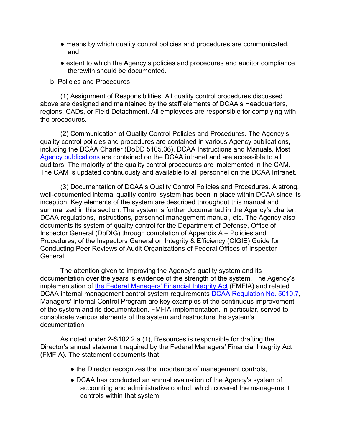- means by which quality control policies and procedures are communicated, and
- extent to which the Agency's policies and procedures and auditor compliance therewith should be documented.
- b. Policies and Procedures

(1) Assignment of Responsibilities. All quality control procedures discussed above are designed and maintained by the staff elements of DCAA's Headquarters, regions, CADs, or Field Detachment. All employees are responsible for complying with the procedures.

(2) Communication of Quality Control Policies and Procedures. The Agency's quality control policies and procedures are contained in various Agency publications, including the DCAA Charter (DoDD 5105.36), DCAA Instructions and Manuals. Most [Agency publications](https://sharepoint.dcaaintra.mil/headquarters/resources/CM/CMC/Publications/Pages/Publications.aspx) are contained on the DCAA intranet and are accessible to all auditors. The majority of the quality control procedures are implemented in the CAM. The CAM is updated continuously and available to all personnel on the DCAA Intranet.

(3) Documentation of DCAA's Quality Control Policies and Procedures. A strong, well-documented internal quality control system has been in place within DCAA since its inception. Key elements of the system are described throughout this manual and summarized in this section. The system is further documented in the Agency's charter, DCAA regulations, instructions, personnel management manual, etc. The Agency also documents its system of quality control for the Department of Defense, Office of Inspector General (DoDIG) through completion of Appendix A – Policies and Procedures, of the Inspectors General on Integrity & Efficiency (CIGIE) Guide for Conducting Peer Reviews of Audit Organizations of Federal Offices of Inspector **General** 

The attention given to improving the Agency's quality system and its documentation over the years is evidence of the strength of the system. The Agency's implementation of [the Federal Managers'](http://uscode.house.gov/view.xhtml?req=(title:31%20section:3512%20edition:prelim)%20OR%20(granuleid:USC-prelim-title31-section3512)&f=treesort&edition=prelim&num=0&jumpTo=true) Financial Integrity Act (FMFIA) and related DCAA internal management control system requirements [DCAA Regulation No. 5010.7,](https://sharepoint.dcaaintra.mil/headquarters/resources/CM/CMC/Publications/Publications/DCAAR%205010.7.pdf) Managers' Internal Control Program are key examples of the continuous improvement of the system and its documentation. FMFIA implementation, in particular, served to consolidate various elements of the system and restructure the system's documentation.

As noted under 2-S102.2.a.(1), Resources is responsible for drafting the Director's annual statement required by the Federal Managers' Financial Integrity Act (FMFIA). The statement documents that:

- the Director recognizes the importance of management controls,
- DCAA has conducted an annual evaluation of the Agency's system of accounting and administrative control, which covered the management controls within that system,